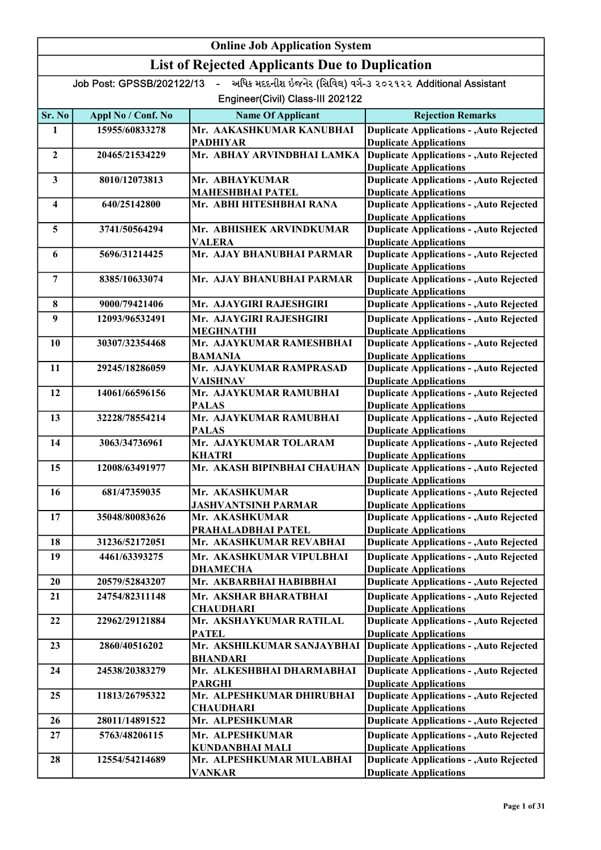| <b>Online Job Application System</b> |                           |                                                       |                                                                                  |
|--------------------------------------|---------------------------|-------------------------------------------------------|----------------------------------------------------------------------------------|
|                                      |                           | <b>List of Rejected Applicants Due to Duplication</b> |                                                                                  |
|                                      | Job Post: GPSSB/202122/13 | $\mathbf{r}$                                          | અધિક મદદનીશ ઇજનેર (સિવિલ) વર્ગ-૩ ૨૦૨૧૨૨ Additional Assistant                     |
|                                      |                           | Engineer(Civil) Class-III 202122                      |                                                                                  |
| Sr. No                               | Appl No / Conf. No        | <b>Name Of Applicant</b>                              | <b>Rejection Remarks</b>                                                         |
| 1                                    | 15955/60833278            | Mr. AAKASHKUMAR KANUBHAI                              | <b>Duplicate Applications - , Auto Rejected</b>                                  |
|                                      |                           | <b>PADHIYAR</b>                                       | <b>Duplicate Applications</b>                                                    |
| $\mathbf{2}$                         | 20465/21534229            | Mr. ABHAY ARVINDBHAI LAMKA                            | <b>Duplicate Applications - , Auto Rejected</b><br><b>Duplicate Applications</b> |
| $\mathbf{3}$                         | 8010/12073813             | Mr. ABHAYKUMAR                                        | <b>Duplicate Applications - , Auto Rejected</b>                                  |
|                                      |                           | <b>MAHESHBHAI PATEL</b>                               | <b>Duplicate Applications</b>                                                    |
| $\overline{\mathbf{4}}$              | 640/25142800              | Mr. ABHI HITESHBHAI RANA                              | <b>Duplicate Applications - , Auto Rejected</b>                                  |
|                                      |                           |                                                       | <b>Duplicate Applications</b>                                                    |
| 5                                    | 3741/50564294             | Mr. ABHISHEK ARVINDKUMAR<br><b>VALERA</b>             | <b>Duplicate Applications - , Auto Rejected</b><br><b>Duplicate Applications</b> |
| 6                                    | 5696/31214425             | Mr. AJAY BHANUBHAI PARMAR                             | <b>Duplicate Applications - , Auto Rejected</b>                                  |
|                                      |                           |                                                       | <b>Duplicate Applications</b>                                                    |
| $\overline{7}$                       | 8385/10633074             | Mr. AJAY BHANUBHAI PARMAR                             | <b>Duplicate Applications - , Auto Rejected</b>                                  |
|                                      |                           |                                                       | <b>Duplicate Applications</b>                                                    |
| 8                                    | 9000/79421406             | Mr. AJAYGIRI RAJESHGIRI                               | <b>Duplicate Applications - , Auto Rejected</b>                                  |
| 9                                    | 12093/96532491            | Mr. AJAYGIRI RAJESHGIRI<br><b>MEGHNATHI</b>           | <b>Duplicate Applications - , Auto Rejected</b><br><b>Duplicate Applications</b> |
| 10                                   | 30307/32354468            | Mr. AJAYKUMAR RAMESHBHAI                              | <b>Duplicate Applications - , Auto Rejected</b>                                  |
|                                      |                           | <b>BAMANIA</b>                                        | <b>Duplicate Applications</b>                                                    |
| 11                                   | 29245/18286059            | Mr. AJAYKUMAR RAMPRASAD                               | <b>Duplicate Applications - , Auto Rejected</b>                                  |
|                                      |                           | <b>VAISHNAV</b>                                       | <b>Duplicate Applications</b>                                                    |
| 12                                   | 14061/66596156            | Mr. AJAYKUMAR RAMUBHAI<br><b>PALAS</b>                | <b>Duplicate Applications - , Auto Rejected</b><br><b>Duplicate Applications</b> |
| 13                                   | 32228/78554214            | Mr. AJAYKUMAR RAMUBHAI                                | <b>Duplicate Applications - , Auto Rejected</b>                                  |
|                                      |                           | <b>PALAS</b><br>Mr. AJAYKUMAR TOLARAM                 | <b>Duplicate Applications</b>                                                    |
| 14                                   | 3063/34736961             | <b>KHATRI</b>                                         | <b>Duplicate Applications - , Auto Rejected</b><br><b>Duplicate Applications</b> |
| 15                                   | 12008/63491977            | Mr. AKASH BIPINBHAI CHAUHAN                           | <b>Duplicate Applications - , Auto Rejected</b>                                  |
|                                      |                           |                                                       | <b>Duplicate Applications</b>                                                    |
| 16                                   | 681/47359035              | Mr. AKASHKUMAR                                        | <b>Duplicate Applications - , Auto Rejected</b>                                  |
|                                      |                           | <b>JASHVANTSINH PARMAR</b>                            | <b>Duplicate Applications</b>                                                    |
| 17                                   | 35048/80083626            | Mr. AKASHKUMAR<br>PRAHALADBHAI PATEL                  | <b>Duplicate Applications - , Auto Rejected</b><br><b>Duplicate Applications</b> |
| 18                                   | 31236/52172051            | Mr. AKASHKUMAR REVABHAI                               | <b>Duplicate Applications - , Auto Rejected</b>                                  |
| 19                                   | 4461/63393275             | Mr. AKASHKUMAR VIPULBHAI                              | <b>Duplicate Applications - , Auto Rejected</b>                                  |
|                                      |                           | <b>DHAMECHA</b>                                       | <b>Duplicate Applications</b>                                                    |
| 20                                   | 20579/52843207            | Mr. AKBARBHAI HABIBBHAI                               | <b>Duplicate Applications - , Auto Rejected</b>                                  |
| 21                                   | 24754/82311148            | Mr. AKSHAR BHARATBHAI                                 | <b>Duplicate Applications - , Auto Rejected</b>                                  |
|                                      |                           | <b>CHAUDHARI</b>                                      | <b>Duplicate Applications</b>                                                    |
| 22                                   | 22962/29121884            | Mr. AKSHAYKUMAR RATILAL                               | <b>Duplicate Applications - , Auto Rejected</b>                                  |
| 23                                   | 2860/40516202             | <b>PATEL</b><br>Mr. AKSHILKUMAR SANJAYBHAI            | <b>Duplicate Applications</b><br><b>Duplicate Applications - , Auto Rejected</b> |
|                                      |                           | <b>BHANDARI</b>                                       | <b>Duplicate Applications</b>                                                    |
| 24                                   | 24538/20383279            | Mr. ALKESHBHAI DHARMABHAI                             | <b>Duplicate Applications - , Auto Rejected</b>                                  |
|                                      |                           | <b>PARGHI</b>                                         | <b>Duplicate Applications</b>                                                    |
| 25                                   | 11813/26795322            | Mr. ALPESHKUMAR DHIRUBHAI<br><b>CHAUDHARI</b>         | <b>Duplicate Applications - , Auto Rejected</b><br><b>Duplicate Applications</b> |
| 26                                   | 28011/14891522            | Mr. ALPESHKUMAR                                       | <b>Duplicate Applications - , Auto Rejected</b>                                  |
| 27                                   | 5763/48206115             | Mr. ALPESHKUMAR                                       | <b>Duplicate Applications - , Auto Rejected</b>                                  |
|                                      |                           | <b>KUNDANBHAI MALI</b>                                | <b>Duplicate Applications</b>                                                    |
| 28                                   | 12554/54214689            | Mr. ALPESHKUMAR MULABHAI                              | <b>Duplicate Applications - , Auto Rejected</b>                                  |
|                                      |                           | <b>VANKAR</b>                                         | <b>Duplicate Applications</b>                                                    |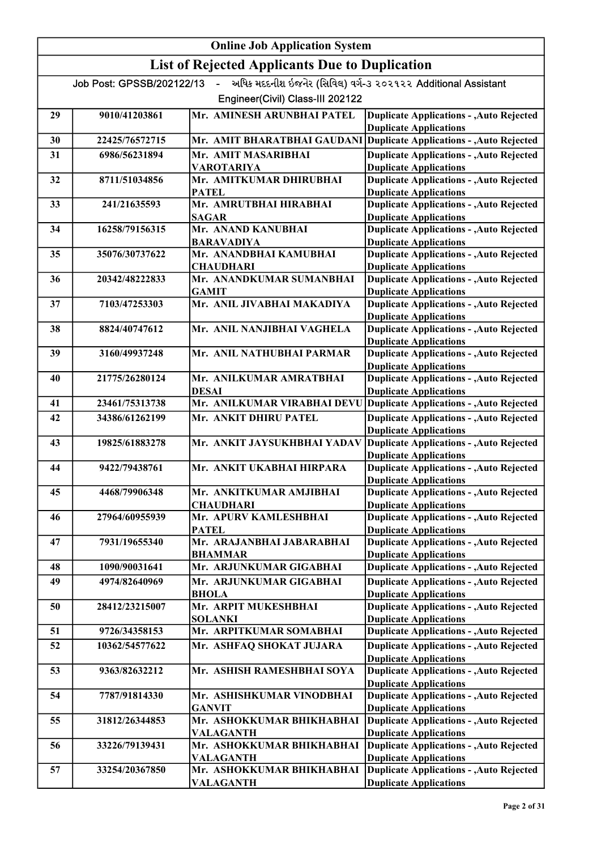| <b>Online Job Application System</b> |                                                       |                                             |                                                                                  |  |
|--------------------------------------|-------------------------------------------------------|---------------------------------------------|----------------------------------------------------------------------------------|--|
|                                      | <b>List of Rejected Applicants Due to Duplication</b> |                                             |                                                                                  |  |
|                                      | Job Post: GPSSB/202122/13                             | $\sim$ $\sim$                               | અધિક મદદનીશ ઇજનેર (સિવિલ) વર્ગ-૩ ૨૦૨૧૨૨ Additional Assistant                     |  |
|                                      |                                                       | Engineer(Civil) Class-III 202122            |                                                                                  |  |
| 29                                   | 9010/41203861                                         | Mr. AMINESH ARUNBHAI PATEL                  | <b>Duplicate Applications - , Auto Rejected</b><br><b>Duplicate Applications</b> |  |
| 30                                   | 22425/76572715                                        | Mr. AMIT BHARATBHAI GAUDANI                 | <b>Duplicate Applications - , Auto Rejected</b>                                  |  |
| 31                                   | 6986/56231894                                         | Mr. AMIT MASARIBHAI                         | <b>Duplicate Applications - , Auto Rejected</b>                                  |  |
|                                      |                                                       | <b>VAROTARIYA</b>                           | <b>Duplicate Applications</b>                                                    |  |
| 32                                   | 8711/51034856                                         | Mr. AMITKUMAR DHIRUBHAI<br><b>PATEL</b>     | <b>Duplicate Applications - , Auto Rejected</b><br><b>Duplicate Applications</b> |  |
| 33                                   | 241/21635593                                          | Mr. AMRUTBHAI HIRABHAI<br><b>SAGAR</b>      | <b>Duplicate Applications - , Auto Rejected</b><br><b>Duplicate Applications</b> |  |
| 34                                   | 16258/79156315                                        | Mr. ANAND KANUBHAI                          | <b>Duplicate Applications - , Auto Rejected</b>                                  |  |
| 35                                   | 35076/30737622                                        | <b>BARAVADIYA</b><br>Mr. ANANDBHAI KAMUBHAI | <b>Duplicate Applications</b><br><b>Duplicate Applications - , Auto Rejected</b> |  |
|                                      |                                                       | <b>CHAUDHARI</b>                            | <b>Duplicate Applications</b>                                                    |  |
| 36                                   | 20342/48222833                                        | Mr. ANANDKUMAR SUMANBHAI                    | <b>Duplicate Applications - , Auto Rejected</b>                                  |  |
|                                      |                                                       | <b>GAMIT</b>                                | <b>Duplicate Applications</b>                                                    |  |
| 37                                   | 7103/47253303                                         | Mr. ANIL JIVABHAI MAKADIYA                  | <b>Duplicate Applications - , Auto Rejected</b>                                  |  |
|                                      |                                                       |                                             | <b>Duplicate Applications</b>                                                    |  |
| 38                                   | 8824/40747612                                         | Mr. ANIL NANJIBHAI VAGHELA                  | <b>Duplicate Applications - , Auto Rejected</b><br><b>Duplicate Applications</b> |  |
| 39                                   | 3160/49937248                                         | Mr. ANIL NATHUBHAI PARMAR                   | <b>Duplicate Applications - , Auto Rejected</b>                                  |  |
|                                      |                                                       |                                             | <b>Duplicate Applications</b>                                                    |  |
| 40                                   | 21775/26280124                                        | Mr. ANILKUMAR AMRATBHAI                     | <b>Duplicate Applications - , Auto Rejected</b>                                  |  |
|                                      |                                                       | <b>DESAI</b>                                | <b>Duplicate Applications</b>                                                    |  |
| 41                                   | 23461/75313738                                        | Mr. ANILKUMAR VIRABHAI DEVU                 | <b>Duplicate Applications - , Auto Rejected</b>                                  |  |
| 42                                   | 34386/61262199                                        | Mr. ANKIT DHIRU PATEL                       | <b>Duplicate Applications - , Auto Rejected</b><br><b>Duplicate Applications</b> |  |
| 43                                   | 19825/61883278                                        | Mr. ANKIT JAYSUKHBHAI YADAV                 | <b>Duplicate Applications - , Auto Rejected</b><br><b>Duplicate Applications</b> |  |
| 44                                   | 9422/79438761                                         | Mr. ANKIT UKABHAI HIRPARA                   | <b>Duplicate Applications - , Auto Rejected</b><br><b>Duplicate Applications</b> |  |
| 45                                   | 4468/79906348                                         | Mr. ANKITKUMAR AMJIBHAI                     | <b>Duplicate Applications - , Auto Rejected</b>                                  |  |
|                                      |                                                       | <b>CHAUDHARI</b>                            | <b>Duplicate Applications</b>                                                    |  |
| 46                                   | 27964/60955939                                        | Mr. APURV KAMLESHBHAI<br><b>PATEL</b>       | <b>Duplicate Applications - , Auto Rejected</b><br><b>Duplicate Applications</b> |  |
| 47                                   | 7931/19655340                                         | Mr. ARAJANBHAI JABARABHAI                   | <b>Duplicate Applications - , Auto Rejected</b>                                  |  |
|                                      |                                                       | <b>BHAMMAR</b>                              | <b>Duplicate Applications</b>                                                    |  |
| 48                                   | 1090/90031641                                         | Mr. ARJUNKUMAR GIGABHAI                     | <b>Duplicate Applications - , Auto Rejected</b>                                  |  |
| 49                                   | 4974/82640969                                         | Mr. ARJUNKUMAR GIGABHAI                     | <b>Duplicate Applications - , Auto Rejected</b>                                  |  |
| 50                                   | 28412/23215007                                        | <b>BHOLA</b><br>Mr. ARPIT MUKESHBHAI        | <b>Duplicate Applications</b><br><b>Duplicate Applications - , Auto Rejected</b> |  |
|                                      |                                                       | <b>SOLANKI</b>                              | <b>Duplicate Applications</b>                                                    |  |
| 51                                   | 9726/34358153                                         | Mr. ARPITKUMAR SOMABHAI                     | <b>Duplicate Applications - , Auto Rejected</b>                                  |  |
| 52                                   | 10362/54577622                                        | Mr. ASHFAQ SHOKAT JUJARA                    | <b>Duplicate Applications - , Auto Rejected</b>                                  |  |
|                                      |                                                       |                                             | <b>Duplicate Applications</b>                                                    |  |
| 53                                   | 9363/82632212                                         | Mr. ASHISH RAMESHBHAI SOYA                  | <b>Duplicate Applications - , Auto Rejected</b><br><b>Duplicate Applications</b> |  |
| 54                                   | 7787/91814330                                         | Mr. ASHISHKUMAR VINODBHAI                   | <b>Duplicate Applications - , Auto Rejected</b>                                  |  |
| 55                                   | 31812/26344853                                        | <b>GANVIT</b><br>Mr. ASHOKKUMAR BHIKHABHAI  | <b>Duplicate Applications</b><br><b>Duplicate Applications - , Auto Rejected</b> |  |
|                                      |                                                       | VALAGANTH                                   | <b>Duplicate Applications</b>                                                    |  |
| 56                                   | 33226/79139431                                        | Mr. ASHOKKUMAR BHIKHABHAI                   | <b>Duplicate Applications - , Auto Rejected</b>                                  |  |
|                                      |                                                       | <b>VALAGANTH</b>                            | <b>Duplicate Applications</b>                                                    |  |
| 57                                   | 33254/20367850                                        | Mr. ASHOKKUMAR BHIKHABHAI                   | <b>Duplicate Applications - , Auto Rejected</b>                                  |  |
|                                      |                                                       | <b>VALAGANTH</b>                            | <b>Duplicate Applications</b>                                                    |  |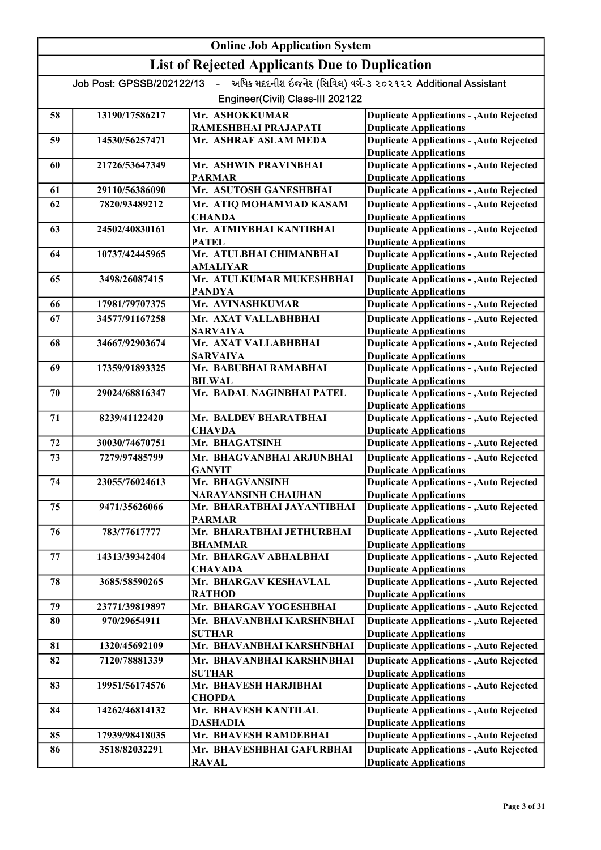#### Online Job Application System List of Rejected Applicants Due to Duplication Job Post: GPSSB/202122/13 - અધિક મદદનીશ ઇજનેર (સિવિલ) વર્ગ-૩ ૨૦૨૧૨૨ Additional Assistant Engineer(Civil) Class-III 202122 58 13190/17586217 Mr. ASHOKKUMAR RAMESHBHAI PRAJAPATI Duplicate Applications - ,Auto Rejected Duplicate Applications 59 14530/56257471 Mr. ASHRAF ASLAM MEDA Duplicate Applications - ,Auto Rejected Duplicate Applications 60 21726/53647349 Mr. ASHWIN PRAVINBHAI PARMAR Duplicate Applications - ,Auto Rejected Duplicate Applications 61 29110/56386090 Mr. ASUTOSH GANESHBHAI 62 7820/93489212 Mr. ATIQ MOHAMMAD KASAM Duplicate Applications Duplicate Applications - ,Auto Rejected **CHANDA** Duplicate Applications - ,Auto Rejected Duplicate Applications 63 24502/40830161 Mr. ATMIYBHAI KANTIBHAI PATEL Duplicate Applications - ,Auto Rejected Duplicate Applications 64 10737/42445965 Mr. ATULBHAI CHIMANBHAI AMALIYAR Duplicate Applications - ,Auto Rejected Duplicate Applications 65 3498/26087415 Mr. ATULKUMAR MUKESHBHAI PANDYA Duplicate Applications - ,Auto Rejected Duplicate Applications 66 17981/79707375 Mr. AVINASHKUMAR 67 34577/91167258 Mr. AXAT VALLABHBHAI Duplicate Applications Duplicate Applications - ,Auto Rejected SARVAIYA Duplicate Applications - ,Auto Rejected Duplicate Applications 68 34667/92903674 Mr. AXAT VALLABHBHAI SARVAIYA Duplicate Applications - ,Auto Rejected Duplicate Applications 69 17359/91893325 Mr. BABUBHAI RAMABHAI BILWAL<br>Mr. BADAL NAGINBHAI PATEL Duplicate Applications - ,Auto Rejected Duplicate Applications 70 29024/68816347 Mr. BADAL NAGINBHAI PATEL Duplicate Applications - ,Auto Rejected Duplicate Applications 71 8239/41122420 Mr. BALDEV BHARATBHAI **CHAVDA** Duplicate Applications - ,Auto Rejected Duplicate Applications 72 30030/74670751 Mr. BHAGATSINH 73 7279/97485799 Mr. BHAGVANBHAI ARJUNBHAI Duplicate Applications Duplicate Applications - ,Auto Rejected GANVIT Duplicate Applications - ,Auto Rejected Duplicate Applications 74 23055/76024613 Mr. BHAGVANSINH NARAYANSINH CHAUHAN Duplicate Applications - ,Auto Rejected Duplicate Applications 75 9471/35626066 Mr. BHARATBHAI JAYANTIBHAI PARMAR Duplicate Applications - ,Auto Rejected Duplicate Applications 76 783/77617777 Mr. BHARATBHAI JETHURBHAI BHAMMAR Duplicate Applications - ,Auto Rejected Duplicate Applications 77 14313/39342404 Mr. BHARGAV ABHALBHAI **CHAVADA** Duplicate Applications - ,Auto Rejected Duplicate Applications 78 3685/58590265 Mr. BHARGAV KESHAVLAL RATHOD Duplicate Applications - ,Auto Rejected Duplicate Applications 79 23771/39819897 Mr. BHARGAV YOGESHBHAI 80 970/29654911 Mr. BHAVANBHAI KARSHNBHAI Duplicate Applications Duplicate Applications - ,Auto Rejected SUTHAR Duplicate Applications - ,Auto Rejected Duplicate Applications 81 1320/45692109 Mr. BHAVANBHAI KARSHNBHAI 82 7120/78881339 Mr. BHAVANBHAI KARSHNBHAI Duplicate Applications Duplicate Applications - ,Auto Rejected SUTHAR Duplicate Applications - ,Auto Rejected Duplicate Applications 83 19951/56174576 Mr. BHAVESH HARJIBHAI **CHOPDA** Duplicate Applications - ,Auto Rejected Duplicate Applications 84 | 14262/46814132 | Mr. BHAVESH KANTILAL DASHADIA Duplicate Applications - ,Auto Rejected Duplicate Applications 85 17939/98418035 Mr. BHAVESH RAMDEBHAI 86 3518/82032291 Mr. BHAVESHBHAI GAFURBHAI Duplicate Applications Duplicate Applications - ,Auto Rejected Duplicate Applications - ,Auto Rejected

RAVAL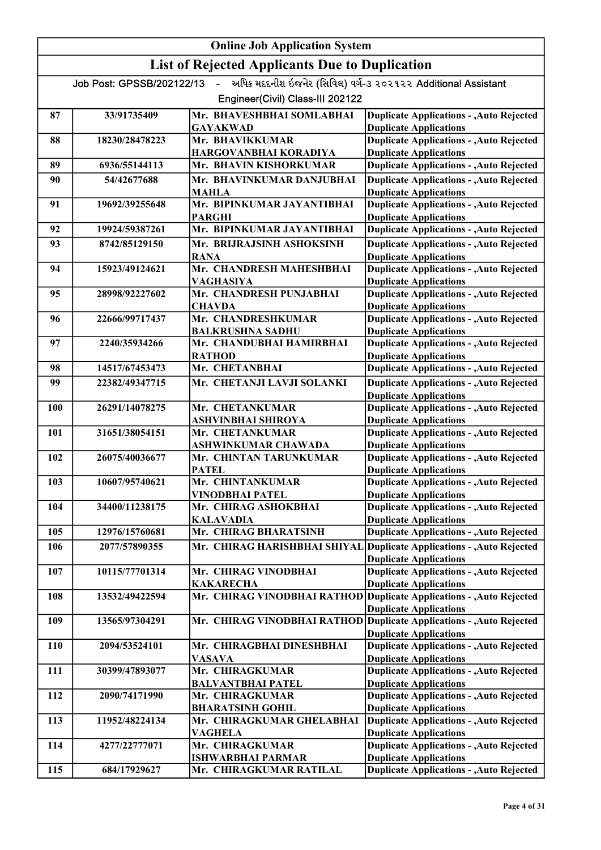|            | <b>Online Job Application System</b> |                                                       |                                                                                  |  |
|------------|--------------------------------------|-------------------------------------------------------|----------------------------------------------------------------------------------|--|
|            |                                      | <b>List of Rejected Applicants Due to Duplication</b> |                                                                                  |  |
|            | Job Post: GPSSB/202122/13 -          |                                                       | અધિક મદદનીશ ઇજનેર (સિવિલ) વર્ગ-૩ ૨૦૨૧૨૨ Additional Assistant                     |  |
|            |                                      | Engineer(Civil) Class-III 202122                      |                                                                                  |  |
| 87         | 33/91735409                          | Mr. BHAVESHBHAI SOMLABHAI                             | <b>Duplicate Applications - , Auto Rejected</b>                                  |  |
|            |                                      | <b>GAYAKWAD</b>                                       | <b>Duplicate Applications</b>                                                    |  |
| 88         | 18230/28478223                       | Mr. BHAVIKKUMAR<br>HARGOVANBHAI KORADIYA              | <b>Duplicate Applications - , Auto Rejected</b><br><b>Duplicate Applications</b> |  |
| 89         | 6936/55144113                        | Mr. BHAVIN KISHORKUMAR                                | <b>Duplicate Applications - , Auto Rejected</b>                                  |  |
| 90         | 54/42677688                          | Mr. BHAVINKUMAR DANJUBHAI                             | <b>Duplicate Applications - , Auto Rejected</b>                                  |  |
|            |                                      | MAHLA                                                 | <b>Duplicate Applications</b>                                                    |  |
| 91         | 19692/39255648                       | Mr. BIPINKUMAR JAYANTIBHAI                            | <b>Duplicate Applications - , Auto Rejected</b>                                  |  |
|            |                                      | <b>PARGHI</b>                                         | <b>Duplicate Applications</b>                                                    |  |
| 92         | 19924/59387261                       | Mr. BIPINKUMAR JAYANTIBHAI                            | <b>Duplicate Applications - Auto Rejected</b>                                    |  |
| 93         | 8742/85129150                        | Mr. BRIJRAJSINH ASHOKSINH                             | <b>Duplicate Applications - , Auto Rejected</b>                                  |  |
|            |                                      | <b>RANA</b>                                           | <b>Duplicate Applications</b>                                                    |  |
| 94         | 15923/49124621                       | Mr. CHANDRESH MAHESHBHAI                              | <b>Duplicate Applications - , Auto Rejected</b>                                  |  |
| 95         | 28998/92227602                       | VAGHASIYA<br>Mr. CHANDRESH PUNJABHAI                  | <b>Duplicate Applications</b><br><b>Duplicate Applications - , Auto Rejected</b> |  |
|            |                                      | <b>CHAVDA</b>                                         | <b>Duplicate Applications</b>                                                    |  |
| 96         | 22666/99717437                       | Mr. CHANDRESHKUMAR                                    | <b>Duplicate Applications - , Auto Rejected</b>                                  |  |
|            |                                      | <b>BALKRUSHNA SADHU</b>                               | <b>Duplicate Applications</b>                                                    |  |
| 97         | 2240/35934266                        | Mr. CHANDUBHAI HAMIRBHAI                              | <b>Duplicate Applications - , Auto Rejected</b>                                  |  |
|            |                                      | <b>RATHOD</b>                                         | <b>Duplicate Applications</b>                                                    |  |
| 98         | 14517/67453473                       | Mr. CHETANBHAI                                        | <b>Duplicate Applications - , Auto Rejected</b>                                  |  |
| 99         | 22382/49347715                       | Mr. CHETANJI LAVJI SOLANKI                            | <b>Duplicate Applications - , Auto Rejected</b>                                  |  |
|            |                                      |                                                       | <b>Duplicate Applications</b>                                                    |  |
| <b>100</b> | 26291/14078275                       | Mr. CHETANKUMAR                                       | <b>Duplicate Applications - , Auto Rejected</b>                                  |  |
| 101        | 31651/38054151                       | ASHVINBHAI SHIROYA<br>Mr. CHETANKUMAR                 | <b>Duplicate Applications</b><br><b>Duplicate Applications - , Auto Rejected</b> |  |
|            |                                      | <b>ASHWINKUMAR CHAWADA</b>                            | <b>Duplicate Applications</b>                                                    |  |
| 102        | 26075/40036677                       | Mr. CHINTAN TARUNKUMAR                                | <b>Duplicate Applications - , Auto Rejected</b>                                  |  |
|            |                                      | <b>PATEL</b>                                          | <b>Duplicate Applications</b>                                                    |  |
| 103        | 10607/95740621                       | Mr. CHINTANKUMAR                                      | <b>Duplicate Applications - , Auto Rejected</b>                                  |  |
|            |                                      | <b>VINODBHAI PATEL</b>                                | <b>Duplicate Applications</b>                                                    |  |
| 104        | 34400/11238175                       | Mr. CHIRAG ASHOKBHAI                                  | <b>Duplicate Applications - , Auto Rejected</b>                                  |  |
|            | 12976/15760681                       | <b>KALAVADIA</b><br>Mr. CHIRAG BHARATSINH             | <b>Duplicate Applications</b><br><b>Duplicate Applications - , Auto Rejected</b> |  |
| 105        |                                      |                                                       |                                                                                  |  |
| 106        | 2077/57890355                        | Mr. CHIRAG HARISHBHAI SHIYAL                          | <b>Duplicate Applications - , Auto Rejected</b><br><b>Duplicate Applications</b> |  |
| 107        | 10115/77701314                       | Mr. CHIRAG VINODBHAI                                  | <b>Duplicate Applications - , Auto Rejected</b>                                  |  |
|            |                                      | <b>KAKARECHA</b>                                      | <b>Duplicate Applications</b>                                                    |  |
| 108        | 13532/49422594                       | Mr. CHIRAG VINODBHAI RATHOD                           | <b>Duplicate Applications - , Auto Rejected</b>                                  |  |
|            |                                      |                                                       | <b>Duplicate Applications</b>                                                    |  |
| 109        | 13565/97304291                       | Mr. CHIRAG VINODBHAI RATHOD                           | Duplicate Applications - , Auto Rejected                                         |  |
|            |                                      |                                                       | <b>Duplicate Applications</b>                                                    |  |
| <b>110</b> | 2094/53524101                        | Mr. CHIRAGBHAI DINESHBHAI                             | <b>Duplicate Applications - , Auto Rejected</b>                                  |  |
| 111        | 30399/47893077                       | VASAVA<br>Mr. CHIRAGKUMAR                             | <b>Duplicate Applications</b><br><b>Duplicate Applications - , Auto Rejected</b> |  |
|            |                                      | <b>BALVANTBHAI PATEL</b>                              | <b>Duplicate Applications</b>                                                    |  |
| 112        | 2090/74171990                        | Mr. CHIRAGKUMAR                                       | <b>Duplicate Applications - , Auto Rejected</b>                                  |  |
|            |                                      | <b>BHARATSINH GOHIL</b>                               | <b>Duplicate Applications</b>                                                    |  |
| 113        | 11952/48224134                       | Mr. CHIRAGKUMAR GHELABHAI                             | Duplicate Applications - , Auto Rejected                                         |  |
|            |                                      | VAGHELA                                               | <b>Duplicate Applications</b>                                                    |  |
| 114        | 4277/22777071                        | Mr. CHIRAGKUMAR                                       | <b>Duplicate Applications - , Auto Rejected</b>                                  |  |
| 115        | 684/17929627                         | ISHWARBHAI PARMAR<br>Mr. CHIRAGKUMAR RATILAL          | <b>Duplicate Applications</b><br><b>Duplicate Applications - , Auto Rejected</b> |  |
|            |                                      |                                                       |                                                                                  |  |

BAMANIYA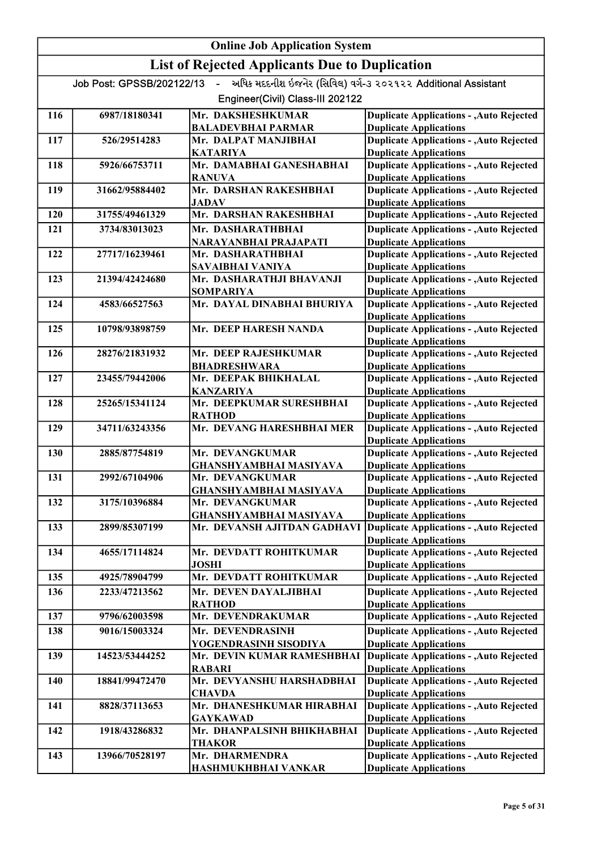|            | <b>Online Job Application System</b> |                                                              |                                                                                  |  |
|------------|--------------------------------------|--------------------------------------------------------------|----------------------------------------------------------------------------------|--|
|            |                                      | <b>List of Rejected Applicants Due to Duplication</b>        |                                                                                  |  |
|            | Job Post: GPSSB/202122/13            | $\mathbf{u}$ .                                               | અધિક મદદનીશ ઇજનેર (સિવિલ) વર્ગ-3 ૨૦૨૧૨૨ Additional Assistant                     |  |
|            |                                      | Engineer(Civil) Class-III 202122                             |                                                                                  |  |
| 116        | 6987/18180341                        | Mr. DAKSHESHKUMAR                                            | <b>Duplicate Applications - , Auto Rejected</b>                                  |  |
|            |                                      | <b>BALADEVBHAI PARMAR</b>                                    | <b>Duplicate Applications</b>                                                    |  |
| 117        | 526/29514283                         | Mr. DALPAT MANJIBHAI<br><b>KATARIYA</b>                      | <b>Duplicate Applications - , Auto Rejected</b><br><b>Duplicate Applications</b> |  |
| 118        | 5926/66753711                        | Mr. DAMABHAI GANESHABHAI                                     | <b>Duplicate Applications - , Auto Rejected</b>                                  |  |
|            |                                      | <b>RANUVA</b>                                                | <b>Duplicate Applications</b>                                                    |  |
| 119        | 31662/95884402                       | Mr. DARSHAN RAKESHBHAI                                       | <b>Duplicate Applications - , Auto Rejected</b>                                  |  |
|            |                                      | <b>JADAV</b>                                                 | <b>Duplicate Applications</b>                                                    |  |
| <b>120</b> | 31755/49461329                       | Mr. DARSHAN RAKESHBHAI                                       | <b>Duplicate Applications - , Auto Rejected</b>                                  |  |
| 121        | 3734/83013023                        | Mr. DASHARATHBHAI                                            | <b>Duplicate Applications - , Auto Rejected</b>                                  |  |
|            |                                      | NARAYANBHAI PRAJAPATI                                        | <b>Duplicate Applications</b>                                                    |  |
| 122        | 27717/16239461                       | Mr. DASHARATHBHAI                                            | <b>Duplicate Applications - , Auto Rejected</b>                                  |  |
| 123        | 21394/42424680                       | SAVAIBHAI VANIYA<br>Mr. DASHARATHJI BHAVANJI                 | <b>Duplicate Applications</b>                                                    |  |
|            |                                      | <b>SOMPARIYA</b>                                             | <b>Duplicate Applications - , Auto Rejected</b><br><b>Duplicate Applications</b> |  |
| 124        | 4583/66527563                        | Mr. DAYAL DINABHAI BHURIYA                                   | <b>Duplicate Applications - , Auto Rejected</b>                                  |  |
|            |                                      |                                                              | <b>Duplicate Applications</b>                                                    |  |
| 125        | 10798/93898759                       | Mr. DEEP HARESH NANDA                                        | <b>Duplicate Applications - , Auto Rejected</b>                                  |  |
|            |                                      |                                                              | <b>Duplicate Applications</b>                                                    |  |
| 126        | 28276/21831932                       | Mr. DEEP RAJESHKUMAR                                         | <b>Duplicate Applications - , Auto Rejected</b>                                  |  |
|            |                                      | <b>BHADRESHWARA</b>                                          | <b>Duplicate Applications</b>                                                    |  |
| 127        | 23455/79442006                       | Mr. DEEPAK BHIKHALAL                                         | <b>Duplicate Applications - , Auto Rejected</b>                                  |  |
|            |                                      | <b>KANZARIYA</b><br>Mr. DEEPKUMAR SURESHBHAI                 | <b>Duplicate Applications</b>                                                    |  |
| 128        | 25265/15341124                       | <b>RATHOD</b>                                                | <b>Duplicate Applications - , Auto Rejected</b><br><b>Duplicate Applications</b> |  |
| 129        | 34711/63243356                       | Mr. DEVANG HARESHBHAI MER                                    | <b>Duplicate Applications - , Auto Rejected</b>                                  |  |
|            |                                      |                                                              | <b>Duplicate Applications</b>                                                    |  |
| 130        | 2885/87754819                        | Mr. DEVANGKUMAR                                              | <b>Duplicate Applications - , Auto Rejected</b>                                  |  |
|            |                                      | <b>GHANSHYAMBHAI MASIYAVA</b>                                | <b>Duplicate Applications</b>                                                    |  |
| 131        | 2992/67104906                        | Mr. DEVANGKUMAR                                              | <b>Duplicate Applications - , Auto Rejected</b>                                  |  |
|            |                                      | <b>GHANSHYAMBHAI MASIYAVA</b>                                | <b>Duplicate Applications</b>                                                    |  |
| 132        | 3175/10396884                        | Mr. DEVANGKUMAR                                              | <b>Duplicate Applications - , Auto Rejected</b>                                  |  |
| 133        | 2899/85307199                        | <b>GHANSHYAMBHAI MASIYAVA</b><br>Mr. DEVANSH AJITDAN GADHAVI | <b>Duplicate Applications</b><br><b>Duplicate Applications - , Auto Rejected</b> |  |
|            |                                      |                                                              | <b>Duplicate Applications</b>                                                    |  |
| 134        | 4655/17114824                        | Mr. DEVDATT ROHITKUMAR                                       | <b>Duplicate Applications - , Auto Rejected</b>                                  |  |
|            |                                      | <b>JOSHI</b>                                                 | <b>Duplicate Applications</b>                                                    |  |
| 135        | 4925/78904799                        | Mr. DEVDATT ROHITKUMAR                                       | <b>Duplicate Applications - , Auto Rejected</b>                                  |  |
| 136        | 2233/47213562                        | Mr. DEVEN DAYALJIBHAI                                        | <b>Duplicate Applications - , Auto Rejected</b>                                  |  |
|            |                                      | <b>RATHOD</b>                                                | <b>Duplicate Applications</b>                                                    |  |
| 137        | 9796/62003598                        | Mr. DEVENDRAKUMAR                                            | <b>Duplicate Applications - , Auto Rejected</b>                                  |  |
| 138        | 9016/15003324                        | Mr. DEVENDRASINH                                             | <b>Duplicate Applications - , Auto Rejected</b>                                  |  |
|            |                                      | YOGENDRASINH SISODIYA                                        | <b>Duplicate Applications</b>                                                    |  |
| 139        | 14523/53444252                       | Mr. DEVIN KUMAR RAMESHBHAI                                   | <b>Duplicate Applications - , Auto Rejected</b>                                  |  |
|            |                                      | <b>RABARI</b>                                                | <b>Duplicate Applications</b>                                                    |  |
| 140        | 18841/99472470                       | Mr. DEVYANSHU HARSHADBHAI                                    | <b>Duplicate Applications - , Auto Rejected</b>                                  |  |
| 141        | 8828/37113653                        | <b>CHAVDA</b><br>Mr. DHANESHKUMAR HIRABHAI                   | <b>Duplicate Applications</b><br><b>Duplicate Applications - , Auto Rejected</b> |  |
|            |                                      | <b>GAYKAWAD</b>                                              | <b>Duplicate Applications</b>                                                    |  |
| 142        | 1918/43286832                        | Mr. DHANPALSINH BHIKHABHAI                                   | <b>Duplicate Applications - , Auto Rejected</b>                                  |  |
|            |                                      | <b>THAKOR</b>                                                | <b>Duplicate Applications</b>                                                    |  |
| 143        | 13966/70528197                       | Mr. DHARMENDRA                                               | <b>Duplicate Applications - , Auto Rejected</b>                                  |  |
|            |                                      | HASHMUKHBHAI VANKAR                                          | <b>Duplicate Applications</b>                                                    |  |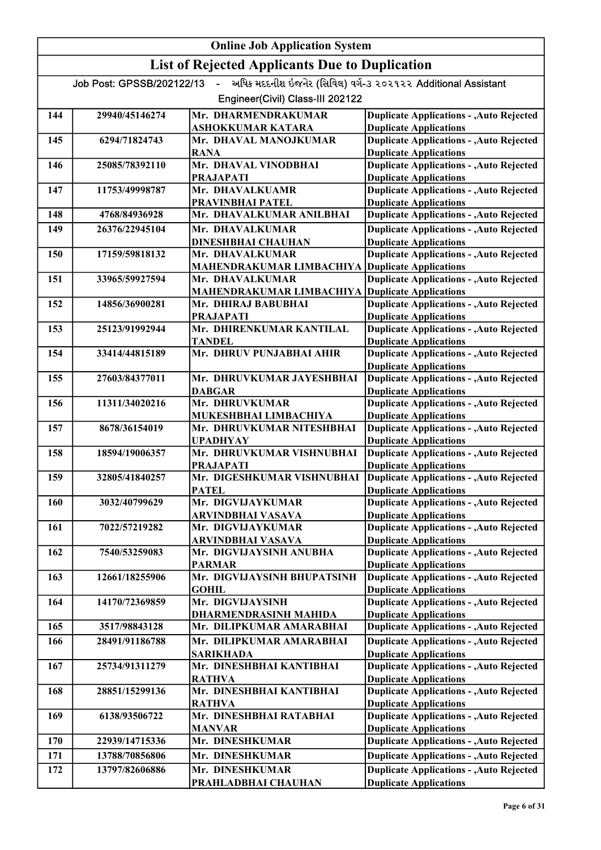| <b>List of Rejected Applicants Due to Duplication</b><br>અધિક મદદનીશ ઇજનેર (સિવિલ) વર્ગ-૩ ૨૦૨૧૨૨ Additional Assistant<br>Job Post: GPSSB/202122/13<br>$\mathbf{L}^{\text{max}}$<br>Engineer(Civil) Class-III 202122<br>Mr. DHARMENDRAKUMAR<br>29940/45146274<br><b>Duplicate Applications - , Auto Rejected</b><br>144<br><b>Duplicate Applications</b><br>ASHOKKUMAR KATARA<br><b>Duplicate Applications - , Auto Rejected</b><br>6294/71824743<br>Mr. DHAVAL MANOJKUMAR<br>145<br><b>RANA</b><br><b>Duplicate Applications</b><br>Mr. DHAVAL VINODBHAI<br>25085/78392110<br>146<br><b>Duplicate Applications</b><br><b>PRAJAPATI</b><br><b>Duplicate Applications - , Auto Rejected</b><br>Mr. DHAVALKUAMR<br>147<br>11753/49998787<br><b>Duplicate Applications</b><br>PRAVINBHAI PATEL<br><b>Duplicate Applications - , Auto Rejected</b><br>Mr. DHAVALKUMAR ANILBHAI<br>4768/84936928<br>148<br><b>Duplicate Applications - , Auto Rejected</b><br>Mr. DHAVALKUMAR<br>149<br>26376/22945104<br><b>Duplicate Applications</b><br><b>DINESHBHAI CHAUHAN</b><br>17159/59818132<br>Mr. DHAVALKUMAR<br>150<br><b>Duplicate Applications</b><br>MAHENDRAKUMAR LIMBACHIYA<br><b>Duplicate Applications - , Auto Rejected</b><br>Mr. DHAVALKUMAR<br>151<br>33965/59927594<br><b>Duplicate Applications</b><br>MAHENDRAKUMAR LIMBACHIYA<br><b>Duplicate Applications - , Auto Rejected</b><br>14856/36900281<br>152<br>Mr. DHIRAJ BABUBHAI<br><b>Duplicate Applications</b><br><b>PRAJAPATI</b><br>Mr. DHIRENKUMAR KANTILAL<br>25123/91992944<br>153<br><b>Duplicate Applications</b><br><b>TANDEL</b><br>Mr. DHRUV PUNJABHAI AHIR<br>154<br>33414/44815189<br><b>Duplicate Applications</b><br><b>Duplicate Applications - , Auto Rejected</b><br>27603/84377011<br>Mr. DHRUVKUMAR JAYESHBHAI<br>155<br><b>DABGAR</b><br><b>Duplicate Applications</b><br><b>Duplicate Applications - , Auto Rejected</b><br>Mr. DHRUVKUMAR<br>11311/34020216<br>156 | <b>Online Job Application System</b> |  |                                                 |  |
|---------------------------------------------------------------------------------------------------------------------------------------------------------------------------------------------------------------------------------------------------------------------------------------------------------------------------------------------------------------------------------------------------------------------------------------------------------------------------------------------------------------------------------------------------------------------------------------------------------------------------------------------------------------------------------------------------------------------------------------------------------------------------------------------------------------------------------------------------------------------------------------------------------------------------------------------------------------------------------------------------------------------------------------------------------------------------------------------------------------------------------------------------------------------------------------------------------------------------------------------------------------------------------------------------------------------------------------------------------------------------------------------------------------------------------------------------------------------------------------------------------------------------------------------------------------------------------------------------------------------------------------------------------------------------------------------------------------------------------------------------------------------------------------------------------------------------------------------------------------------------------------------------------------------------------------------------|--------------------------------------|--|-------------------------------------------------|--|
|                                                                                                                                                                                                                                                                                                                                                                                                                                                                                                                                                                                                                                                                                                                                                                                                                                                                                                                                                                                                                                                                                                                                                                                                                                                                                                                                                                                                                                                                                                                                                                                                                                                                                                                                                                                                                                                                                                                                                   |                                      |  |                                                 |  |
|                                                                                                                                                                                                                                                                                                                                                                                                                                                                                                                                                                                                                                                                                                                                                                                                                                                                                                                                                                                                                                                                                                                                                                                                                                                                                                                                                                                                                                                                                                                                                                                                                                                                                                                                                                                                                                                                                                                                                   |                                      |  |                                                 |  |
|                                                                                                                                                                                                                                                                                                                                                                                                                                                                                                                                                                                                                                                                                                                                                                                                                                                                                                                                                                                                                                                                                                                                                                                                                                                                                                                                                                                                                                                                                                                                                                                                                                                                                                                                                                                                                                                                                                                                                   |                                      |  |                                                 |  |
|                                                                                                                                                                                                                                                                                                                                                                                                                                                                                                                                                                                                                                                                                                                                                                                                                                                                                                                                                                                                                                                                                                                                                                                                                                                                                                                                                                                                                                                                                                                                                                                                                                                                                                                                                                                                                                                                                                                                                   |                                      |  |                                                 |  |
|                                                                                                                                                                                                                                                                                                                                                                                                                                                                                                                                                                                                                                                                                                                                                                                                                                                                                                                                                                                                                                                                                                                                                                                                                                                                                                                                                                                                                                                                                                                                                                                                                                                                                                                                                                                                                                                                                                                                                   |                                      |  |                                                 |  |
|                                                                                                                                                                                                                                                                                                                                                                                                                                                                                                                                                                                                                                                                                                                                                                                                                                                                                                                                                                                                                                                                                                                                                                                                                                                                                                                                                                                                                                                                                                                                                                                                                                                                                                                                                                                                                                                                                                                                                   |                                      |  |                                                 |  |
|                                                                                                                                                                                                                                                                                                                                                                                                                                                                                                                                                                                                                                                                                                                                                                                                                                                                                                                                                                                                                                                                                                                                                                                                                                                                                                                                                                                                                                                                                                                                                                                                                                                                                                                                                                                                                                                                                                                                                   |                                      |  |                                                 |  |
|                                                                                                                                                                                                                                                                                                                                                                                                                                                                                                                                                                                                                                                                                                                                                                                                                                                                                                                                                                                                                                                                                                                                                                                                                                                                                                                                                                                                                                                                                                                                                                                                                                                                                                                                                                                                                                                                                                                                                   |                                      |  | <b>Duplicate Applications - , Auto Rejected</b> |  |
|                                                                                                                                                                                                                                                                                                                                                                                                                                                                                                                                                                                                                                                                                                                                                                                                                                                                                                                                                                                                                                                                                                                                                                                                                                                                                                                                                                                                                                                                                                                                                                                                                                                                                                                                                                                                                                                                                                                                                   |                                      |  |                                                 |  |
|                                                                                                                                                                                                                                                                                                                                                                                                                                                                                                                                                                                                                                                                                                                                                                                                                                                                                                                                                                                                                                                                                                                                                                                                                                                                                                                                                                                                                                                                                                                                                                                                                                                                                                                                                                                                                                                                                                                                                   |                                      |  |                                                 |  |
|                                                                                                                                                                                                                                                                                                                                                                                                                                                                                                                                                                                                                                                                                                                                                                                                                                                                                                                                                                                                                                                                                                                                                                                                                                                                                                                                                                                                                                                                                                                                                                                                                                                                                                                                                                                                                                                                                                                                                   |                                      |  |                                                 |  |
|                                                                                                                                                                                                                                                                                                                                                                                                                                                                                                                                                                                                                                                                                                                                                                                                                                                                                                                                                                                                                                                                                                                                                                                                                                                                                                                                                                                                                                                                                                                                                                                                                                                                                                                                                                                                                                                                                                                                                   |                                      |  |                                                 |  |
|                                                                                                                                                                                                                                                                                                                                                                                                                                                                                                                                                                                                                                                                                                                                                                                                                                                                                                                                                                                                                                                                                                                                                                                                                                                                                                                                                                                                                                                                                                                                                                                                                                                                                                                                                                                                                                                                                                                                                   |                                      |  |                                                 |  |
|                                                                                                                                                                                                                                                                                                                                                                                                                                                                                                                                                                                                                                                                                                                                                                                                                                                                                                                                                                                                                                                                                                                                                                                                                                                                                                                                                                                                                                                                                                                                                                                                                                                                                                                                                                                                                                                                                                                                                   |                                      |  | <b>Duplicate Applications - , Auto Rejected</b> |  |
|                                                                                                                                                                                                                                                                                                                                                                                                                                                                                                                                                                                                                                                                                                                                                                                                                                                                                                                                                                                                                                                                                                                                                                                                                                                                                                                                                                                                                                                                                                                                                                                                                                                                                                                                                                                                                                                                                                                                                   |                                      |  |                                                 |  |
|                                                                                                                                                                                                                                                                                                                                                                                                                                                                                                                                                                                                                                                                                                                                                                                                                                                                                                                                                                                                                                                                                                                                                                                                                                                                                                                                                                                                                                                                                                                                                                                                                                                                                                                                                                                                                                                                                                                                                   |                                      |  |                                                 |  |
|                                                                                                                                                                                                                                                                                                                                                                                                                                                                                                                                                                                                                                                                                                                                                                                                                                                                                                                                                                                                                                                                                                                                                                                                                                                                                                                                                                                                                                                                                                                                                                                                                                                                                                                                                                                                                                                                                                                                                   |                                      |  |                                                 |  |
|                                                                                                                                                                                                                                                                                                                                                                                                                                                                                                                                                                                                                                                                                                                                                                                                                                                                                                                                                                                                                                                                                                                                                                                                                                                                                                                                                                                                                                                                                                                                                                                                                                                                                                                                                                                                                                                                                                                                                   |                                      |  |                                                 |  |
|                                                                                                                                                                                                                                                                                                                                                                                                                                                                                                                                                                                                                                                                                                                                                                                                                                                                                                                                                                                                                                                                                                                                                                                                                                                                                                                                                                                                                                                                                                                                                                                                                                                                                                                                                                                                                                                                                                                                                   |                                      |  | <b>Duplicate Applications - , Auto Rejected</b> |  |
|                                                                                                                                                                                                                                                                                                                                                                                                                                                                                                                                                                                                                                                                                                                                                                                                                                                                                                                                                                                                                                                                                                                                                                                                                                                                                                                                                                                                                                                                                                                                                                                                                                                                                                                                                                                                                                                                                                                                                   |                                      |  |                                                 |  |
|                                                                                                                                                                                                                                                                                                                                                                                                                                                                                                                                                                                                                                                                                                                                                                                                                                                                                                                                                                                                                                                                                                                                                                                                                                                                                                                                                                                                                                                                                                                                                                                                                                                                                                                                                                                                                                                                                                                                                   |                                      |  | <b>Duplicate Applications - , Auto Rejected</b> |  |
|                                                                                                                                                                                                                                                                                                                                                                                                                                                                                                                                                                                                                                                                                                                                                                                                                                                                                                                                                                                                                                                                                                                                                                                                                                                                                                                                                                                                                                                                                                                                                                                                                                                                                                                                                                                                                                                                                                                                                   |                                      |  |                                                 |  |
|                                                                                                                                                                                                                                                                                                                                                                                                                                                                                                                                                                                                                                                                                                                                                                                                                                                                                                                                                                                                                                                                                                                                                                                                                                                                                                                                                                                                                                                                                                                                                                                                                                                                                                                                                                                                                                                                                                                                                   |                                      |  |                                                 |  |
|                                                                                                                                                                                                                                                                                                                                                                                                                                                                                                                                                                                                                                                                                                                                                                                                                                                                                                                                                                                                                                                                                                                                                                                                                                                                                                                                                                                                                                                                                                                                                                                                                                                                                                                                                                                                                                                                                                                                                   |                                      |  |                                                 |  |
| <b>Duplicate Applications</b><br>MUKESHBHAI LIMBACHIYA                                                                                                                                                                                                                                                                                                                                                                                                                                                                                                                                                                                                                                                                                                                                                                                                                                                                                                                                                                                                                                                                                                                                                                                                                                                                                                                                                                                                                                                                                                                                                                                                                                                                                                                                                                                                                                                                                            |                                      |  |                                                 |  |
| 157<br>8678/36154019<br>Mr. DHRUVKUMAR NITESHBHAI                                                                                                                                                                                                                                                                                                                                                                                                                                                                                                                                                                                                                                                                                                                                                                                                                                                                                                                                                                                                                                                                                                                                                                                                                                                                                                                                                                                                                                                                                                                                                                                                                                                                                                                                                                                                                                                                                                 |                                      |  | <b>Duplicate Applications - , Auto Rejected</b> |  |
| <b>UPADHYAY</b><br><b>Duplicate Applications</b>                                                                                                                                                                                                                                                                                                                                                                                                                                                                                                                                                                                                                                                                                                                                                                                                                                                                                                                                                                                                                                                                                                                                                                                                                                                                                                                                                                                                                                                                                                                                                                                                                                                                                                                                                                                                                                                                                                  |                                      |  |                                                 |  |
| Mr. DHRUVKUMAR VISHNUBHAI<br>158<br>18594/19006357                                                                                                                                                                                                                                                                                                                                                                                                                                                                                                                                                                                                                                                                                                                                                                                                                                                                                                                                                                                                                                                                                                                                                                                                                                                                                                                                                                                                                                                                                                                                                                                                                                                                                                                                                                                                                                                                                                |                                      |  | <b>Duplicate Applications - , Auto Rejected</b> |  |
| <b>PRAJAPATI</b><br><b>Duplicate Applications</b><br>Mr. DIGESHKUMAR VISHNUBHAI<br>159<br>32805/41840257                                                                                                                                                                                                                                                                                                                                                                                                                                                                                                                                                                                                                                                                                                                                                                                                                                                                                                                                                                                                                                                                                                                                                                                                                                                                                                                                                                                                                                                                                                                                                                                                                                                                                                                                                                                                                                          |                                      |  | <b>Duplicate Applications - , Auto Rejected</b> |  |
| <b>Duplicate Applications</b><br><b>PATEL</b>                                                                                                                                                                                                                                                                                                                                                                                                                                                                                                                                                                                                                                                                                                                                                                                                                                                                                                                                                                                                                                                                                                                                                                                                                                                                                                                                                                                                                                                                                                                                                                                                                                                                                                                                                                                                                                                                                                     |                                      |  |                                                 |  |
| 160<br>Mr. DIGVIJAYKUMAR<br>3032/40799629                                                                                                                                                                                                                                                                                                                                                                                                                                                                                                                                                                                                                                                                                                                                                                                                                                                                                                                                                                                                                                                                                                                                                                                                                                                                                                                                                                                                                                                                                                                                                                                                                                                                                                                                                                                                                                                                                                         |                                      |  | <b>Duplicate Applications - , Auto Rejected</b> |  |
| <b>Duplicate Applications</b><br>ARVINDBHAI VASAVA                                                                                                                                                                                                                                                                                                                                                                                                                                                                                                                                                                                                                                                                                                                                                                                                                                                                                                                                                                                                                                                                                                                                                                                                                                                                                                                                                                                                                                                                                                                                                                                                                                                                                                                                                                                                                                                                                                |                                      |  |                                                 |  |
| 161<br>7022/57219282<br>Mr. DIGVIJAYKUMAR                                                                                                                                                                                                                                                                                                                                                                                                                                                                                                                                                                                                                                                                                                                                                                                                                                                                                                                                                                                                                                                                                                                                                                                                                                                                                                                                                                                                                                                                                                                                                                                                                                                                                                                                                                                                                                                                                                         |                                      |  | <b>Duplicate Applications - , Auto Rejected</b> |  |
| <b>Duplicate Applications</b><br>ARVINDBHAI VASAVA<br>7540/53259083<br>Mr. DIGVIJAYSINH ANUBHA                                                                                                                                                                                                                                                                                                                                                                                                                                                                                                                                                                                                                                                                                                                                                                                                                                                                                                                                                                                                                                                                                                                                                                                                                                                                                                                                                                                                                                                                                                                                                                                                                                                                                                                                                                                                                                                    |                                      |  | <b>Duplicate Applications - , Auto Rejected</b> |  |
| 162<br><b>Duplicate Applications</b><br><b>PARMAR</b>                                                                                                                                                                                                                                                                                                                                                                                                                                                                                                                                                                                                                                                                                                                                                                                                                                                                                                                                                                                                                                                                                                                                                                                                                                                                                                                                                                                                                                                                                                                                                                                                                                                                                                                                                                                                                                                                                             |                                      |  |                                                 |  |
| Mr. DIGVIJAYSINH BHUPATSINH<br>12661/18255906<br>163                                                                                                                                                                                                                                                                                                                                                                                                                                                                                                                                                                                                                                                                                                                                                                                                                                                                                                                                                                                                                                                                                                                                                                                                                                                                                                                                                                                                                                                                                                                                                                                                                                                                                                                                                                                                                                                                                              |                                      |  | <b>Duplicate Applications - , Auto Rejected</b> |  |
| <b>Duplicate Applications</b><br><b>GOHIL</b>                                                                                                                                                                                                                                                                                                                                                                                                                                                                                                                                                                                                                                                                                                                                                                                                                                                                                                                                                                                                                                                                                                                                                                                                                                                                                                                                                                                                                                                                                                                                                                                                                                                                                                                                                                                                                                                                                                     |                                      |  |                                                 |  |
| Mr. DIGVIJAYSINH<br>164<br>14170/72369859                                                                                                                                                                                                                                                                                                                                                                                                                                                                                                                                                                                                                                                                                                                                                                                                                                                                                                                                                                                                                                                                                                                                                                                                                                                                                                                                                                                                                                                                                                                                                                                                                                                                                                                                                                                                                                                                                                         |                                      |  | <b>Duplicate Applications - , Auto Rejected</b> |  |
| <b>DHARMENDRASINH MAHIDA</b><br><b>Duplicate Applications</b>                                                                                                                                                                                                                                                                                                                                                                                                                                                                                                                                                                                                                                                                                                                                                                                                                                                                                                                                                                                                                                                                                                                                                                                                                                                                                                                                                                                                                                                                                                                                                                                                                                                                                                                                                                                                                                                                                     |                                      |  |                                                 |  |
| 3517/98843128<br>Mr. DILIPKUMAR AMARABHAI<br>165                                                                                                                                                                                                                                                                                                                                                                                                                                                                                                                                                                                                                                                                                                                                                                                                                                                                                                                                                                                                                                                                                                                                                                                                                                                                                                                                                                                                                                                                                                                                                                                                                                                                                                                                                                                                                                                                                                  |                                      |  | <b>Duplicate Applications - , Auto Rejected</b> |  |
| Mr. DILIPKUMAR AMARABHAI<br>166<br>28491/91186788<br><b>Duplicate Applications</b><br><b>SARIKHADA</b>                                                                                                                                                                                                                                                                                                                                                                                                                                                                                                                                                                                                                                                                                                                                                                                                                                                                                                                                                                                                                                                                                                                                                                                                                                                                                                                                                                                                                                                                                                                                                                                                                                                                                                                                                                                                                                            |                                      |  | <b>Duplicate Applications - , Auto Rejected</b> |  |
| 25734/91311279<br>Mr. DINESHBHAI KANTIBHAI<br>167                                                                                                                                                                                                                                                                                                                                                                                                                                                                                                                                                                                                                                                                                                                                                                                                                                                                                                                                                                                                                                                                                                                                                                                                                                                                                                                                                                                                                                                                                                                                                                                                                                                                                                                                                                                                                                                                                                 |                                      |  | <b>Duplicate Applications - , Auto Rejected</b> |  |
| <b>Duplicate Applications</b><br><b>RATHVA</b>                                                                                                                                                                                                                                                                                                                                                                                                                                                                                                                                                                                                                                                                                                                                                                                                                                                                                                                                                                                                                                                                                                                                                                                                                                                                                                                                                                                                                                                                                                                                                                                                                                                                                                                                                                                                                                                                                                    |                                      |  |                                                 |  |
| 28851/15299136<br>Mr. DINESHBHAI KANTIBHAI<br>168                                                                                                                                                                                                                                                                                                                                                                                                                                                                                                                                                                                                                                                                                                                                                                                                                                                                                                                                                                                                                                                                                                                                                                                                                                                                                                                                                                                                                                                                                                                                                                                                                                                                                                                                                                                                                                                                                                 |                                      |  | <b>Duplicate Applications - , Auto Rejected</b> |  |
| <b>Duplicate Applications</b><br><b>RATHVA</b>                                                                                                                                                                                                                                                                                                                                                                                                                                                                                                                                                                                                                                                                                                                                                                                                                                                                                                                                                                                                                                                                                                                                                                                                                                                                                                                                                                                                                                                                                                                                                                                                                                                                                                                                                                                                                                                                                                    |                                      |  |                                                 |  |
| Mr. DINESHBHAI RATABHAI<br>169<br>6138/93506722                                                                                                                                                                                                                                                                                                                                                                                                                                                                                                                                                                                                                                                                                                                                                                                                                                                                                                                                                                                                                                                                                                                                                                                                                                                                                                                                                                                                                                                                                                                                                                                                                                                                                                                                                                                                                                                                                                   |                                      |  | <b>Duplicate Applications - , Auto Rejected</b> |  |
| <b>Duplicate Applications</b><br><b>MANVAR</b><br>170<br>Mr. DINESHKUMAR<br>22939/14715336                                                                                                                                                                                                                                                                                                                                                                                                                                                                                                                                                                                                                                                                                                                                                                                                                                                                                                                                                                                                                                                                                                                                                                                                                                                                                                                                                                                                                                                                                                                                                                                                                                                                                                                                                                                                                                                        |                                      |  | <b>Duplicate Applications - , Auto Rejected</b> |  |
| 13788/70856806<br>Mr. DINESHKUMAR<br>171                                                                                                                                                                                                                                                                                                                                                                                                                                                                                                                                                                                                                                                                                                                                                                                                                                                                                                                                                                                                                                                                                                                                                                                                                                                                                                                                                                                                                                                                                                                                                                                                                                                                                                                                                                                                                                                                                                          |                                      |  | <b>Duplicate Applications - , Auto Rejected</b> |  |
| 172<br>13797/82606886<br>Mr. DINESHKUMAR                                                                                                                                                                                                                                                                                                                                                                                                                                                                                                                                                                                                                                                                                                                                                                                                                                                                                                                                                                                                                                                                                                                                                                                                                                                                                                                                                                                                                                                                                                                                                                                                                                                                                                                                                                                                                                                                                                          |                                      |  | <b>Duplicate Applications - , Auto Rejected</b> |  |
| <b>Duplicate Applications</b><br>PRAHLADBHAI CHAUHAN                                                                                                                                                                                                                                                                                                                                                                                                                                                                                                                                                                                                                                                                                                                                                                                                                                                                                                                                                                                                                                                                                                                                                                                                                                                                                                                                                                                                                                                                                                                                                                                                                                                                                                                                                                                                                                                                                              |                                      |  |                                                 |  |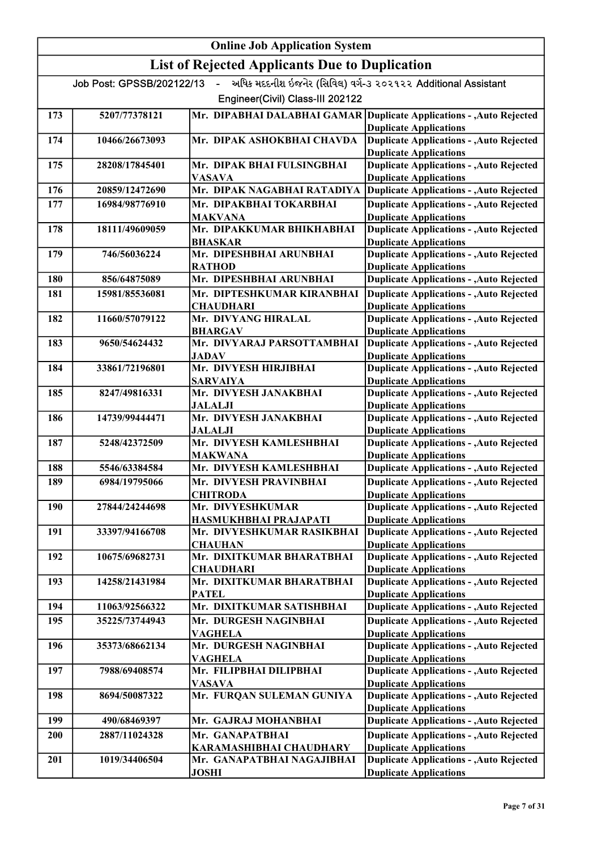|     |                           | <b>Online Job Application System</b>                  |                                                                                  |
|-----|---------------------------|-------------------------------------------------------|----------------------------------------------------------------------------------|
|     |                           | <b>List of Rejected Applicants Due to Duplication</b> |                                                                                  |
|     | Job Post: GPSSB/202122/13 | $\sim$                                                | અધિક મદદનીશ ઇજનેર (સિવિલ) વર્ગ-૩ ૨૦૨૧૨૨ Additional Assistant                     |
|     |                           | Engineer(Civil) Class-III 202122                      |                                                                                  |
| 173 | 5207/77378121             |                                                       | Mr. DIPABHAI DALABHAI GAMAR Duplicate Applications - , Auto Rejected             |
|     |                           |                                                       | <b>Duplicate Applications</b>                                                    |
| 174 | 10466/26673093            | Mr. DIPAK ASHOKBHAI CHAVDA                            | <b>Duplicate Applications - , Auto Rejected</b>                                  |
| 175 | 28208/17845401            | Mr. DIPAK BHAI FULSINGBHAI                            | <b>Duplicate Applications</b><br><b>Duplicate Applications - , Auto Rejected</b> |
|     |                           | <b>VASAVA</b>                                         | <b>Duplicate Applications</b>                                                    |
| 176 | 20859/12472690            | Mr. DIPAK NAGABHAI RATADIYA                           | <b>Duplicate Applications - , Auto Rejected</b>                                  |
| 177 | 16984/98776910            | Mr. DIPAKBHAI TOKARBHAI                               | <b>Duplicate Applications - , Auto Rejected</b>                                  |
|     |                           | MAKVANA                                               | <b>Duplicate Applications</b>                                                    |
| 178 | 18111/49609059            | Mr. DIPAKKUMAR BHIKHABHAI<br><b>BHASKAR</b>           | <b>Duplicate Applications - , Auto Rejected</b>                                  |
| 179 | 746/56036224              | Mr. DIPESHBHAI ARUNBHAI                               | <b>Duplicate Applications</b><br><b>Duplicate Applications - , Auto Rejected</b> |
|     |                           | <b>RATHOD</b>                                         | <b>Duplicate Applications</b>                                                    |
| 180 | 856/64875089              | Mr. DIPESHBHAI ARUNBHAI                               | <b>Duplicate Applications - , Auto Rejected</b>                                  |
| 181 | 15981/85536081            | Mr. DIPTESHKUMAR KIRANBHAI                            | <b>Duplicate Applications - , Auto Rejected</b>                                  |
|     |                           | <b>CHAUDHARI</b>                                      | <b>Duplicate Applications</b>                                                    |
| 182 | 11660/57079122            | Mr. DIVYANG HIRALAL<br><b>BHARGAV</b>                 | <b>Duplicate Applications - , Auto Rejected</b><br><b>Duplicate Applications</b> |
| 183 | 9650/54624432             | Mr. DIVYARAJ PARSOTTAMBHAI                            | <b>Duplicate Applications - , Auto Rejected</b>                                  |
|     |                           | JADAV                                                 | <b>Duplicate Applications</b>                                                    |
| 184 | 33861/72196801            | Mr. DIVYESH HIRJIBHAI                                 | <b>Duplicate Applications - , Auto Rejected</b>                                  |
|     |                           | <b>SARVAIYA</b>                                       | <b>Duplicate Applications</b>                                                    |
| 185 | 8247/49816331             | Mr. DIVYESH JANAKBHAI<br><b>JALALJI</b>               | <b>Duplicate Applications - , Auto Rejected</b><br><b>Duplicate Applications</b> |
| 186 | 14739/99444471            | Mr. DIVYESH JANAKBHAI                                 | <b>Duplicate Applications - , Auto Rejected</b>                                  |
|     |                           | <b>JALALJI</b>                                        | <b>Duplicate Applications</b>                                                    |
| 187 | 5248/42372509             | Mr. DIVYESH KAMLESHBHAI                               | <b>Duplicate Applications - , Auto Rejected</b>                                  |
| 188 | 5546/63384584             | <b>MAKWANA</b><br>Mr. DIVYESH KAMLESHBHAI             | <b>Duplicate Applications</b><br><b>Duplicate Applications - , Auto Rejected</b> |
| 189 | 6984/19795066             | Mr. DIVYESH PRAVINBHAI                                | <b>Duplicate Applications - , Auto Rejected</b>                                  |
|     |                           | <b>CHITRODA</b>                                       | <b>Duplicate Applications</b>                                                    |
| 190 | 27844/24244698            | Mr. DIVYESHKUMAR                                      | <b>Duplicate Applications - , Auto Rejected</b>                                  |
|     |                           | HASMUKHBHAI PRAJAPATI                                 | <b>Duplicate Applications</b>                                                    |
| 191 | 33397/94166708            | Mr. DIVYESHKUMAR RASIKBHAI<br><b>CHAUHAN</b>          | <b>Duplicate Applications - , Auto Rejected</b><br><b>Duplicate Applications</b> |
| 192 | 10675/69682731            | Mr. DIXITKUMAR BHARATBHAI                             | <b>Duplicate Applications - , Auto Rejected</b>                                  |
|     |                           | <b>CHAUDHARI</b>                                      | <b>Duplicate Applications</b>                                                    |
| 193 | 14258/21431984            | Mr. DIXITKUMAR BHARATBHAI                             | <b>Duplicate Applications - , Auto Rejected</b>                                  |
|     |                           | <b>PATEL</b>                                          | <b>Duplicate Applications</b>                                                    |
| 194 | 11063/92566322            | Mr. DIXITKUMAR SATISHBHAI                             | <b>Duplicate Applications - , Auto Rejected</b>                                  |
| 195 | 35225/73744943            | Mr. DURGESH NAGINBHAI<br>VAGHELA                      | <b>Duplicate Applications - , Auto Rejected</b><br><b>Duplicate Applications</b> |
| 196 | 35373/68662134            | Mr. DURGESH NAGINBHAI                                 | <b>Duplicate Applications - , Auto Rejected</b>                                  |
|     |                           | VAGHELA                                               | <b>Duplicate Applications</b>                                                    |
| 197 | 7988/69408574             | Mr. FILIPBHAI DILIPBHAI                               | <b>Duplicate Applications - , Auto Rejected</b>                                  |
| 198 | 8694/50087322             | VASAVA<br>Mr. FURQAN SULEMAN GUNIYA                   | <b>Duplicate Applications</b><br><b>Duplicate Applications - , Auto Rejected</b> |
|     |                           |                                                       | <b>Duplicate Applications</b>                                                    |
| 199 | 490/68469397              | Mr. GAJRAJ MOHANBHAI                                  | <b>Duplicate Applications - , Auto Rejected</b>                                  |
| 200 | 2887/11024328             | Mr. GANAPATBHAI                                       | <b>Duplicate Applications - , Auto Rejected</b>                                  |
|     |                           | KARAMASHIBHAI CHAUDHARY                               | <b>Duplicate Applications</b>                                                    |
| 201 | 1019/34406504             | Mr. GANAPATBHAI NAGAJIBHAI                            | <b>Duplicate Applications - , Auto Rejected</b>                                  |
|     |                           | <b>JOSHI</b>                                          | <b>Duplicate Applications</b>                                                    |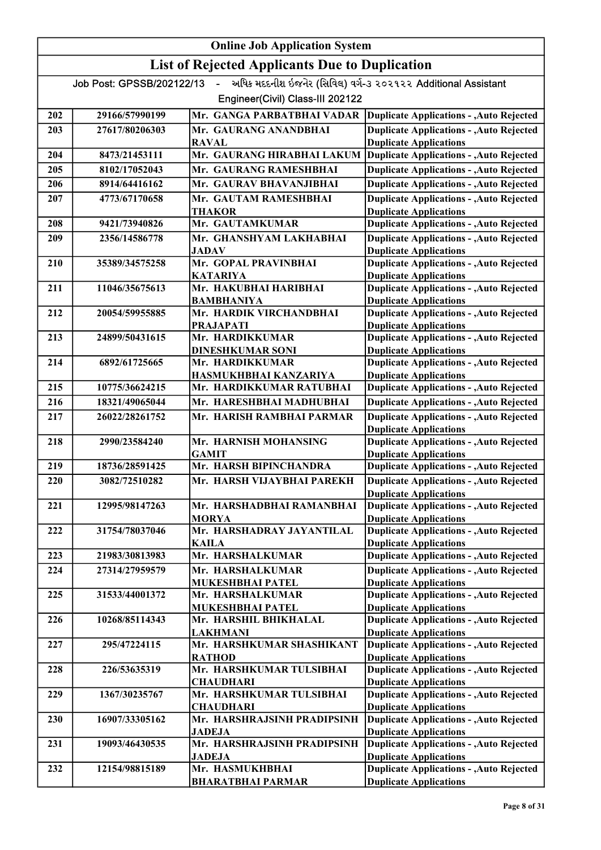|     | <b>Online Job Application System</b> |                                                       |                                                                                  |  |
|-----|--------------------------------------|-------------------------------------------------------|----------------------------------------------------------------------------------|--|
|     |                                      | <b>List of Rejected Applicants Due to Duplication</b> |                                                                                  |  |
|     | Job Post: GPSSB/202122/13            | $\sim$                                                | અધિક મદદનીશ ઇજનેર (સિવિલ) વર્ગ-૩ ૨૦૨૧૨૨ Additional Assistant                     |  |
|     |                                      | Engineer(Civil) Class-III 202122                      |                                                                                  |  |
| 202 | 29166/57990199                       | Mr. GANGA PARBATBHAI VADAR                            | <b>Duplicate Applications - , Auto Rejected</b>                                  |  |
| 203 | 27617/80206303                       | Mr. GAURANG ANANDBHAI                                 | <b>Duplicate Applications - , Auto Rejected</b>                                  |  |
|     |                                      | <b>RAVAL</b>                                          | <b>Duplicate Applications</b>                                                    |  |
| 204 | 8473/21453111                        | Mr. GAURANG HIRABHAI LAKUM                            | <b>Duplicate Applications - , Auto Rejected</b>                                  |  |
| 205 | 8102/17052043                        | Mr. GAURANG RAMESHBHAI                                | <b>Duplicate Applications - , Auto Rejected</b>                                  |  |
| 206 | 8914/64416162                        | Mr. GAURAV BHAVANJIBHAI                               | <b>Duplicate Applications - , Auto Rejected</b>                                  |  |
| 207 | 4773/67170658                        | Mr. GAUTAM RAMESHBHAI                                 | <b>Duplicate Applications - , Auto Rejected</b>                                  |  |
| 208 | 9421/73940826                        | <b>THAKOR</b><br>Mr. GAUTAMKUMAR                      | <b>Duplicate Applications</b><br><b>Duplicate Applications - , Auto Rejected</b> |  |
| 209 | 2356/14586778                        | Mr. GHANSHYAM LAKHABHAI                               | <b>Duplicate Applications - , Auto Rejected</b>                                  |  |
|     |                                      | JADAV                                                 | <b>Duplicate Applications</b>                                                    |  |
| 210 | 35389/34575258                       | Mr. GOPAL PRAVINBHAI                                  | <b>Duplicate Applications - , Auto Rejected</b>                                  |  |
|     |                                      | <b>KATARIYA</b>                                       | <b>Duplicate Applications</b>                                                    |  |
| 211 | 11046/35675613                       | Mr. HAKUBHAI HARIBHAI                                 | <b>Duplicate Applications - , Auto Rejected</b>                                  |  |
| 212 | 20054/59955885                       | <b>BAMBHANIYA</b><br>Mr. HARDIK VIRCHANDBHAI          | <b>Duplicate Applications</b><br><b>Duplicate Applications - , Auto Rejected</b> |  |
|     |                                      | PRAJAPATI                                             | <b>Duplicate Applications</b>                                                    |  |
| 213 | 24899/50431615                       | Mr. HARDIKKUMAR                                       | <b>Duplicate Applications - , Auto Rejected</b>                                  |  |
|     |                                      | <b>DINESHKUMAR SONI</b>                               | <b>Duplicate Applications</b>                                                    |  |
| 214 | 6892/61725665                        | Mr. HARDIKKUMAR                                       | <b>Duplicate Applications - , Auto Rejected</b>                                  |  |
|     |                                      | HASMUKHBHAI KANZARIYA                                 | <b>Duplicate Applications</b>                                                    |  |
| 215 | 10775/36624215                       | Mr. HARDIKKUMAR RATUBHAI                              | <b>Duplicate Applications - , Auto Rejected</b>                                  |  |
| 216 | 18321/49065044                       | Mr. HARESHBHAI MADHUBHAI                              | <b>Duplicate Applications - , Auto Rejected</b>                                  |  |
| 217 | 26022/28261752                       | Mr. HARISH RAMBHAI PARMAR                             | <b>Duplicate Applications - , Auto Rejected</b>                                  |  |
| 218 | 2990/23584240                        | Mr. HARNISH MOHANSING                                 | <b>Duplicate Applications</b><br><b>Duplicate Applications - , Auto Rejected</b> |  |
|     |                                      | <b>GAMIT</b>                                          | <b>Duplicate Applications</b>                                                    |  |
| 219 | 18736/28591425                       | Mr. HARSH BIPINCHANDRA                                | <b>Duplicate Applications - , Auto Rejected</b>                                  |  |
| 220 | 3082/72510282                        | Mr. HARSH VIJAYBHAI PAREKH                            | <b>Duplicate Applications - , Auto Rejected</b>                                  |  |
|     |                                      |                                                       | <b>Duplicate Applications</b>                                                    |  |
| 221 | 12995/98147263                       | Mr. HARSHADBHAI RAMANBHAI                             | <b>Duplicate Applications - , Auto Rejected</b>                                  |  |
| 222 | 31754/78037046                       | <b>MORYA</b><br>Mr. HARSHADRAY JAYANTILAL             | <b>Duplicate Applications</b><br><b>Duplicate Applications - , Auto Rejected</b> |  |
|     |                                      | <b>KAILA</b>                                          | <b>Duplicate Applications</b>                                                    |  |
| 223 | 21983/30813983                       | Mr. HARSHALKUMAR                                      | <b>Duplicate Applications - , Auto Rejected</b>                                  |  |
| 224 | 27314/27959579                       | Mr. HARSHALKUMAR                                      | <b>Duplicate Applications - , Auto Rejected</b>                                  |  |
|     |                                      | <b>MUKESHBHAI PATEL</b>                               | <b>Duplicate Applications</b>                                                    |  |
| 225 | 31533/44001372                       | Mr. HARSHALKUMAR                                      | <b>Duplicate Applications - , Auto Rejected</b>                                  |  |
|     |                                      | <b>MUKESHBHAI PATEL</b>                               | <b>Duplicate Applications</b>                                                    |  |
| 226 | 10268/85114343                       | Mr. HARSHIL BHIKHALAL<br><b>LAKHMANI</b>              | <b>Duplicate Applications - , Auto Rejected</b><br><b>Duplicate Applications</b> |  |
| 227 | 295/47224115                         | Mr. HARSHKUMAR SHASHIKANT                             | <b>Duplicate Applications - , Auto Rejected</b>                                  |  |
|     |                                      | <b>RATHOD</b>                                         | <b>Duplicate Applications</b>                                                    |  |
| 228 | 226/53635319                         | Mr. HARSHKUMAR TULSIBHAI                              | <b>Duplicate Applications - , Auto Rejected</b>                                  |  |
|     |                                      | <b>CHAUDHARI</b>                                      | <b>Duplicate Applications</b>                                                    |  |
| 229 | 1367/30235767                        | Mr. HARSHKUMAR TULSIBHAI                              | <b>Duplicate Applications - , Auto Rejected</b>                                  |  |
| 230 | 16907/33305162                       | <b>CHAUDHARI</b><br>Mr. HARSHRAJSINH PRADIPSINH       | <b>Duplicate Applications</b><br><b>Duplicate Applications - , Auto Rejected</b> |  |
|     |                                      | <b>JADEJA</b>                                         | <b>Duplicate Applications</b>                                                    |  |
| 231 | 19093/46430535                       | Mr. HARSHRAJSINH PRADIPSINH                           | <b>Duplicate Applications - , Auto Rejected</b>                                  |  |
|     |                                      | <b>JADEJA</b>                                         | <b>Duplicate Applications</b>                                                    |  |
| 232 | 12154/98815189                       | Mr. HASMUKHBHAI                                       | <b>Duplicate Applications - , Auto Rejected</b>                                  |  |
|     |                                      | <b>BHARATBHAI PARMAR</b>                              | <b>Duplicate Applications</b>                                                    |  |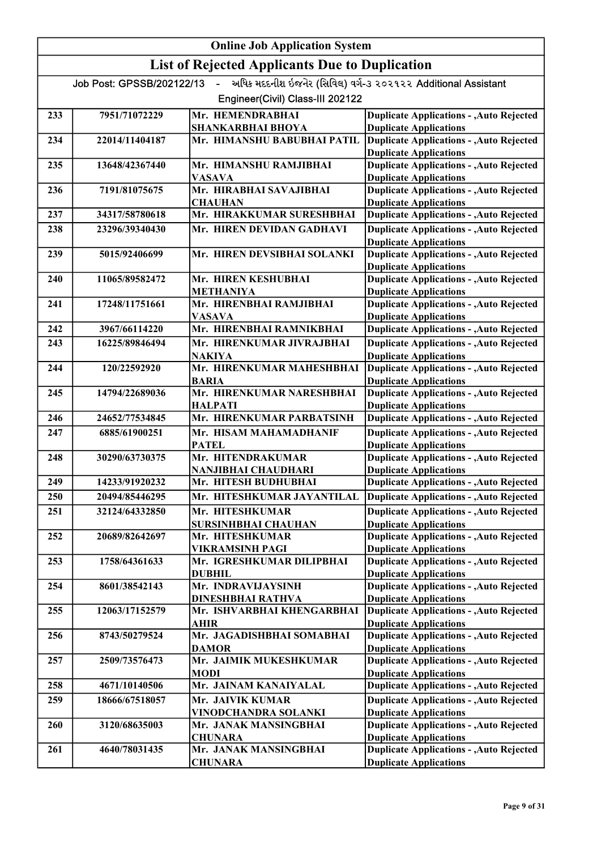|     | <b>Online Job Application System</b> |                                                           |                                                                                                                   |  |
|-----|--------------------------------------|-----------------------------------------------------------|-------------------------------------------------------------------------------------------------------------------|--|
|     |                                      | <b>List of Rejected Applicants Due to Duplication</b>     |                                                                                                                   |  |
|     | Job Post: GPSSB/202122/13            | $\mathbf{u}$ .<br>Engineer(Civil) Class-III 202122        | અધિક મદદનીશ ઇજનેર (સિવિલ) વર્ગ-૩ ૨૦૨૧૨૨ Additional Assistant                                                      |  |
| 233 | 7951/71072229                        | Mr. HEMENDRABHAI<br><b>SHANKARBHAI BHOYA</b>              | <b>Duplicate Applications - , Auto Rejected</b><br><b>Duplicate Applications</b>                                  |  |
| 234 | 22014/11404187                       | Mr. HIMANSHU BABUBHAI PATIL                               | <b>Duplicate Applications - , Auto Rejected</b><br><b>Duplicate Applications</b>                                  |  |
| 235 | 13648/42367440                       | Mr. HIMANSHU RAMJIBHAI<br><b>VASAVA</b>                   | <b>Duplicate Applications - , Auto Rejected</b><br><b>Duplicate Applications</b>                                  |  |
| 236 | 7191/81075675                        | Mr. HIRABHAI SAVAJIBHAI                                   | <b>Duplicate Applications - , Auto Rejected</b>                                                                   |  |
| 237 | 34317/58780618                       | <b>CHAUHAN</b><br>Mr. HIRAKKUMAR SURESHBHAI               | <b>Duplicate Applications</b><br><b>Duplicate Applications - , Auto Rejected</b>                                  |  |
| 238 | 23296/39340430                       | Mr. HIREN DEVIDAN GADHAVI                                 | <b>Duplicate Applications - , Auto Rejected</b><br><b>Duplicate Applications</b>                                  |  |
| 239 | 5015/92406699                        | Mr. HIREN DEVSIBHAI SOLANKI                               | <b>Duplicate Applications - , Auto Rejected</b><br><b>Duplicate Applications</b>                                  |  |
| 240 | 11065/89582472                       | Mr. HIREN KESHUBHAI<br><b>METHANIYA</b>                   | <b>Duplicate Applications - , Auto Rejected</b><br><b>Duplicate Applications</b>                                  |  |
| 241 | 17248/11751661                       | Mr. HIRENBHAI RAMJIBHAI<br><b>VASAVA</b>                  | <b>Duplicate Applications - , Auto Rejected</b>                                                                   |  |
| 242 | 3967/66114220                        | Mr. HIRENBHAI RAMNIKBHAI                                  | <b>Duplicate Applications</b><br><b>Duplicate Applications - , Auto Rejected</b>                                  |  |
| 243 | 16225/89846494                       | Mr. HIRENKUMAR JIVRAJBHAI                                 | <b>Duplicate Applications - , Auto Rejected</b>                                                                   |  |
| 244 | 120/22592920                         | <b>NAKIYA</b><br>Mr. HIRENKUMAR MAHESHBHAI                | <b>Duplicate Applications</b><br><b>Duplicate Applications - , Auto Rejected</b>                                  |  |
| 245 | 14794/22689036                       | <b>BARIA</b><br>Mr. HIRENKUMAR NARESHBHAI                 | <b>Duplicate Applications</b><br><b>Duplicate Applications - , Auto Rejected</b>                                  |  |
| 246 | 24652/77534845                       | <b>HALPATI</b><br>Mr. HIRENKUMAR PARBATSINH               | <b>Duplicate Applications</b><br><b>Duplicate Applications - , Auto Rejected</b>                                  |  |
| 247 | 6885/61900251                        | Mr. HISAM MAHAMADHANIF                                    | <b>Duplicate Applications - , Auto Rejected</b>                                                                   |  |
| 248 | 30290/63730375                       | <b>PATEL</b><br>Mr. HITENDRAKUMAR                         | <b>Duplicate Applications</b><br><b>Duplicate Applications - , Auto Rejected</b>                                  |  |
| 249 | 14233/91920232                       | NANJIBHAI CHAUDHARI<br>Mr. HITESH BUDHUBHAI               | <b>Duplicate Applications</b>                                                                                     |  |
| 250 | 20494/85446295                       | Mr. HITESHKUMAR JAYANTILAL                                | <b>Duplicate Applications - , Auto Rejected</b><br>Duplicate Applications - , Auto Rejected                       |  |
|     |                                      |                                                           |                                                                                                                   |  |
| 251 | 32124/64332850                       | Mr. HITESHKUMAR<br><b>SURSINHBHAI CHAUHAN</b>             | <b>Duplicate Applications - , Auto Rejected</b><br><b>Duplicate Applications</b>                                  |  |
| 252 | 20689/82642697                       | Mr. HITESHKUMAR<br>VIKRAMSINH PAGI                        | <b>Duplicate Applications - , Auto Rejected</b><br><b>Duplicate Applications</b>                                  |  |
| 253 | 1758/64361633                        | Mr. IGRESHKUMAR DILIPBHAI<br><b>DUBHIL</b>                | <b>Duplicate Applications - , Auto Rejected</b><br><b>Duplicate Applications</b>                                  |  |
| 254 | 8601/38542143                        | Mr. INDRAVIJAYSINH<br><b>DINESHBHAI RATHVA</b>            | <b>Duplicate Applications - , Auto Rejected</b><br><b>Duplicate Applications</b>                                  |  |
| 255 | 12063/17152579                       | Mr. ISHVARBHAI KHENGARBHAI<br>AHIR                        | <b>Duplicate Applications - , Auto Rejected</b><br><b>Duplicate Applications</b>                                  |  |
| 256 | 8743/50279524                        | Mr. JAGADISHBHAI SOMABHAI<br><b>DAMOR</b>                 | <b>Duplicate Applications - , Auto Rejected</b><br><b>Duplicate Applications</b>                                  |  |
| 257 | 2509/73576473                        | Mr. JAIMIK MUKESHKUMAR<br><b>MODI</b>                     | <b>Duplicate Applications - , Auto Rejected</b><br><b>Duplicate Applications</b>                                  |  |
| 258 | 4671/10140506                        | Mr. JAINAM KANAIYALAL                                     | <b>Duplicate Applications - , Auto Rejected</b>                                                                   |  |
| 259 | 18666/67518057                       | Mr. JAIVIK KUMAR                                          | <b>Duplicate Applications - , Auto Rejected</b>                                                                   |  |
| 260 | 3120/68635003                        | VINODCHANDRA SOLANKI<br>Mr. JANAK MANSINGBHAI             | <b>Duplicate Applications</b><br><b>Duplicate Applications - , Auto Rejected</b>                                  |  |
| 261 | 4640/78031435                        | <b>CHUNARA</b><br>Mr. JANAK MANSINGBHAI<br><b>CHUNARA</b> | <b>Duplicate Applications</b><br><b>Duplicate Applications - , Auto Rejected</b><br><b>Duplicate Applications</b> |  |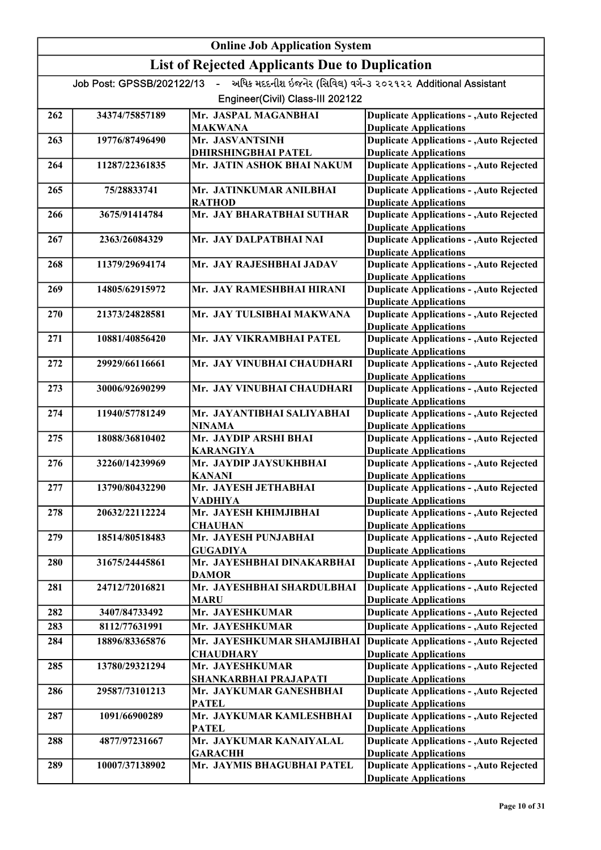# Online Job Application System List of Rejected Applicants Due to Duplication Job Post: GPSSB/202122/13 - અધિક મદદનીશ ઇજનેર (સિવિલ) વર્ગ-૩ ૨૦૨૧૨૨ Additional Assistant Engineer(Civil) Class-III 202122 262 34374/75857189 Mr. JASPAL MAGANBHAI MAKWANA Duplicate Applications - ,Auto Rejected Duplicate Applications 263 19776/87496490 Mr. JASVANTSINH <mark>DHIRSHINGBHAI PATEL</mark><br>Mr. JATIN ASHOK BHAI NAKUM Duplicate Applications - ,Auto Rejected Duplicate Applications 264 11287/22361835 Mr. JATIN ASHOK BHAI NAKUM Duplicate Applications - ,Auto Rejected Duplicate Applications 265 75/28833741 Mr. JATINKUMAR ANILBHAI RATHOD Duplicate Applications - ,Auto Rejected Duplicate Applications 266 3675/91414784 Mr. JAY BHARATBHAI SUTHAR Duplicate Applications - ,Auto Rejected Duplicate Applications 267 2363/26084329 Mr. JAY DALPATBHAI NAI Duplicate Applications - ,Auto Rejected Duplicate Applications 268 11379/29694174 Mr. JAY RAJESHBHAI JADAV Duplicate Applications - ,Auto Rejected Duplicate Applications 269 14805/62915972 Mr. JAY RAMESHBHAI HIRANI Duplicate Applications - ,Auto Rejected Duplicate Applications 270 21373/24828581 Mr. JAY TULSIBHAI MAKWANA Duplicate Applications - ,Auto Rejected Duplicate Applications 271 10881/40856420 Mr. JAY VIKRAMBHAI PATEL Duplicate Applications - ,Auto Rejected Duplicate Applications 272 29929/66116661 Mr. JAY VINUBHAI CHAUDHARI Duplicate Applications - ,Auto Rejected Duplicate Applications 273 30006/92690299 Mr. JAY VINUBHAI CHAUDHARI Duplicate Applications - ,Auto Rejected Duplicate Applications 274 11940/57781249 Mr. JAYANTIBHAI SALIYABHAI NINAMA Duplicate Applications - ,Auto Rejected Duplicate Applications 275 18088/36810402 Mr. JAYDIP ARSHI BHAI KARANGIYA Duplicate Applications - ,Auto Rejected Duplicate Applications 276 32260/14239969 Mr. JAYDIP JAYSUKHBHAI KANANI Duplicate Applications - ,Auto Rejected Duplicate Applications 277 13790/80432290 Mr. JAYESH JETHABHAI VADHIYA Duplicate Applications - ,Auto Rejected Duplicate Applications 278 20632/22112224 Mr. JAYESH KHIMJIBHAI **CHAUHAN** Duplicate Applications - ,Auto Rejected Duplicate Applications 279 | 18514/80518483 Mr. JAYESH PUNJABHAI GUGADIYA Duplicate Applications - ,Auto Rejected Duplicate Applications 280 31675/24445861 Mr. JAYESHBHAI DINAKARBHAI DAMOR Duplicate Applications - ,Auto Rejected Duplicate Applications 281 24712/72016821 Mr. JAYESHBHAI SHARDULBHAI MARU Duplicate Applications - ,Auto Rejected Duplicate Applications 282 3407/84733492 Mr. JAYESHKUMAR Mr. JAYESHKUMAR Duplicate Applications - ,Auto Rejected 283 8112/77631991 Mr. JAYESHKUMAR Duplicate Applications - ,Auto Rejected 284 18896/83365876 Mr. JAYESHKUMAR SHAMJIBHAI Duplicate Applications **CHAUDHARY** Duplicate Applications - ,Auto Rejected Duplicate Applications 285 13780/29321294 Mr. JAYESHKUMAR SHANKARBHAI PRAJAPATI Duplicate Applications - ,Auto Rejected Duplicate Applications 286 29587/73101213 Mr. JAYKUMAR GANESHBHAI PATEL Duplicate Applications - ,Auto Rejected Duplicate Applications 287 1091/66900289 Mr. JAYKUMAR KAMLESHBHAI **PATEL** Duplicate Applications - ,Auto Rejected Duplicate Applications 288 4877/97231667 Mr. JAYKUMAR KANAIYALAL **GARACHH** Duplicate Applications - ,Auto Rejected Duplicate Applications 289 10007/37138902 Mr. JAYMIS BHAGUBHAI PATEL Duplicate Applications - ,Auto Rejected Duplicate Applications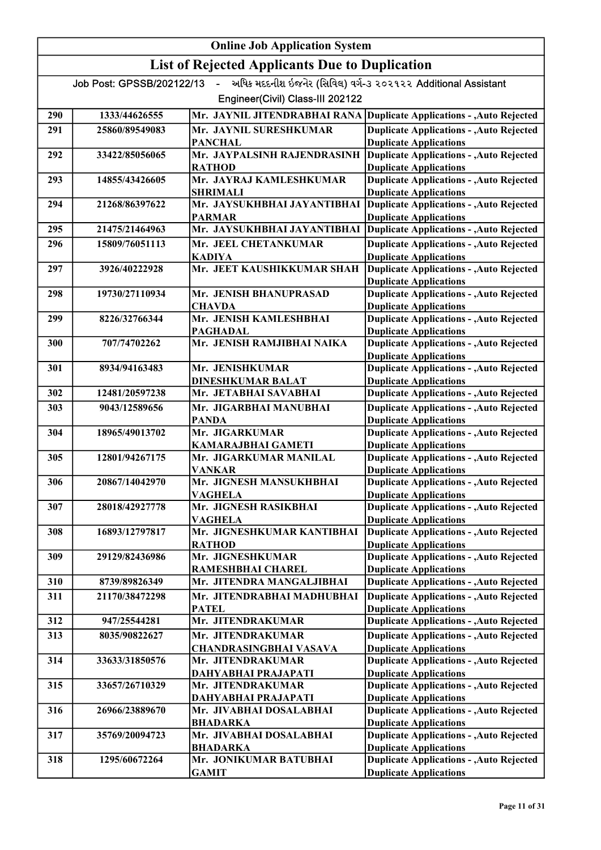|     | <b>Online Job Application System</b> |                                                       |                                                                                  |  |
|-----|--------------------------------------|-------------------------------------------------------|----------------------------------------------------------------------------------|--|
|     |                                      | <b>List of Rejected Applicants Due to Duplication</b> |                                                                                  |  |
|     | Job Post: GPSSB/202122/13            | $\omega$ .                                            | અધિક મદદનીશ ઇજનેર (સિવિલ) વર્ગ-૩ ૨૦૨૧૨૨ Additional Assistant                     |  |
|     |                                      | Engineer(Civil) Class-III 202122                      |                                                                                  |  |
| 290 | 1333/44626555                        |                                                       | Mr. JAYNIL JITENDRABHAI RANA Duplicate Applications - , Auto Rejected            |  |
| 291 | 25860/89549083                       | Mr. JAYNIL SURESHKUMAR                                | <b>Duplicate Applications - , Auto Rejected</b>                                  |  |
|     |                                      | <b>PANCHAL</b>                                        | <b>Duplicate Applications</b>                                                    |  |
| 292 | 33422/85056065                       | Mr. JAYPALSINH RAJENDRASINH                           | <b>Duplicate Applications - , Auto Rejected</b>                                  |  |
|     |                                      | <b>RATHOD</b>                                         | <b>Duplicate Applications</b>                                                    |  |
| 293 | 14855/43426605                       | Mr. JAYRAJ KAMLESHKUMAR<br>SHRIMALI                   | <b>Duplicate Applications - , Auto Rejected</b><br><b>Duplicate Applications</b> |  |
| 294 | 21268/86397622                       | Mr. JAYSUKHBHAI JAYANTIBHAI                           | <b>Duplicate Applications - , Auto Rejected</b>                                  |  |
|     |                                      | <b>PARMAR</b>                                         | <b>Duplicate Applications</b>                                                    |  |
| 295 | 21475/21464963                       | Mr. JAYSUKHBHAI JAYANTIBHAI                           | <b>Duplicate Applications - , Auto Rejected</b>                                  |  |
| 296 | 15809/76051113                       | Mr. JEEL CHETANKUMAR                                  | <b>Duplicate Applications - , Auto Rejected</b>                                  |  |
|     |                                      | KADIYA                                                | <b>Duplicate Applications</b>                                                    |  |
| 297 | 3926/40222928                        | Mr. JEET KAUSHIKKUMAR SHAH                            | <b>Duplicate Applications - , Auto Rejected</b><br><b>Duplicate Applications</b> |  |
| 298 | 19730/27110934                       | Mr. JENISH BHANUPRASAD                                | <b>Duplicate Applications - , Auto Rejected</b>                                  |  |
|     |                                      | <b>CHAVDA</b>                                         | <b>Duplicate Applications</b>                                                    |  |
| 299 | 8226/32766344                        | Mr. JENISH KAMLESHBHAI                                | <b>Duplicate Applications - , Auto Rejected</b>                                  |  |
|     |                                      | <b>PAGHADAL</b>                                       | <b>Duplicate Applications</b>                                                    |  |
| 300 | 707/74702262                         | Mr. JENISH RAMJIBHAI NAIKA                            | <b>Duplicate Applications - , Auto Rejected</b>                                  |  |
| 301 | 8934/94163483                        | Mr. JENISHKUMAR                                       | <b>Duplicate Applications</b><br><b>Duplicate Applications - , Auto Rejected</b> |  |
|     |                                      | <b>DINESHKUMAR BALAT</b>                              | <b>Duplicate Applications</b>                                                    |  |
| 302 | 12481/20597238                       | Mr. JETABHAI SAVABHAI                                 | <b>Duplicate Applications - , Auto Rejected</b>                                  |  |
| 303 | 9043/12589656                        | Mr. JIGARBHAI MANUBHAI                                | <b>Duplicate Applications - , Auto Rejected</b>                                  |  |
|     |                                      | <b>PANDA</b>                                          | <b>Duplicate Applications</b>                                                    |  |
| 304 | 18965/49013702                       | Mr. JIGARKUMAR                                        | <b>Duplicate Applications - , Auto Rejected</b>                                  |  |
| 305 | 12801/94267175                       | <b>KAMARAJBHAI GAMETI</b><br>Mr. JIGARKUMAR MANILAL   | <b>Duplicate Applications</b><br><b>Duplicate Applications - , Auto Rejected</b> |  |
|     |                                      | <b>VANKAR</b>                                         | <b>Duplicate Applications</b>                                                    |  |
| 306 | 20867/14042970                       | Mr. JIGNESH MANSUKHBHAI                               | <b>Duplicate Applications - , Auto Rejected</b>                                  |  |
|     |                                      | <b>VAGHELA</b>                                        | <b>Duplicate Applications</b>                                                    |  |
| 307 | 28018/42927778                       | Mr. JIGNESH RASIKBHAI                                 | <b>Duplicate Applications - , Auto Rejected</b>                                  |  |
| 308 | 16893/12797817                       | <b>VAGHELA</b><br>Mr. JIGNESHKUMAR KANTIBHAI          | <b>Duplicate Applications</b><br><b>Duplicate Applications - , Auto Rejected</b> |  |
|     |                                      | <b>RATHOD</b>                                         | <b>Duplicate Applications</b>                                                    |  |
| 309 | 29129/82436986                       | Mr. JIGNESHKUMAR                                      | <b>Duplicate Applications - , Auto Rejected</b>                                  |  |
|     |                                      | RAMESHBHAI CHAREL                                     | <b>Duplicate Applications</b>                                                    |  |
| 310 | 8739/89826349                        | Mr. JITENDRA MANGALJIBHAI                             | <b>Duplicate Applications - , Auto Rejected</b>                                  |  |
| 311 | 21170/38472298                       | Mr. JITENDRABHAI MADHUBHAI                            | <b>Duplicate Applications - , Auto Rejected</b>                                  |  |
|     |                                      | <b>PATEL</b>                                          | <b>Duplicate Applications</b>                                                    |  |
| 312 | 947/25544281                         | Mr. JITENDRAKUMAR                                     | <b>Duplicate Applications - , Auto Rejected</b>                                  |  |
| 313 | 8035/90822627                        | Mr. JITENDRAKUMAR<br>CHANDRASINGBHAI VASAVA           | <b>Duplicate Applications - , Auto Rejected</b><br><b>Duplicate Applications</b> |  |
| 314 | 33633/31850576                       | Mr. JITENDRAKUMAR                                     | <b>Duplicate Applications - , Auto Rejected</b>                                  |  |
|     |                                      | DAHYABHAI PRAJAPATI                                   | <b>Duplicate Applications</b>                                                    |  |
| 315 | 33657/26710329                       | Mr. JITENDRAKUMAR                                     | <b>Duplicate Applications - , Auto Rejected</b>                                  |  |
|     |                                      | DAHYABHAI PRAJAPATI                                   | <b>Duplicate Applications</b>                                                    |  |
| 316 | 26966/23889670                       | Mr. JIVABHAI DOSALABHAI                               | <b>Duplicate Applications - , Auto Rejected</b>                                  |  |
| 317 | 35769/20094723                       | <b>BHADARKA</b><br>Mr. JIVABHAI DOSALABHAI            | <b>Duplicate Applications</b><br><b>Duplicate Applications - , Auto Rejected</b> |  |
|     |                                      | <b>BHADARKA</b>                                       | <b>Duplicate Applications</b>                                                    |  |
| 318 | 1295/60672264                        | Mr. JONIKUMAR BATUBHAI                                | <b>Duplicate Applications - , Auto Rejected</b>                                  |  |
|     |                                      | <b>GAMIT</b>                                          | <b>Duplicate Applications</b>                                                    |  |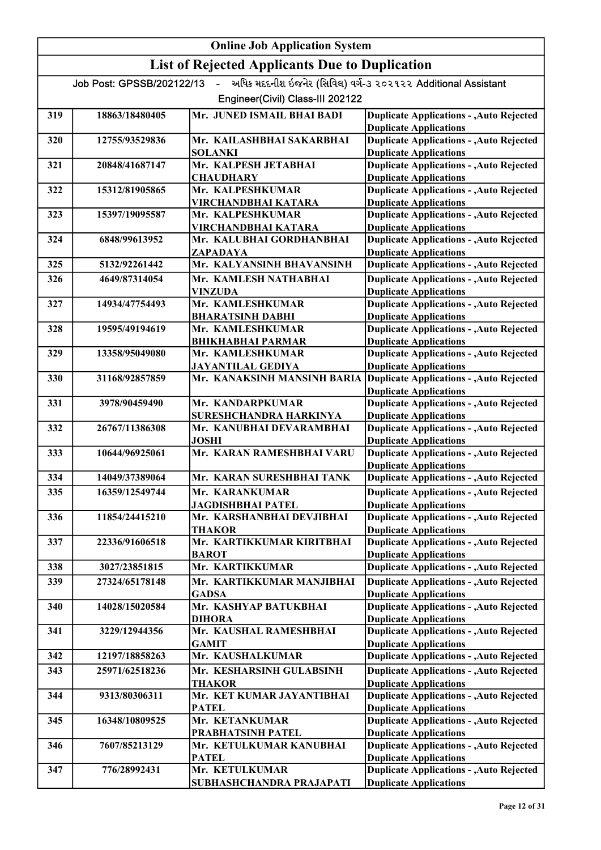|     | <b>Online Job Application System</b> |                                                       |                                                                                  |  |
|-----|--------------------------------------|-------------------------------------------------------|----------------------------------------------------------------------------------|--|
|     |                                      | <b>List of Rejected Applicants Due to Duplication</b> |                                                                                  |  |
|     | Job Post: GPSSB/202122/13 -          |                                                       | અધિક મદદનીશ ઇજનેર (સિવિલ) વર્ગ-૩ ૨૦૨૧૨૨ Additional Assistant                     |  |
|     |                                      | Engineer(Civil) Class-III 202122                      |                                                                                  |  |
| 319 | 18863/18480405                       | Mr. JUNED ISMAIL BHAI BADI                            | <b>Duplicate Applications - , Auto Rejected</b><br><b>Duplicate Applications</b> |  |
| 320 | 12755/93529836                       | Mr. KAILASHBHAI SAKARBHAI<br><b>SOLANKI</b>           | <b>Duplicate Applications - , Auto Rejected</b><br><b>Duplicate Applications</b> |  |
| 321 | 20848/41687147                       | Mr. KALPESH JETABHAI                                  | <b>Duplicate Applications - , Auto Rejected</b>                                  |  |
| 322 | 15312/81905865                       | <b>CHAUDHARY</b><br>Mr. KALPESHKUMAR                  | <b>Duplicate Applications</b><br><b>Duplicate Applications - , Auto Rejected</b> |  |
| 323 | 15397/19095587                       | VIRCHANDBHAI KATARA<br>Mr. KALPESHKUMAR               | <b>Duplicate Applications</b><br><b>Duplicate Applications - , Auto Rejected</b> |  |
| 324 | 6848/99613952                        | VIRCHANDBHAI KATARA<br>Mr. KALUBHAI GORDHANBHAI       | <b>Duplicate Applications</b><br><b>Duplicate Applications - , Auto Rejected</b> |  |
|     |                                      | ZAPADAYA                                              | <b>Duplicate Applications</b>                                                    |  |
| 325 | 5132/92261442                        | Mr. KALYANSINH BHAVANSINH                             | <b>Duplicate Applications - , Auto Rejected</b>                                  |  |
| 326 | 4649/87314054                        | Mr. KAMLESH NATHABHAI<br>VINZUDA                      | <b>Duplicate Applications - , Auto Rejected</b><br><b>Duplicate Applications</b> |  |
| 327 | 14934/47754493                       | Mr. KAMLESHKUMAR                                      | <b>Duplicate Applications - , Auto Rejected</b>                                  |  |
|     |                                      | <b>BHARATSINH DABHI</b>                               | <b>Duplicate Applications</b>                                                    |  |
| 328 | 19595/49194619                       | Mr. KAMLESHKUMAR<br><b>BHIKHABHAI PARMAR</b>          | <b>Duplicate Applications - , Auto Rejected</b><br><b>Duplicate Applications</b> |  |
| 329 | 13358/95049080                       | Mr. KAMLESHKUMAR                                      | <b>Duplicate Applications - , Auto Rejected</b>                                  |  |
|     |                                      | <b>JAYANTILAL GEDIYA</b>                              | <b>Duplicate Applications</b>                                                    |  |
| 330 | 31168/92857859                       | Mr. KANAKSINH MANSINH BARIA                           | <b>Duplicate Applications - , Auto Rejected</b>                                  |  |
| 331 | 3978/90459490                        | Mr. KANDARPKUMAR                                      | <b>Duplicate Applications</b><br><b>Duplicate Applications - , Auto Rejected</b> |  |
|     |                                      | SURESHCHANDRA HARKINYA                                | <b>Duplicate Applications</b>                                                    |  |
| 332 | 26767/11386308                       | Mr. KANUBHAI DEVARAMBHAI                              | <b>Duplicate Applications - , Auto Rejected</b>                                  |  |
| 333 | 10644/96925061                       | <b>JOSHI</b><br>Mr. KARAN RAMESHBHAI VARU             | <b>Duplicate Applications</b><br><b>Duplicate Applications - , Auto Rejected</b> |  |
| 334 | 14049/37389064                       | Mr. KARAN SURESHBHAI TANK                             | <b>Duplicate Applications</b><br><b>Duplicate Applications - , Auto Rejected</b> |  |
| 335 | 16359/12549744                       | Mr. KARANKUMAR                                        | <b>Duplicate Applications - , Auto Rejected</b>                                  |  |
|     |                                      | JAGDISHBHAI PATEL                                     | <b>Duplicate Applications</b>                                                    |  |
| 336 | 11854/24415210                       | Mr. KARSHANBHAI DEVJIBHAI<br><b>THAKOR</b>            | <b>Duplicate Applications - , Auto Rejected</b><br><b>Duplicate Applications</b> |  |
| 337 | 22336/91606518                       | Mr. KARTIKKUMAR KIRITBHAI                             | <b>Duplicate Applications - , Auto Rejected</b>                                  |  |
|     |                                      | <b>BAROT</b>                                          | <b>Duplicate Applications</b>                                                    |  |
| 338 | 3027/23851815                        | Mr. KARTIKKUMAR                                       | <b>Duplicate Applications - , Auto Rejected</b>                                  |  |
| 339 | 27324/65178148                       | Mr. KARTIKKUMAR MANJIBHAI<br><b>GADSA</b>             | <b>Duplicate Applications - , Auto Rejected</b><br><b>Duplicate Applications</b> |  |
| 340 | 14028/15020584                       | Mr. KASHYAP BATUKBHAI<br>DIHORA                       | <b>Duplicate Applications - , Auto Rejected</b><br><b>Duplicate Applications</b> |  |
| 341 | 3229/12944356                        | Mr. KAUSHAL RAMESHBHAI                                | <b>Duplicate Applications - , Auto Rejected</b><br><b>Duplicate Applications</b> |  |
| 342 | 12197/18858263                       | <b>GAMIT</b><br>Mr. KAUSHALKUMAR                      | <b>Duplicate Applications - , Auto Rejected</b>                                  |  |
| 343 | 25971/62518236                       | Mr. KESHARSINH GULABSINH                              | <b>Duplicate Applications - , Auto Rejected</b>                                  |  |
|     |                                      | <b>THAKOR</b>                                         | <b>Duplicate Applications</b>                                                    |  |
| 344 | 9313/80306311                        | Mr. KET KUMAR JAYANTIBHAI<br><b>PATEL</b>             | <b>Duplicate Applications - , Auto Rejected</b><br><b>Duplicate Applications</b> |  |
| 345 | 16348/10809525                       | Mr. KETANKUMAR                                        | <b>Duplicate Applications - , Auto Rejected</b>                                  |  |
| 346 | 7607/85213129                        | PRABHATSINH PATEL<br>Mr. KETULKUMAR KANUBHAI          | <b>Duplicate Applications</b><br><b>Duplicate Applications - , Auto Rejected</b> |  |
|     |                                      | <b>PATEL</b>                                          | <b>Duplicate Applications</b>                                                    |  |
| 347 | 776/28992431                         | Mr. KETULKUMAR                                        | <b>Duplicate Applications - , Auto Rejected</b>                                  |  |
|     |                                      | SUBHASHCHANDRA PRAJAPATI                              | <b>Duplicate Applications</b>                                                    |  |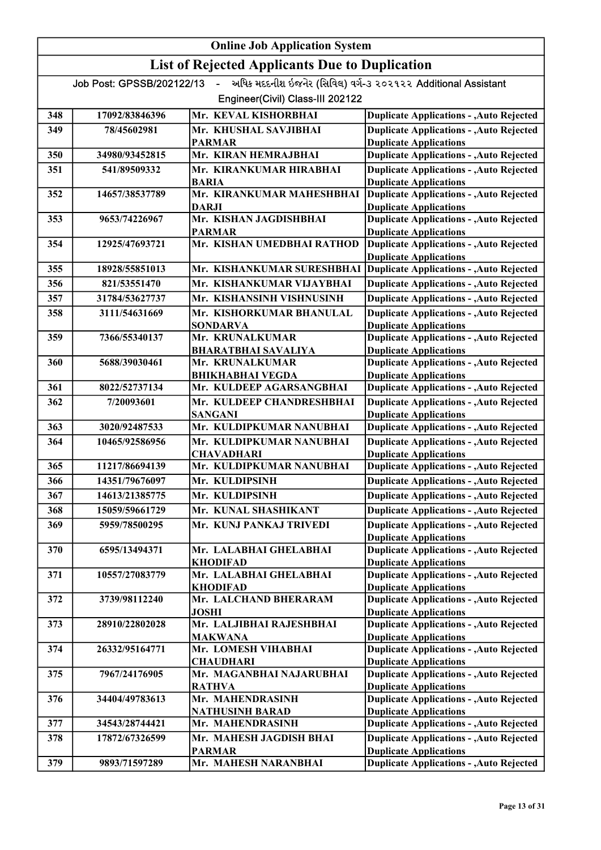| <b>Online Job Application System</b> |                           |                                                       |                                                                                  |  |
|--------------------------------------|---------------------------|-------------------------------------------------------|----------------------------------------------------------------------------------|--|
|                                      |                           | <b>List of Rejected Applicants Due to Duplication</b> |                                                                                  |  |
|                                      | Job Post: GPSSB/202122/13 | $\sim$                                                | અધિક મદદનીશ ઇજનેર (સિવિલ) વર્ગ-૩ ૨૦૨૧૨૨ Additional Assistant                     |  |
|                                      |                           | Engineer(Civil) Class-III 202122                      |                                                                                  |  |
| 348                                  | 17092/83846396            | Mr. KEVAL KISHORBHAI                                  | <b>Duplicate Applications - , Auto Rejected</b>                                  |  |
| 349                                  | 78/45602981               | Mr. KHUSHAL SAVJIBHAI                                 | <b>Duplicate Applications - , Auto Rejected</b>                                  |  |
|                                      |                           | PARMAR                                                | <b>Duplicate Applications</b>                                                    |  |
| 350                                  | 34980/93452815            | Mr. KIRAN HEMRAJBHAI                                  | <b>Duplicate Applications - , Auto Rejected</b>                                  |  |
| 351                                  | 541/89509332              | Mr. KIRANKUMAR HIRABHAI                               | <b>Duplicate Applications - , Auto Rejected</b>                                  |  |
| 352                                  | 14657/38537789            | <b>BARIA</b><br>Mr. KIRANKUMAR MAHESHBHAI             | <b>Duplicate Applications</b><br><b>Duplicate Applications - , Auto Rejected</b> |  |
|                                      |                           | DARJI                                                 | <b>Duplicate Applications</b>                                                    |  |
| 353                                  | 9653/74226967             | Mr. KISHAN JAGDISHBHAI                                | <b>Duplicate Applications - , Auto Rejected</b>                                  |  |
|                                      |                           | <b>PARMAR</b>                                         | <b>Duplicate Applications</b>                                                    |  |
| 354                                  | 12925/47693721            | Mr. KISHAN UMEDBHAI RATHOD                            | <b>Duplicate Applications - , Auto Rejected</b><br><b>Duplicate Applications</b> |  |
| 355                                  | 18928/55851013            | Mr. KISHANKUMAR SURESHBHAI                            | <b>Duplicate Applications - , Auto Rejected</b>                                  |  |
| 356                                  | 821/53551470              | Mr. KISHANKUMAR VIJAYBHAI                             | <b>Duplicate Applications - , Auto Rejected</b>                                  |  |
| 357                                  | 31784/53627737            | Mr. KISHANSINH VISHNUSINH                             | <b>Duplicate Applications - , Auto Rejected</b>                                  |  |
| 358                                  | 3111/54631669             | Mr.  KISHORKUMAR BHANULAL                             | <b>Duplicate Applications - , Auto Rejected</b>                                  |  |
|                                      |                           | SONDARVA                                              | <b>Duplicate Applications</b>                                                    |  |
| 359                                  | 7366/55340137             | Mr. KRUNALKUMAR                                       | <b>Duplicate Applications - , Auto Rejected</b>                                  |  |
|                                      |                           | <b>BHARATBHAI SAVALIYA</b>                            | <b>Duplicate Applications</b>                                                    |  |
| 360                                  | 5688/39030461             | Mr. KRUNALKUMAR<br><b>BHIKHABHAI VEGDA</b>            | <b>Duplicate Applications - , Auto Rejected</b><br><b>Duplicate Applications</b> |  |
| 361                                  | 8022/52737134             | Mr. KULDEEP AGARSANGBHAI                              | <b>Duplicate Applications - , Auto Rejected</b>                                  |  |
| 362                                  | 7/20093601                | Mr. KULDEEP CHANDRESHBHAI                             | <b>Duplicate Applications - , Auto Rejected</b>                                  |  |
|                                      |                           | <b>SANGANI</b>                                        | <b>Duplicate Applications</b>                                                    |  |
| 363                                  | 3020/92487533             | Mr. KULDIPKUMAR NANUBHAI                              | <b>Duplicate Applications - , Auto Rejected</b>                                  |  |
| 364                                  | 10465/92586956            | Mr. KULDIPKUMAR NANUBHAI<br><b>CHAVADHARI</b>         | <b>Duplicate Applications - , Auto Rejected</b><br><b>Duplicate Applications</b> |  |
| 365                                  | 11217/86694139            | Mr. KULDIPKUMAR NANUBHAI                              | <b>Duplicate Applications - , Auto Rejected</b>                                  |  |
| 366                                  | 14351/79676097            | Mr. KULDIPSINH                                        | <b>Duplicate Applications - , Auto Rejected</b>                                  |  |
| 367                                  | 14613/21385775            | Mr. KULDIPSINH                                        | <b>Duplicate Applications - , Auto Rejected</b>                                  |  |
| 368                                  | 15059/59661729            | Mr. KUNAL SHASHIKANT                                  | <b>Duplicate Applications - , Auto Rejected</b>                                  |  |
| 369                                  | 5959/78500295             | Mr. KUNJ PANKAJ TRIVEDI                               | <b>Duplicate Applications - , Auto Rejected</b>                                  |  |
|                                      |                           |                                                       | <b>Duplicate Applications</b>                                                    |  |
| 370                                  | 6595/13494371             | Mr. LALABHAI GHELABHAI                                | <b>Duplicate Applications - , Auto Rejected</b>                                  |  |
| 371                                  | 10557/27083779            | KHODIFAD<br>Mr. LALABHAI GHELABHAI                    | <b>Duplicate Applications</b><br><b>Duplicate Applications - , Auto Rejected</b> |  |
|                                      |                           | KHODIFAD                                              | <b>Duplicate Applications</b>                                                    |  |
| 372                                  | 3739/98112240             | Mr. LALCHAND BHERARAM                                 | <b>Duplicate Applications - , Auto Rejected</b>                                  |  |
|                                      |                           | <b>JOSHI</b>                                          | <b>Duplicate Applications</b>                                                    |  |
| 373                                  | 28910/22802028            | Mr. LALJIBHAI RAJESHBHAI<br>MAKWANA                   | <b>Duplicate Applications - , Auto Rejected</b><br><b>Duplicate Applications</b> |  |
| 374                                  | 26332/95164771            | Mr. LOMESH VIHABHAI                                   | <b>Duplicate Applications - , Auto Rejected</b>                                  |  |
|                                      |                           | <b>CHAUDHARI</b>                                      | <b>Duplicate Applications</b>                                                    |  |
| 375                                  | 7967/24176905             | Mr. MAGANBHAI NAJARUBHAI                              | <b>Duplicate Applications - , Auto Rejected</b>                                  |  |
| 376                                  | 34404/49783613            | <b>RATHVA</b><br>Mr. MAHENDRASINH                     | <b>Duplicate Applications</b><br><b>Duplicate Applications - , Auto Rejected</b> |  |
|                                      |                           | <b>NATHUSINH BARAD</b>                                | <b>Duplicate Applications</b>                                                    |  |
| 377                                  | 34543/28744421            | Mr. MAHENDRASINH                                      | <b>Duplicate Applications - , Auto Rejected</b>                                  |  |
| 378                                  | 17872/67326599            | Mr. MAHESH JAGDISH BHAI                               | <b>Duplicate Applications - , Auto Rejected</b>                                  |  |
|                                      |                           | <b>PARMAR</b>                                         | <b>Duplicate Applications</b>                                                    |  |
| 379                                  | 9893/71597289             | Mr. MAHESH NARANBHAI                                  | <b>Duplicate Applications - , Auto Rejected</b>                                  |  |

KHAVADU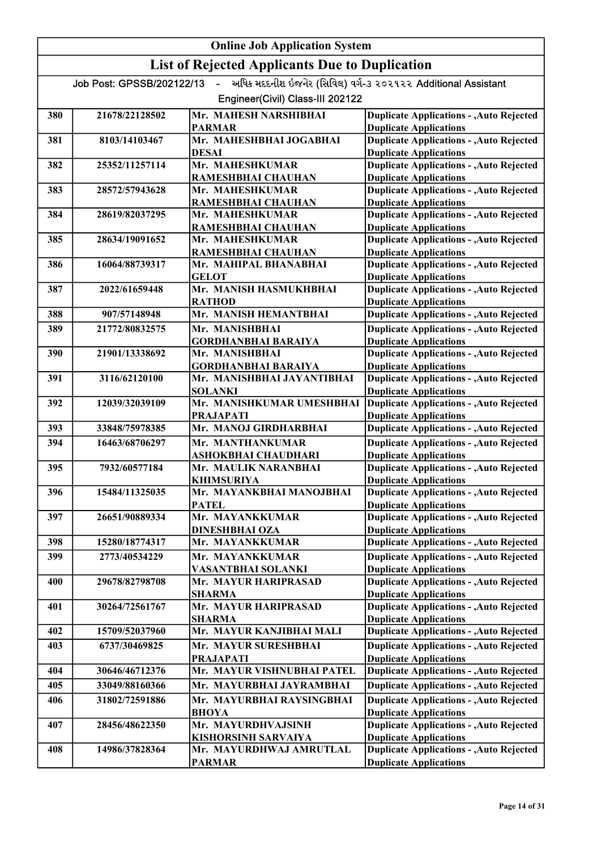| <b>List of Rejected Applicants Due to Duplication</b><br>અધિક મદદનીશ ઇજનેર (સિવિલ) વર્ગ-3 ૨૦૨૧૨૨ Additional Assistant<br>Job Post: GPSSB/202122/13<br>$\sim$<br>Engineer(Civil) Class-III 202122<br>Mr. MAHESH NARSHIBHAI<br>380<br>21678/22128502<br><b>Duplicate Applications - , Auto Rejected</b><br><b>PARMAR</b><br><b>Duplicate Applications</b><br><b>Duplicate Applications - , Auto Rejected</b><br>Mr. MAHESHBHAI JOGABHAI<br>381<br>8103/14103467<br><b>Duplicate Applications</b><br><b>DESAI</b><br><b>Duplicate Applications - , Auto Rejected</b><br>Mr. MAHESHKUMAR<br>382<br>25352/11257114<br><b>Duplicate Applications</b><br>RAMESHBHAI CHAUHAN<br><b>Duplicate Applications - , Auto Rejected</b><br>Mr. MAHESHKUMAR<br>383<br>28572/57943628<br><b>Duplicate Applications</b><br>RAMESHBHAI CHAUHAN<br><b>Duplicate Applications - , Auto Rejected</b><br>384<br>28619/82037295<br>Mr. MAHESHKUMAR<br>RAMESHBHAI CHAUHAN<br><b>Duplicate Applications</b><br><b>Duplicate Applications - , Auto Rejected</b><br>Mr. MAHESHKUMAR<br>385<br>28634/19091652<br>RAMESHBHAI CHAUHAN<br><b>Duplicate Applications</b><br><b>Duplicate Applications - , Auto Rejected</b><br>16064/88739317<br>Mr. MAHIPAL BHANABHAI<br>386<br><b>Duplicate Applications</b><br><b>GELOT</b><br>Mr. MANISH HASMUKHBHAI<br><b>Duplicate Applications - , Auto Rejected</b><br>387<br>2022/61659448<br><b>Duplicate Applications</b><br><b>RATHOD</b><br><b>Duplicate Applications - , Auto Rejected</b><br>Mr. MANISH HEMANTBHAI<br>388<br>907/57148948<br><b>Duplicate Applications - , Auto Rejected</b><br>389<br>21772/80832575<br>Mr. MANISHBHAI<br><b>Duplicate Applications</b><br><b>GORDHANBHAI BARAIYA</b><br><b>Duplicate Applications - , Auto Rejected</b><br>21901/13338692<br>Mr. MANISHBHAI<br>390 | <b>Online Job Application System</b> |  |  |  |
|-------------------------------------------------------------------------------------------------------------------------------------------------------------------------------------------------------------------------------------------------------------------------------------------------------------------------------------------------------------------------------------------------------------------------------------------------------------------------------------------------------------------------------------------------------------------------------------------------------------------------------------------------------------------------------------------------------------------------------------------------------------------------------------------------------------------------------------------------------------------------------------------------------------------------------------------------------------------------------------------------------------------------------------------------------------------------------------------------------------------------------------------------------------------------------------------------------------------------------------------------------------------------------------------------------------------------------------------------------------------------------------------------------------------------------------------------------------------------------------------------------------------------------------------------------------------------------------------------------------------------------------------------------------------------------------------------------------------------------------------------------------------------------------------------------------------|--------------------------------------|--|--|--|
|                                                                                                                                                                                                                                                                                                                                                                                                                                                                                                                                                                                                                                                                                                                                                                                                                                                                                                                                                                                                                                                                                                                                                                                                                                                                                                                                                                                                                                                                                                                                                                                                                                                                                                                                                                                                                   |                                      |  |  |  |
|                                                                                                                                                                                                                                                                                                                                                                                                                                                                                                                                                                                                                                                                                                                                                                                                                                                                                                                                                                                                                                                                                                                                                                                                                                                                                                                                                                                                                                                                                                                                                                                                                                                                                                                                                                                                                   |                                      |  |  |  |
|                                                                                                                                                                                                                                                                                                                                                                                                                                                                                                                                                                                                                                                                                                                                                                                                                                                                                                                                                                                                                                                                                                                                                                                                                                                                                                                                                                                                                                                                                                                                                                                                                                                                                                                                                                                                                   |                                      |  |  |  |
|                                                                                                                                                                                                                                                                                                                                                                                                                                                                                                                                                                                                                                                                                                                                                                                                                                                                                                                                                                                                                                                                                                                                                                                                                                                                                                                                                                                                                                                                                                                                                                                                                                                                                                                                                                                                                   |                                      |  |  |  |
|                                                                                                                                                                                                                                                                                                                                                                                                                                                                                                                                                                                                                                                                                                                                                                                                                                                                                                                                                                                                                                                                                                                                                                                                                                                                                                                                                                                                                                                                                                                                                                                                                                                                                                                                                                                                                   |                                      |  |  |  |
|                                                                                                                                                                                                                                                                                                                                                                                                                                                                                                                                                                                                                                                                                                                                                                                                                                                                                                                                                                                                                                                                                                                                                                                                                                                                                                                                                                                                                                                                                                                                                                                                                                                                                                                                                                                                                   |                                      |  |  |  |
|                                                                                                                                                                                                                                                                                                                                                                                                                                                                                                                                                                                                                                                                                                                                                                                                                                                                                                                                                                                                                                                                                                                                                                                                                                                                                                                                                                                                                                                                                                                                                                                                                                                                                                                                                                                                                   |                                      |  |  |  |
|                                                                                                                                                                                                                                                                                                                                                                                                                                                                                                                                                                                                                                                                                                                                                                                                                                                                                                                                                                                                                                                                                                                                                                                                                                                                                                                                                                                                                                                                                                                                                                                                                                                                                                                                                                                                                   |                                      |  |  |  |
|                                                                                                                                                                                                                                                                                                                                                                                                                                                                                                                                                                                                                                                                                                                                                                                                                                                                                                                                                                                                                                                                                                                                                                                                                                                                                                                                                                                                                                                                                                                                                                                                                                                                                                                                                                                                                   |                                      |  |  |  |
|                                                                                                                                                                                                                                                                                                                                                                                                                                                                                                                                                                                                                                                                                                                                                                                                                                                                                                                                                                                                                                                                                                                                                                                                                                                                                                                                                                                                                                                                                                                                                                                                                                                                                                                                                                                                                   |                                      |  |  |  |
|                                                                                                                                                                                                                                                                                                                                                                                                                                                                                                                                                                                                                                                                                                                                                                                                                                                                                                                                                                                                                                                                                                                                                                                                                                                                                                                                                                                                                                                                                                                                                                                                                                                                                                                                                                                                                   |                                      |  |  |  |
|                                                                                                                                                                                                                                                                                                                                                                                                                                                                                                                                                                                                                                                                                                                                                                                                                                                                                                                                                                                                                                                                                                                                                                                                                                                                                                                                                                                                                                                                                                                                                                                                                                                                                                                                                                                                                   |                                      |  |  |  |
|                                                                                                                                                                                                                                                                                                                                                                                                                                                                                                                                                                                                                                                                                                                                                                                                                                                                                                                                                                                                                                                                                                                                                                                                                                                                                                                                                                                                                                                                                                                                                                                                                                                                                                                                                                                                                   |                                      |  |  |  |
|                                                                                                                                                                                                                                                                                                                                                                                                                                                                                                                                                                                                                                                                                                                                                                                                                                                                                                                                                                                                                                                                                                                                                                                                                                                                                                                                                                                                                                                                                                                                                                                                                                                                                                                                                                                                                   |                                      |  |  |  |
|                                                                                                                                                                                                                                                                                                                                                                                                                                                                                                                                                                                                                                                                                                                                                                                                                                                                                                                                                                                                                                                                                                                                                                                                                                                                                                                                                                                                                                                                                                                                                                                                                                                                                                                                                                                                                   |                                      |  |  |  |
|                                                                                                                                                                                                                                                                                                                                                                                                                                                                                                                                                                                                                                                                                                                                                                                                                                                                                                                                                                                                                                                                                                                                                                                                                                                                                                                                                                                                                                                                                                                                                                                                                                                                                                                                                                                                                   |                                      |  |  |  |
|                                                                                                                                                                                                                                                                                                                                                                                                                                                                                                                                                                                                                                                                                                                                                                                                                                                                                                                                                                                                                                                                                                                                                                                                                                                                                                                                                                                                                                                                                                                                                                                                                                                                                                                                                                                                                   |                                      |  |  |  |
|                                                                                                                                                                                                                                                                                                                                                                                                                                                                                                                                                                                                                                                                                                                                                                                                                                                                                                                                                                                                                                                                                                                                                                                                                                                                                                                                                                                                                                                                                                                                                                                                                                                                                                                                                                                                                   |                                      |  |  |  |
|                                                                                                                                                                                                                                                                                                                                                                                                                                                                                                                                                                                                                                                                                                                                                                                                                                                                                                                                                                                                                                                                                                                                                                                                                                                                                                                                                                                                                                                                                                                                                                                                                                                                                                                                                                                                                   |                                      |  |  |  |
|                                                                                                                                                                                                                                                                                                                                                                                                                                                                                                                                                                                                                                                                                                                                                                                                                                                                                                                                                                                                                                                                                                                                                                                                                                                                                                                                                                                                                                                                                                                                                                                                                                                                                                                                                                                                                   |                                      |  |  |  |
| <b>GORDHANBHAI BARAIYA</b><br><b>Duplicate Applications</b>                                                                                                                                                                                                                                                                                                                                                                                                                                                                                                                                                                                                                                                                                                                                                                                                                                                                                                                                                                                                                                                                                                                                                                                                                                                                                                                                                                                                                                                                                                                                                                                                                                                                                                                                                       |                                      |  |  |  |
| <b>Duplicate Applications - , Auto Rejected</b><br>3116/62120100<br>Mr. MANISHBHAI JAYANTIBHAI<br>391                                                                                                                                                                                                                                                                                                                                                                                                                                                                                                                                                                                                                                                                                                                                                                                                                                                                                                                                                                                                                                                                                                                                                                                                                                                                                                                                                                                                                                                                                                                                                                                                                                                                                                             |                                      |  |  |  |
| <b>SOLANKI</b><br><b>Duplicate Applications</b>                                                                                                                                                                                                                                                                                                                                                                                                                                                                                                                                                                                                                                                                                                                                                                                                                                                                                                                                                                                                                                                                                                                                                                                                                                                                                                                                                                                                                                                                                                                                                                                                                                                                                                                                                                   |                                      |  |  |  |
| Mr. MANISHKUMAR UMESHBHAI<br><b>Duplicate Applications - , Auto Rejected</b><br>392<br>12039/32039109                                                                                                                                                                                                                                                                                                                                                                                                                                                                                                                                                                                                                                                                                                                                                                                                                                                                                                                                                                                                                                                                                                                                                                                                                                                                                                                                                                                                                                                                                                                                                                                                                                                                                                             |                                      |  |  |  |
| <b>Duplicate Applications</b><br><b>PRAJAPATI</b><br>Mr. MANOJ GIRDHARBHAI<br><b>Duplicate Applications - , Auto Rejected</b><br>33848/75978385<br>393                                                                                                                                                                                                                                                                                                                                                                                                                                                                                                                                                                                                                                                                                                                                                                                                                                                                                                                                                                                                                                                                                                                                                                                                                                                                                                                                                                                                                                                                                                                                                                                                                                                            |                                      |  |  |  |
| <b>Duplicate Applications - , Auto Rejected</b><br>394<br>16463/68706297<br>Mr. MANTHANKUMAR                                                                                                                                                                                                                                                                                                                                                                                                                                                                                                                                                                                                                                                                                                                                                                                                                                                                                                                                                                                                                                                                                                                                                                                                                                                                                                                                                                                                                                                                                                                                                                                                                                                                                                                      |                                      |  |  |  |
| <b>Duplicate Applications</b><br>ASHOKBHAI CHAUDHARI                                                                                                                                                                                                                                                                                                                                                                                                                                                                                                                                                                                                                                                                                                                                                                                                                                                                                                                                                                                                                                                                                                                                                                                                                                                                                                                                                                                                                                                                                                                                                                                                                                                                                                                                                              |                                      |  |  |  |
| <b>Duplicate Applications - , Auto Rejected</b><br>395<br>7932/60577184<br>Mr. MAULIK NARANBHAI                                                                                                                                                                                                                                                                                                                                                                                                                                                                                                                                                                                                                                                                                                                                                                                                                                                                                                                                                                                                                                                                                                                                                                                                                                                                                                                                                                                                                                                                                                                                                                                                                                                                                                                   |                                      |  |  |  |
| <b>Duplicate Applications</b><br><b>KHIMSURIYA</b>                                                                                                                                                                                                                                                                                                                                                                                                                                                                                                                                                                                                                                                                                                                                                                                                                                                                                                                                                                                                                                                                                                                                                                                                                                                                                                                                                                                                                                                                                                                                                                                                                                                                                                                                                                |                                      |  |  |  |
| Mr. MAYANKBHAI MANOJBHAI<br>396<br><b>Duplicate Applications - , Auto Rejected</b><br>15484/11325035                                                                                                                                                                                                                                                                                                                                                                                                                                                                                                                                                                                                                                                                                                                                                                                                                                                                                                                                                                                                                                                                                                                                                                                                                                                                                                                                                                                                                                                                                                                                                                                                                                                                                                              |                                      |  |  |  |
| <b>Duplicate Applications</b><br><b>PATEL</b><br><b>Duplicate Applications - , Auto Rejected</b><br>Mr. MAYANKKUMAR<br>397<br>26651/90889334                                                                                                                                                                                                                                                                                                                                                                                                                                                                                                                                                                                                                                                                                                                                                                                                                                                                                                                                                                                                                                                                                                                                                                                                                                                                                                                                                                                                                                                                                                                                                                                                                                                                      |                                      |  |  |  |
| <b>Duplicate Applications</b><br><b>DINESHBHAI OZA</b>                                                                                                                                                                                                                                                                                                                                                                                                                                                                                                                                                                                                                                                                                                                                                                                                                                                                                                                                                                                                                                                                                                                                                                                                                                                                                                                                                                                                                                                                                                                                                                                                                                                                                                                                                            |                                      |  |  |  |
| <b>Duplicate Applications - , Auto Rejected</b><br>15280/18774317<br>Mr. MAYANKKUMAR<br>398                                                                                                                                                                                                                                                                                                                                                                                                                                                                                                                                                                                                                                                                                                                                                                                                                                                                                                                                                                                                                                                                                                                                                                                                                                                                                                                                                                                                                                                                                                                                                                                                                                                                                                                       |                                      |  |  |  |
| <b>Duplicate Applications - , Auto Rejected</b><br>399<br>2773/40534229<br>Mr. MAYANKKUMAR                                                                                                                                                                                                                                                                                                                                                                                                                                                                                                                                                                                                                                                                                                                                                                                                                                                                                                                                                                                                                                                                                                                                                                                                                                                                                                                                                                                                                                                                                                                                                                                                                                                                                                                        |                                      |  |  |  |
| <b>Duplicate Applications</b><br>VASANTBHAI SOLANKI                                                                                                                                                                                                                                                                                                                                                                                                                                                                                                                                                                                                                                                                                                                                                                                                                                                                                                                                                                                                                                                                                                                                                                                                                                                                                                                                                                                                                                                                                                                                                                                                                                                                                                                                                               |                                      |  |  |  |
| <b>Duplicate Applications - , Auto Rejected</b><br>400<br>29678/82798708<br>Mr. MAYUR HARIPRASAD                                                                                                                                                                                                                                                                                                                                                                                                                                                                                                                                                                                                                                                                                                                                                                                                                                                                                                                                                                                                                                                                                                                                                                                                                                                                                                                                                                                                                                                                                                                                                                                                                                                                                                                  |                                      |  |  |  |
| <b>Duplicate Applications</b><br>SHARMA                                                                                                                                                                                                                                                                                                                                                                                                                                                                                                                                                                                                                                                                                                                                                                                                                                                                                                                                                                                                                                                                                                                                                                                                                                                                                                                                                                                                                                                                                                                                                                                                                                                                                                                                                                           |                                      |  |  |  |
| <b>Duplicate Applications - , Auto Rejected</b><br>401<br>Mr. MAYUR HARIPRASAD<br>30264/72561767<br><b>Duplicate Applications</b><br><b>SHARMA</b>                                                                                                                                                                                                                                                                                                                                                                                                                                                                                                                                                                                                                                                                                                                                                                                                                                                                                                                                                                                                                                                                                                                                                                                                                                                                                                                                                                                                                                                                                                                                                                                                                                                                |                                      |  |  |  |
| <b>Duplicate Applications - , Auto Rejected</b><br>Mr. MAYUR KANJIBHAI MALI<br>402<br>15709/52037960                                                                                                                                                                                                                                                                                                                                                                                                                                                                                                                                                                                                                                                                                                                                                                                                                                                                                                                                                                                                                                                                                                                                                                                                                                                                                                                                                                                                                                                                                                                                                                                                                                                                                                              |                                      |  |  |  |
| <b>Duplicate Applications - , Auto Rejected</b><br>403<br>6737/30469825<br>Mr. MAYUR SURESHBHAI                                                                                                                                                                                                                                                                                                                                                                                                                                                                                                                                                                                                                                                                                                                                                                                                                                                                                                                                                                                                                                                                                                                                                                                                                                                                                                                                                                                                                                                                                                                                                                                                                                                                                                                   |                                      |  |  |  |
| <b>Duplicate Applications</b><br><b>PRAJAPATI</b>                                                                                                                                                                                                                                                                                                                                                                                                                                                                                                                                                                                                                                                                                                                                                                                                                                                                                                                                                                                                                                                                                                                                                                                                                                                                                                                                                                                                                                                                                                                                                                                                                                                                                                                                                                 |                                      |  |  |  |
| <b>Duplicate Applications - , Auto Rejected</b><br>30646/46712376<br>Mr. MAYUR VISHNUBHAI PATEL<br>404                                                                                                                                                                                                                                                                                                                                                                                                                                                                                                                                                                                                                                                                                                                                                                                                                                                                                                                                                                                                                                                                                                                                                                                                                                                                                                                                                                                                                                                                                                                                                                                                                                                                                                            |                                      |  |  |  |
| 405<br>33049/88160366<br>Mr. MAYURBHAI JAYRAMBHAI<br><b>Duplicate Applications - , Auto Rejected</b>                                                                                                                                                                                                                                                                                                                                                                                                                                                                                                                                                                                                                                                                                                                                                                                                                                                                                                                                                                                                                                                                                                                                                                                                                                                                                                                                                                                                                                                                                                                                                                                                                                                                                                              |                                      |  |  |  |
| <b>Duplicate Applications - , Auto Rejected</b><br>406<br>31802/72591886<br>Mr. MAYURBHAI RAYSINGBHAI                                                                                                                                                                                                                                                                                                                                                                                                                                                                                                                                                                                                                                                                                                                                                                                                                                                                                                                                                                                                                                                                                                                                                                                                                                                                                                                                                                                                                                                                                                                                                                                                                                                                                                             |                                      |  |  |  |
| <b>Duplicate Applications</b><br><b>BHOYA</b>                                                                                                                                                                                                                                                                                                                                                                                                                                                                                                                                                                                                                                                                                                                                                                                                                                                                                                                                                                                                                                                                                                                                                                                                                                                                                                                                                                                                                                                                                                                                                                                                                                                                                                                                                                     |                                      |  |  |  |
| Mr. MAYURDHVAJSINH<br><b>Duplicate Applications - , Auto Rejected</b><br>407<br>28456/48622350                                                                                                                                                                                                                                                                                                                                                                                                                                                                                                                                                                                                                                                                                                                                                                                                                                                                                                                                                                                                                                                                                                                                                                                                                                                                                                                                                                                                                                                                                                                                                                                                                                                                                                                    |                                      |  |  |  |
| <b>Duplicate Applications</b><br><b>KISHORSINH SARVAIYA</b><br><b>Duplicate Applications - , Auto Rejected</b><br>408<br>14986/37828364<br>Mr. MAYURDHWAJ AMRUTLAL                                                                                                                                                                                                                                                                                                                                                                                                                                                                                                                                                                                                                                                                                                                                                                                                                                                                                                                                                                                                                                                                                                                                                                                                                                                                                                                                                                                                                                                                                                                                                                                                                                                |                                      |  |  |  |
| <b>PARMAR</b><br><b>Duplicate Applications</b>                                                                                                                                                                                                                                                                                                                                                                                                                                                                                                                                                                                                                                                                                                                                                                                                                                                                                                                                                                                                                                                                                                                                                                                                                                                                                                                                                                                                                                                                                                                                                                                                                                                                                                                                                                    |                                      |  |  |  |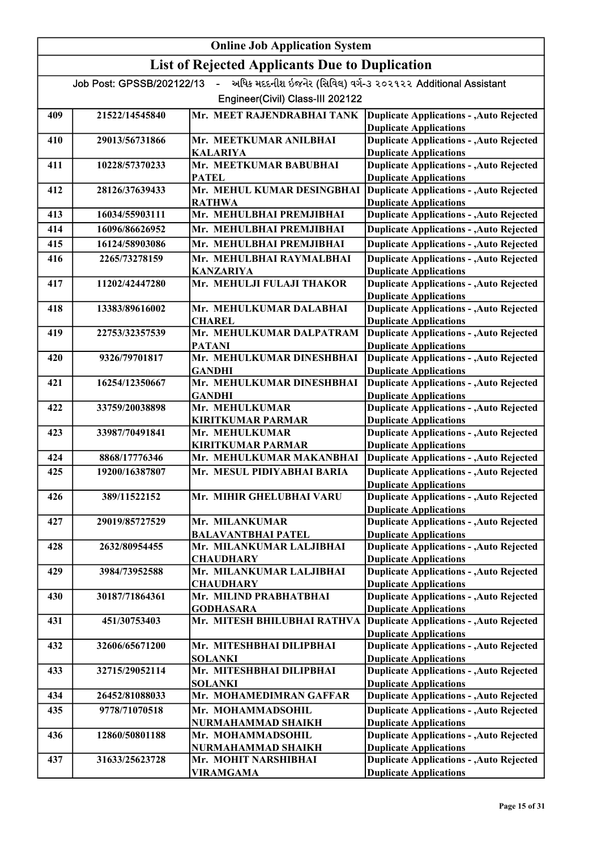|     |                           | <b>Online Job Application System</b>                  |                                                                                  |
|-----|---------------------------|-------------------------------------------------------|----------------------------------------------------------------------------------|
|     |                           | <b>List of Rejected Applicants Due to Duplication</b> |                                                                                  |
|     | Job Post: GPSSB/202122/13 | $\sim$                                                | અધિક મદદનીશ ઇજનેર (સિવિલ) વર્ગ-૩ ૨૦૨૧૨૨ Additional Assistant                     |
|     |                           | Engineer(Civil) Class-III 202122                      |                                                                                  |
| 409 | 21522/14545840            | Mr. MEET RAJENDRABHAI TANK                            | <b>Duplicate Applications - , Auto Rejected</b>                                  |
|     |                           |                                                       | <b>Duplicate Applications</b><br><b>Duplicate Applications - , Auto Rejected</b> |
| 410 | 29013/56731866            | Mr. MEETKUMAR ANILBHAI<br><b>KALARIYA</b>             | <b>Duplicate Applications</b>                                                    |
| 411 | 10228/57370233            | Mr. MEETKUMAR BABUBHAI                                | <b>Duplicate Applications - , Auto Rejected</b>                                  |
|     |                           | <b>PATEL</b>                                          | <b>Duplicate Applications</b>                                                    |
| 412 | 28126/37639433            | Mr. MEHUL KUMAR DESINGBHAI                            | <b>Duplicate Applications - , Auto Rejected</b>                                  |
| 413 | 16034/55903111            | <b>RATHWA</b><br>Mr. MEHULBHAI PREMJIBHAI             | <b>Duplicate Applications</b><br><b>Duplicate Applications - , Auto Rejected</b> |
| 414 | 16096/86626952            | Mr. MEHULBHAI PREMJIBHAI                              | <b>Duplicate Applications - , Auto Rejected</b>                                  |
| 415 | 16124/58903086            | Mr. MEHULBHAI PREMJIBHAI                              | <b>Duplicate Applications - , Auto Rejected</b>                                  |
| 416 | 2265/73278159             | Mr. MEHULBHAI RAYMALBHAI                              | <b>Duplicate Applications - , Auto Rejected</b>                                  |
|     |                           | <b>KANZARIYA</b>                                      | <b>Duplicate Applications</b>                                                    |
| 417 | 11202/42447280            | Mr. MEHULJI FULAJI THAKOR                             | <b>Duplicate Applications - , Auto Rejected</b>                                  |
|     |                           |                                                       | <b>Duplicate Applications</b>                                                    |
| 418 | 13383/89616002            | Mr. MEHULKUMAR DALABHAI                               | <b>Duplicate Applications - , Auto Rejected</b>                                  |
|     |                           | <b>CHAREL</b>                                         | <b>Duplicate Applications</b>                                                    |
| 419 | 22753/32357539            | Mr. MEHULKUMAR DALPATRAM                              | <b>Duplicate Applications - , Auto Rejected</b>                                  |
|     |                           | <b>PATANI</b>                                         | <b>Duplicate Applications</b>                                                    |
| 420 | 9326/79701817             | Mr. MEHULKUMAR DINESHBHAI                             | <b>Duplicate Applications - , Auto Rejected</b>                                  |
| 421 | 16254/12350667            | <b>GANDHI</b><br>Mr. MEHULKUMAR DINESHBHAI            | <b>Duplicate Applications</b><br><b>Duplicate Applications - , Auto Rejected</b> |
|     |                           | <b>GANDHI</b>                                         | <b>Duplicate Applications</b>                                                    |
| 422 | 33759/20038898            | Mr. MEHULKUMAR                                        | <b>Duplicate Applications - , Auto Rejected</b>                                  |
|     |                           | <b>KIRITKUMAR PARMAR</b>                              | <b>Duplicate Applications</b>                                                    |
| 423 | 33987/70491841            | Mr. MEHULKUMAR                                        | <b>Duplicate Applications - , Auto Rejected</b>                                  |
|     |                           | <b>KIRITKUMAR PARMAR</b>                              | <b>Duplicate Applications</b>                                                    |
| 424 | 8868/17776346             | Mr. MEHULKUMAR MAKANBHAI                              | <b>Duplicate Applications - , Auto Rejected</b>                                  |
| 425 | 19200/16387807            | Mr. MESUL PIDIYABHAI BARIA                            | <b>Duplicate Applications - , Auto Rejected</b>                                  |
| 426 | 389/11522152              | Mr. MIHIR GHELUBHAI VARU                              | <b>Duplicate Applications</b><br><b>Duplicate Applications - , Auto Rejected</b> |
|     |                           |                                                       | <b>Duplicate Applications</b>                                                    |
| 427 | 29019/85727529            | Mr. MILANKUMAR                                        | <b>Duplicate Applications - , Auto Rejected</b>                                  |
|     |                           | <b>BALAVANTBHAI PATEL</b>                             | <b>Duplicate Applications</b>                                                    |
| 428 | 2632/80954455             | Mr. MILANKUMAR LALJIBHAI                              | <b>Duplicate Applications - , Auto Rejected</b>                                  |
|     |                           | <b>CHAUDHARY</b>                                      | <b>Duplicate Applications</b>                                                    |
| 429 | 3984/73952588             | Mr. MILANKUMAR LALJIBHAI                              | <b>Duplicate Applications - , Auto Rejected</b>                                  |
|     |                           | <b>CHAUDHARY</b>                                      | <b>Duplicate Applications</b>                                                    |
| 430 | 30187/71864361            | Mr. MILIND PRABHATBHAI<br><b>GODHASARA</b>            | <b>Duplicate Applications - , Auto Rejected</b><br><b>Duplicate Applications</b> |
| 431 | 451/30753403              | Mr. MITESH BHILUBHAI RATHVA                           | <b>Duplicate Applications - , Auto Rejected</b>                                  |
|     |                           |                                                       | <b>Duplicate Applications</b>                                                    |
| 432 | 32606/65671200            | Mr. MITESHBHAI DILIPBHAI                              | <b>Duplicate Applications - , Auto Rejected</b>                                  |
|     |                           | <b>SOLANKI</b>                                        | <b>Duplicate Applications</b>                                                    |
| 433 | 32715/29052114            | Mr. MITESHBHAI DILIPBHAI                              | <b>Duplicate Applications - , Auto Rejected</b>                                  |
|     |                           | <b>SOLANKI</b>                                        | <b>Duplicate Applications</b>                                                    |
| 434 | 26452/81088033            | Mr. MOHAMEDIMRAN GAFFAR                               | <b>Duplicate Applications - , Auto Rejected</b>                                  |
| 435 | 9778/71070518             | Mr. MOHAMMADSOHIL                                     | <b>Duplicate Applications - , Auto Rejected</b>                                  |
| 436 | 12860/50801188            | NURMAHAMMAD SHAIKH<br>Mr. MOHAMMADSOHIL               | <b>Duplicate Applications</b><br><b>Duplicate Applications - , Auto Rejected</b> |
|     |                           | NURMAHAMMAD SHAIKH                                    | <b>Duplicate Applications</b>                                                    |
| 437 | 31633/25623728            | Mr. MOHIT NARSHIBHAI                                  | <b>Duplicate Applications - , Auto Rejected</b>                                  |
|     |                           | <b>VIRAMGAMA</b>                                      | <b>Duplicate Applications</b>                                                    |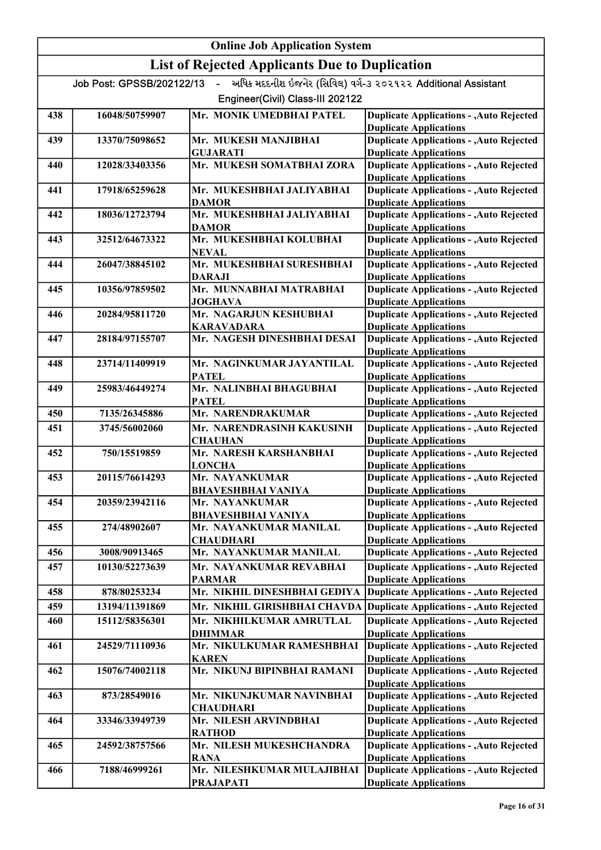### Online Job Application System List of Rejected Applicants Due to Duplication Job Post: GPSSB/202122/13 - અધિક મદદનીશ ઇજનેર (સિવિલ) વર્ગ-૩ ૨૦૨૧૨૨ Additional Assistant Engineer(Civil) Class-III 202122 438 16048/50759907 Mr. MONIK UMEDBHAI PATEL Duplicate Applications - ,Auto Rejected Duplicate Applications 439 13370/75098652 Mr. MUKESH MANJIBHAI GUJARATI<br>Mr. MUKESH SOMATBHAI ZORA Duplicate Applications - ,Auto Rejected Duplicate Applications 440 12028/33403356 Mr. MUKESH SOMATBHAI ZORA Duplicate Applications - ,Auto Rejected Duplicate Applications 441 17918/65259628 Mr. MUKESHBHAI JALIYABHAI DAMOR Duplicate Applications - ,Auto Rejected Duplicate Applications 442 18036/12723794 Mr. MUKESHBHAI JALIYABHAI DAMOR Duplicate Applications - ,Auto Rejected Duplicate Applications 443 32512/64673322 Mr. MUKESHBHAI KOLUBHAI **NEVAL** Duplicate Applications - ,Auto Rejected Duplicate Applications 444 26047/38845102 Mr. MUKESHBHAI SURESHBHAI DARAJI Duplicate Applications - ,Auto Rejected Duplicate Applications 445 10356/97859502 Mr. MUNNABHAI MATRABHAI JOGHAVA Duplicate Applications - ,Auto Rejected Duplicate Applications 446 20284/95811720 Mr. NAGARJUN KESHUBHAI KARAVADARA Duplicate Applications - ,Auto Rejected Duplicate Applications 447 28184/97155707 Mr. NAGESH DINESHBHAI DESAI Duplicate Applications - ,Auto Rejected Duplicate Applications 448 23714/11409919 Mr. NAGINKUMAR JAYANTILAL **PATEL** Duplicate Applications - ,Auto Rejected Duplicate Applications 449 25983/46449274 Mr. NALINBHAI BHAGUBHAI PATEL Duplicate Applications - ,Auto Rejected Duplicate Applications 450 7135/26345886 Mr. NARENDRAKUMAR 451 3745/56002060 Mr. NARENDRASINH KAKUSINH Duplicate Applications Duplicate Applications - ,Auto Rejected **CHAUHAN** Duplicate Applications - ,Auto Rejected Duplicate Applications 452 750/15519859 Mr. NARESH KARSHANBHAI **LONCHA** Duplicate Applications - ,Auto Rejected Duplicate Applications 453 20115/76614293 Mr. NAYANKUMAR BHAVESHBHAI VANIYA Duplicate Applications - ,Auto Rejected Duplicate Applications 454 20359/23942116 Mr. NAYANKUMAR BHAVESHBHAI VANIYA Duplicate Applications - ,Auto Rejected Duplicate Applications 455 274/48902607 Mr. NAYANKUMAR MANILAL **CHAUDHARI** Duplicate Applications - ,Auto Rejected Duplicate Applications 456 3008/90913465 Mr. NAYANKUMAR MANILAL 457 10130/52273639 Mr. NAYANKUMAR REVABHAI Duplicate Applications Duplicate Applications - ,Auto Rejected PARMAR Duplicate Applications - ,Auto Rejected Duplicate Applications 458 878/80253234 Mr. NIKHIL DINESHBHAI GEDIYA Duplicate Applications - ,Auto Rejected 459 13194/11391869 Mr. NIKHIL GIRISHBHAI CHAVDA Duplicate Applications - ,Auto Rejected Duplicate Applications 460 15112/58356301 Mr. NIKHILKUMAR AMRUTLAL DHIMMAR Duplicate Applications - ,Auto Rejected Duplicate Applications 461 24529/71110936 Mr. NIKULKUMAR RAMESHBHAI KAREN Duplicate Applications - ,Auto Rejected Duplicate Applications 462 15076/74002118 Mr. NIKUNJ BIPINBHAI RAMANI Duplicate Applications - ,Auto Rejected Duplicate Applications 463 873/28549016 Mr. NIKUNJKUMAR NAVINBHAI **CHAUDHARI** Duplicate Applications - ,Auto Rejected Duplicate Applications 464 33346/33949739 Mr. NILESH ARVINDBHAI Duplicate Applications - ,Auto Rejected

RATHOD

PRAJAPATI

465 24592/38757566 Mr. NILESH MUKESHCHANDRA RANA

466 7188/46999261 Mr. NILESHKUMAR MULAJIBHAI

Duplicate Applications

Duplicate Applications

Duplicate Applications

Duplicate Applications - ,Auto Rejected

Duplicate Applications - ,Auto Rejected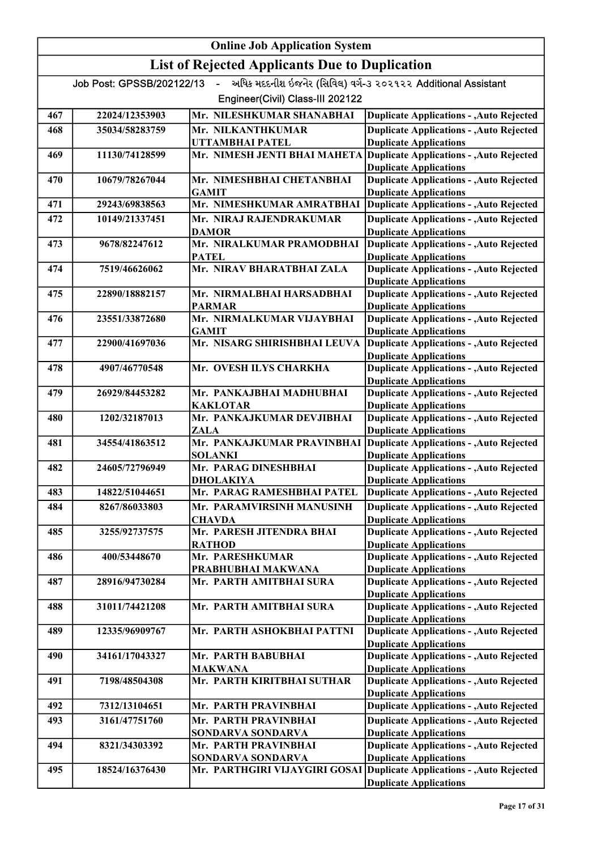# Online Job Application System List of Rejected Applicants Due to Duplication Job Post: GPSSB/202122/13 - અધિક મદદનીશ ઇજનેર (સિવિલ) વર્ગ-૩ ૨૦૨૧૨૨ Additional Assistant Engineer(Civil) Class-III 202122 467 22024/12353903 Mr. NILESHKUMAR SHANABHAI 468 35034/58283759 Mr. NILKANTHKUMAR Duplicate Applications Duplicate Applications - ,Auto Rejected UTTAMBHAI PATEL Duplicate Applications - ,Auto Rejected Duplicate Applications 469 11130/74128599 Mr. NIMESH JENTI BHAI MAHETA Duplicate Applications - ,Auto Rejected Duplicate Applications 470 10679/78267044 Mr. NIMESHBHAI CHETANBHAI GAMIT Duplicate Applications - ,Auto Rejected Duplicate Applications 471 29243/69838563 Mr. NIMESHKUMAR AMRATBHAI 472 10149/21337451 Mr. NIRAJ RAJENDRAKUMAR Duplicate Applications Duplicate Applications - ,Auto Rejected DAMOR Duplicate Applications - ,Auto Rejected Duplicate Applications 473 9678/82247612 Mr. NIRALKUMAR PRAMODBHAI PATEL Duplicate Applications - ,Auto Rejected Duplicate Applications 474 7519/46626062 Mr. NIRAV BHARATBHAI ZALA Duplicate Applications - ,Auto Rejected Duplicate Applications 475 22890/18882157 Mr. NIRMALBHAI HARSADBHAI PARMAR Duplicate Applications - ,Auto Rejected Duplicate Applications 476 23551/33872680 Mr. NIRMALKUMAR VIJAYBHAI GAMIT Duplicate Applications - ,Auto Rejected Duplicate Applications 477 22900/41697036 Mr. NISARG SHIRISHBHAI LEUVA Duplicate Applications - ,Auto Rejected Duplicate Applications 478 4907/46770548 Mr. OVESH ILYS CHARKHA Duplicate Applications - ,Auto Rejected Duplicate Applications 479 26929/84453282 Mr. PANKAJBHAI MADHUBHAI KAKLOTAR Duplicate Applications - ,Auto Rejected Duplicate Applications 480 1202/32187013 Mr. PANKAJKUMAR DEVJIBHAI ZALA Duplicate Applications - ,Auto Rejected Duplicate Applications 481 34554/41863512 Mr. PANKAJKUMAR PRAVINBHAI SOLANKI Duplicate Applications - ,Auto Rejected Duplicate Applications 482 24605/72796949 Mr. PARAG DINESHBHAI DHOLAKIYA Duplicate Applications - ,Auto Rejected Duplicate Applications 483 14822/51044651 Mr. PARAG RAMESHBHAI PATEL Duplicate Applications - ,Auto Rejected 484 8267/86033803 Mr. PARAMVIRSINH MANUSINH **CHAVDA** Duplicate Applications - ,Auto Rejected Duplicate Applications 485 3255/92737575 Mr. PARESH JITENDRA BHAI RATHOD Duplicate Applications - ,Auto Rejected Duplicate Applications 486 400/53448670 Mr. PARESHKUMAR PRABHUBHAI MAKWANA Duplicate Applications - ,Auto Rejected Duplicate Applications 487 28916/94730284 Mr. PARTH AMITBHAI SURA Duplicate Applications - ,Auto Rejected Duplicate Applications 488 31011/74421208 Mr. PARTH AMITBHAI SURA Duplicate Applications - ,Auto Rejected Duplicate Applications 489 12335/96909767 Mr. PARTH ASHOKBHAI PATTNI Duplicate Applications - ,Auto Rejected Duplicate Applications 490 34161/17043327 Mr. PARTH BABUBHAI MAKWANA Duplicate Applications - ,Auto Rejected Duplicate Applications 491 7198/48504308 Mr. PARTH KIRITBHAI SUTHAR Duplicate Applications - ,Auto Rejected Duplicate Applications 492 7312/13104651 Mr. PARTH PRAVINBHAI 493 3161/47751760 Mr. PARTH PRAVINBHAI Duplicate Applications Duplicate Applications - ,Auto Rejected SONDARVA SONDARVA Duplicate Applications - ,Auto Rejected Duplicate Applications 494 8321/34303392 Mr. PARTH PRAVINBHAI SONDARVA SONDARVA Duplicate Applications - ,Auto Rejected Duplicate Applications 495 18524/16376430 Mr. PARTHGIRI VIJAYGIRI GOSAI Duplicate Applications - ,Auto Rejected Duplicate Applications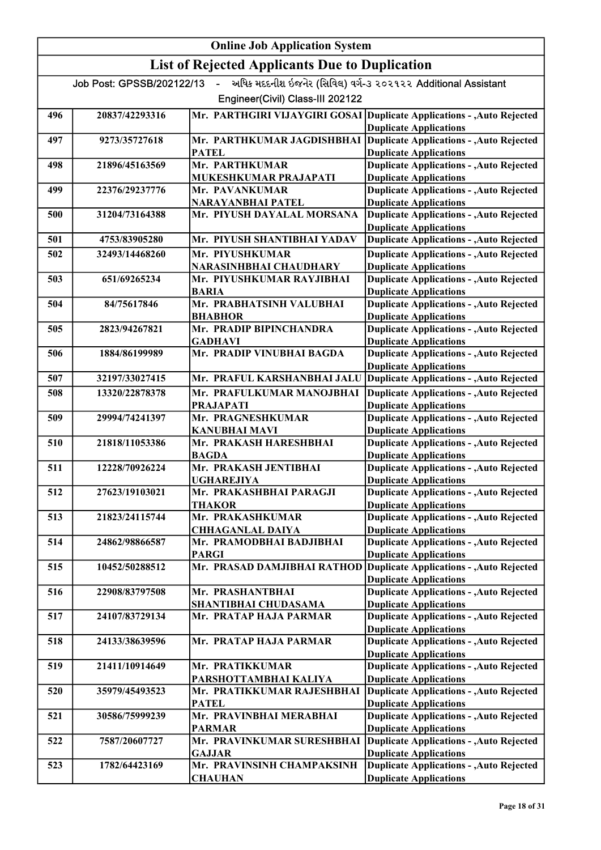|     |                             | <b>Online Job Application System</b>                  |                                                                                                         |
|-----|-----------------------------|-------------------------------------------------------|---------------------------------------------------------------------------------------------------------|
|     |                             | <b>List of Rejected Applicants Due to Duplication</b> |                                                                                                         |
|     | Job Post: GPSSB/202122/13 - |                                                       | અધિક મદદનીશ ઇજનેર (સિવિલ) વર્ગ-૩ ૨૦૨૧૨૨ Additional Assistant                                            |
|     |                             | Engineer(Civil) Class-III 202122                      |                                                                                                         |
| 496 | 20837/42293316              |                                                       | Mr. PARTHGIRI VIJAYGIRI GOSAI Duplicate Applications - , Auto Rejected<br><b>Duplicate Applications</b> |
| 497 | 9273/35727618               | Mr. PARTHKUMAR JAGDISHBHAI<br><b>PATEL</b>            | <b>Duplicate Applications - , Auto Rejected</b><br><b>Duplicate Applications</b>                        |
| 498 | 21896/45163569              | Mr. PARTHKUMAR                                        | <b>Duplicate Applications - , Auto Rejected</b>                                                         |
| 499 | 22376/29237776              | MUKESHKUMAR PRAJAPATI<br>Mr. PAVANKUMAR               | <b>Duplicate Applications</b><br><b>Duplicate Applications - , Auto Rejected</b>                        |
| 500 | 31204/73164388              | NARAYANBHAI PATEL<br>Mr. PIYUSH DAYALAL MORSANA       | <b>Duplicate Applications</b><br><b>Duplicate Applications - , Auto Rejected</b>                        |
| 501 | 4753/83905280               | Mr. PIYUSH SHANTIBHAI YADAV                           | <b>Duplicate Applications</b><br><b>Duplicate Applications - Auto Rejected</b>                          |
| 502 | 32493/14468260              | Mr. PIYUSHKUMAR                                       | <b>Duplicate Applications - , Auto Rejected</b>                                                         |
| 503 | 651/69265234                | NARASINHBHAI CHAUDHARY<br>Mr. PIYUSHKUMAR RAYJIBHAI   | <b>Duplicate Applications</b><br><b>Duplicate Applications - , Auto Rejected</b>                        |
| 504 | 84/75617846                 | <b>BARIA</b><br>Mr. PRABHATSINH VALUBHAI              | <b>Duplicate Applications</b><br><b>Duplicate Applications - , Auto Rejected</b>                        |
| 505 | 2823/94267821               | <b>BHABHOR</b><br>Mr. PRADIP BIPINCHANDRA             | <b>Duplicate Applications</b><br><b>Duplicate Applications - , Auto Rejected</b>                        |
|     |                             | <b>GADHAVI</b>                                        | <b>Duplicate Applications</b>                                                                           |
| 506 | 1884/86199989               | Mr. PRADIP VINUBHAI BAGDA                             | <b>Duplicate Applications - , Auto Rejected</b><br><b>Duplicate Applications</b>                        |
| 507 | 32197/33027415              | Mr. PRAFUL KARSHANBHAI JALU                           | <b>Duplicate Applications - , Auto Rejected</b>                                                         |
| 508 | 13320/22878378              | Mr. PRAFULKUMAR MANOJBHAI<br><b>PRAJAPATI</b>         | <b>Duplicate Applications - , Auto Rejected</b><br><b>Duplicate Applications</b>                        |
| 509 | 29994/74241397              | Mr. PRAGNESHKUMAR                                     | <b>Duplicate Applications - , Auto Rejected</b>                                                         |
| 510 | 21818/11053386              | <b>KANUBHAI MAVI</b><br>Mr. PRAKASH HARESHBHAI        | <b>Duplicate Applications</b><br><b>Duplicate Applications - , Auto Rejected</b>                        |
| 511 | 12228/70926224              | <b>BAGDA</b><br>Mr. PRAKASH JENTIBHAI                 | <b>Duplicate Applications</b><br><b>Duplicate Applications - , Auto Rejected</b>                        |
| 512 | 27623/19103021              | <b>UGHAREJIYA</b><br>Mr. PRAKASHBHAI PARAGJI          | <b>Duplicate Applications</b><br><b>Duplicate Applications - , Auto Rejected</b>                        |
|     |                             | <b>THAKOR</b>                                         | <b>Duplicate Applications</b>                                                                           |
| 513 | 21823/24115744              | Mr. PRAKASHKUMAR<br><b>CHHAGANLAL DAIYA</b>           | <b>Duplicate Applications - , Auto Rejected</b><br><b>Duplicate Applications</b>                        |
| 514 | 24862/98866587              | Mr. PRAMODBHAI BADJIBHAI<br><b>PARGI</b>              | <b>Duplicate Applications - , Auto Rejected</b><br><b>Duplicate Applications</b>                        |
| 515 | 10452/50288512              | Mr. PRASAD DAMJIBHAI RATHOD                           | Duplicate Applications - , Auto Rejected                                                                |
| 516 | 22908/83797508              | Mr. PRASHANTBHAI                                      | <b>Duplicate Applications</b><br><b>Duplicate Applications - , Auto Rejected</b>                        |
| 517 | 24107/83729134              | <b>SHANTIBHAI CHUDASAMA</b><br>Mr. PRATAP HAJA PARMAR | <b>Duplicate Applications</b><br><b>Duplicate Applications - , Auto Rejected</b>                        |
| 518 | 24133/38639596              | Mr. PRATAP HAJA PARMAR                                | <b>Duplicate Applications</b><br><b>Duplicate Applications - , Auto Rejected</b>                        |
|     |                             |                                                       | <b>Duplicate Applications</b>                                                                           |
| 519 | 21411/10914649              | Mr. PRATIKKUMAR<br>PARSHOTTAMBHAI KALIYA              | <b>Duplicate Applications - , Auto Rejected</b><br><b>Duplicate Applications</b>                        |
| 520 | 35979/45493523              | Mr. PRATIKKUMAR RAJESHBHAI<br><b>PATEL</b>            | <b>Duplicate Applications - , Auto Rejected</b><br><b>Duplicate Applications</b>                        |
| 521 | 30586/75999239              | Mr. PRAVINBHAI MERABHAI                               | <b>Duplicate Applications - , Auto Rejected</b>                                                         |
| 522 | 7587/20607727               | <b>PARMAR</b><br>Mr. PRAVINKUMAR SURESHBHAI           | <b>Duplicate Applications</b><br><b>Duplicate Applications - , Auto Rejected</b>                        |
| 523 | 1782/64423169               | <b>GAJJAR</b><br>Mr. PRAVINSINH CHAMPAKSINH           | <b>Duplicate Applications</b><br><b>Duplicate Applications - , Auto Rejected</b>                        |
|     |                             | <b>CHAUHAN</b>                                        | <b>Duplicate Applications</b>                                                                           |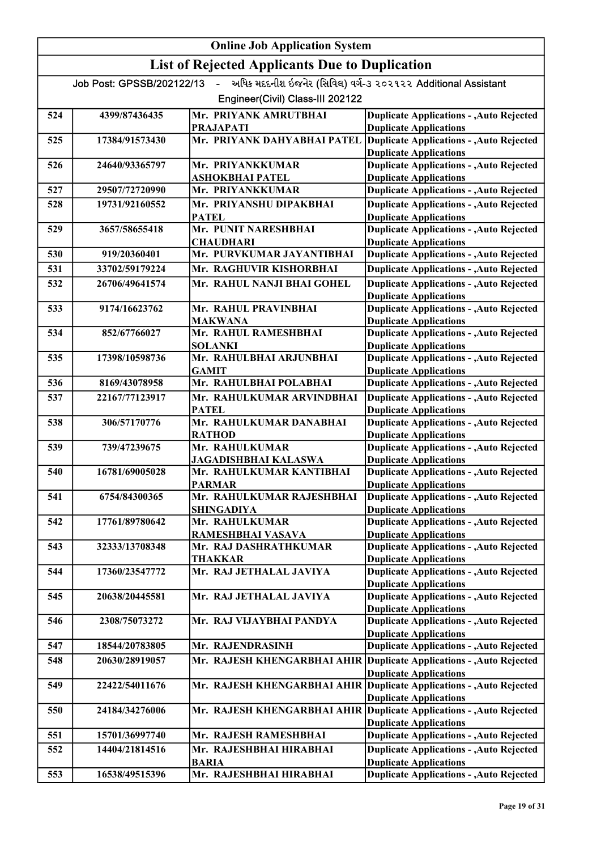|     | <b>Online Job Application System</b> |                                                       |                                                                                  |  |
|-----|--------------------------------------|-------------------------------------------------------|----------------------------------------------------------------------------------|--|
|     |                                      | <b>List of Rejected Applicants Due to Duplication</b> |                                                                                  |  |
|     | Job Post: GPSSB/202122/13 -          |                                                       | અધિક મદદનીશ ઇજનેર (સિવિલ) વર્ગ-૩ ૨૦૨૧૨૨ Additional Assistant                     |  |
|     |                                      | Engineer(Civil) Class-III 202122                      |                                                                                  |  |
| 524 | 4399/87436435                        | Mr. PRIYANK AMRUTBHAI                                 | <b>Duplicate Applications - , Auto Rejected</b>                                  |  |
|     |                                      | <b>PRAJAPATI</b>                                      | <b>Duplicate Applications</b>                                                    |  |
| 525 | 17384/91573430                       | Mr. PRIYANK DAHYABHAI PATEL                           | <b>Duplicate Applications - , Auto Rejected</b><br><b>Duplicate Applications</b> |  |
| 526 | 24640/93365797                       | Mr. PRIYANKKUMAR                                      | <b>Duplicate Applications - , Auto Rejected</b>                                  |  |
|     |                                      | <b>ASHOKBHAI PATEL</b>                                | <b>Duplicate Applications</b>                                                    |  |
| 527 | 29507/72720990                       | Mr. PRIYANKKUMAR                                      | <b>Duplicate Applications - , Auto Rejected</b>                                  |  |
| 528 | 19731/92160552                       | Mr. PRIYANSHU DIPAKBHAI<br><b>PATEL</b>               | <b>Duplicate Applications - , Auto Rejected</b><br><b>Duplicate Applications</b> |  |
| 529 | 3657/58655418                        | Mr. PUNIT NARESHBHAI                                  | <b>Duplicate Applications - , Auto Rejected</b>                                  |  |
|     |                                      | <b>CHAUDHARI</b>                                      | <b>Duplicate Applications</b>                                                    |  |
| 530 | 919/20360401                         | Mr. PURVKUMAR JAYANTIBHAI                             | <b>Duplicate Applications - , Auto Rejected</b>                                  |  |
| 531 | 33702/59179224                       | Mr. RAGHUVIR KISHORBHAI                               | <b>Duplicate Applications - , Auto Rejected</b>                                  |  |
| 532 | 26706/49641574                       | Mr. RAHUL NANJI BHAI GOHEL                            | <b>Duplicate Applications - , Auto Rejected</b>                                  |  |
| 533 | 9174/16623762                        | Mr. RAHUL PRAVINBHAI                                  | <b>Duplicate Applications</b><br><b>Duplicate Applications - , Auto Rejected</b> |  |
|     |                                      | <b>MAKWANA</b>                                        | <b>Duplicate Applications</b>                                                    |  |
| 534 | 852/67766027                         | Mr. RAHUL RAMESHBHAI                                  | <b>Duplicate Applications - , Auto Rejected</b>                                  |  |
|     |                                      | <b>SOLANKI</b>                                        | <b>Duplicate Applications</b>                                                    |  |
| 535 | 17398/10598736                       | Mr. RAHULBHAI ARJUNBHAI                               | <b>Duplicate Applications - , Auto Rejected</b>                                  |  |
|     |                                      | <b>GAMIT</b>                                          | <b>Duplicate Applications</b>                                                    |  |
| 536 | 8169/43078958                        | Mr. RAHULBHAI POLABHAI                                | <b>Duplicate Applications - , Auto Rejected</b>                                  |  |
| 537 | 22167/77123917                       | Mr. RAHULKUMAR ARVINDBHAI<br><b>PATEL</b>             | <b>Duplicate Applications - , Auto Rejected</b><br><b>Duplicate Applications</b> |  |
| 538 | 306/57170776                         | Mr. RAHULKUMAR DANABHAI                               | <b>Duplicate Applications - , Auto Rejected</b>                                  |  |
|     |                                      | <b>RATHOD</b>                                         | <b>Duplicate Applications</b>                                                    |  |
| 539 | 739/47239675                         | Mr. RAHULKUMAR<br>JAGADISHBHAI KALASWA                | <b>Duplicate Applications - , Auto Rejected</b><br><b>Duplicate Applications</b> |  |
| 540 | 16781/69005028                       | Mr. RAHULKUMAR KANTIBHAI                              | <b>Duplicate Applications - , Auto Rejected</b>                                  |  |
|     |                                      | <b>PARMAR</b>                                         | <b>Duplicate Applications</b>                                                    |  |
| 541 | 6754/84300365                        | Mr. RAHULKUMAR RAJESHBHAI                             | <b>Duplicate Applications - , Auto Rejected</b>                                  |  |
|     |                                      | <b>SHINGADIYA</b>                                     | <b>Duplicate Applications</b>                                                    |  |
| 542 | 17761/89780642                       | Mr. RAHULKUMAR<br>RAMESHBHAI VASAVA                   | <b>Duplicate Applications - , Auto Rejected</b><br><b>Duplicate Applications</b> |  |
| 543 | 32333/13708348                       | Mr. RAJ DASHRATHKUMAR                                 | <b>Duplicate Applications - , Auto Rejected</b>                                  |  |
|     |                                      | <b>THAKKAR</b>                                        | <b>Duplicate Applications</b>                                                    |  |
| 544 | 17360/23547772                       | Mr. RAJ JETHALAL JAVIYA                               | <b>Duplicate Applications - , Auto Rejected</b>                                  |  |
|     |                                      |                                                       | <b>Duplicate Applications</b>                                                    |  |
| 545 | 20638/20445581                       | Mr. RAJ JETHALAL JAVIYA                               | <b>Duplicate Applications - , Auto Rejected</b><br><b>Duplicate Applications</b> |  |
| 546 | 2308/75073272                        | Mr. RAJ VIJAYBHAI PANDYA                              | <b>Duplicate Applications - , Auto Rejected</b>                                  |  |
|     |                                      |                                                       | <b>Duplicate Applications</b>                                                    |  |
| 547 | 18544/20783805                       | Mr. RAJENDRASINH                                      | <b>Duplicate Applications - , Auto Rejected</b>                                  |  |
| 548 | 20630/28919057                       | Mr. RAJESH KHENGARBHAI AHIR                           | <b>Duplicate Applications - , Auto Rejected</b>                                  |  |
|     |                                      |                                                       | <b>Duplicate Applications</b>                                                    |  |
| 549 | 22422/54011676                       | Mr. RAJESH KHENGARBHAI AHIR                           | <b>Duplicate Applications - , Auto Rejected</b><br><b>Duplicate Applications</b> |  |
| 550 | 24184/34276006                       | Mr. RAJESH KHENGARBHAI AHIR                           | Duplicate Applications - , Auto Rejected                                         |  |
|     |                                      |                                                       | <b>Duplicate Applications</b>                                                    |  |
| 551 | 15701/36997740                       | Mr. RAJESH RAMESHBHAI                                 | <b>Duplicate Applications - , Auto Rejected</b>                                  |  |
| 552 | 14404/21814516                       | Mr. RAJESHBHAI HIRABHAI                               | <b>Duplicate Applications - , Auto Rejected</b>                                  |  |
| 553 | 16538/49515396                       | <b>BARIA</b><br>Mr. RAJESHBHAI HIRABHAI               | <b>Duplicate Applications</b><br><b>Duplicate Applications - , Auto Rejected</b> |  |
|     |                                      |                                                       |                                                                                  |  |

BARIA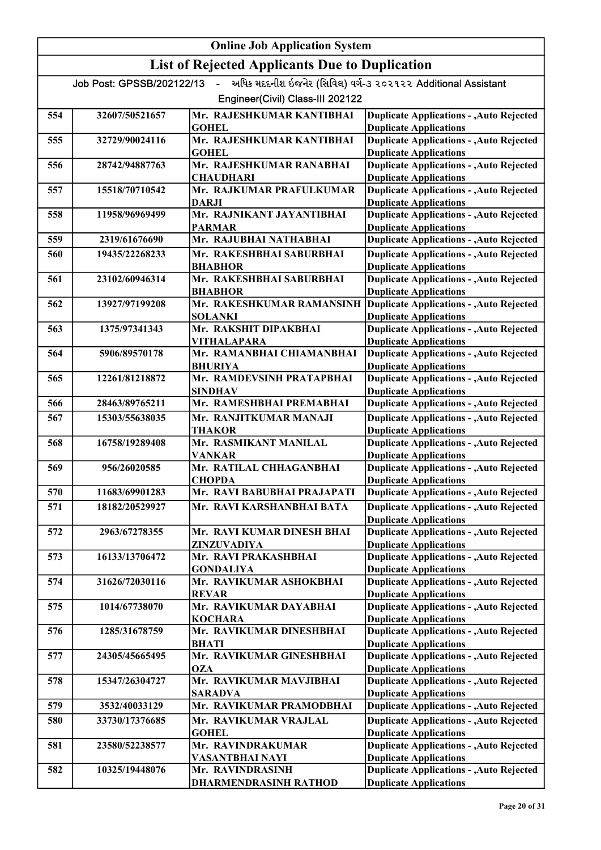|     |                           | <b>Online Job Application System</b>                     |                                                                                  |
|-----|---------------------------|----------------------------------------------------------|----------------------------------------------------------------------------------|
|     |                           | <b>List of Rejected Applicants Due to Duplication</b>    |                                                                                  |
|     | Job Post: GPSSB/202122/13 | $\mathbf{L}^{\text{max}}$                                | અધિક મદદનીશ ઇજનેર (સિવિલ) વર્ગ-૩ ૨૦૨૧૨૨ Additional Assistant                     |
|     |                           | Engineer(Civil) Class-III 202122                         |                                                                                  |
| 554 | 32607/50521657            | Mr. RAJESHKUMAR KANTIBHAI<br><b>GOHEL</b>                | <b>Duplicate Applications - , Auto Rejected</b><br><b>Duplicate Applications</b> |
| 555 | 32729/90024116            | Mr. RAJESHKUMAR KANTIBHAI<br><b>GOHEL</b>                | <b>Duplicate Applications - , Auto Rejected</b><br><b>Duplicate Applications</b> |
| 556 | 28742/94887763            | Mr. RAJESHKUMAR RANABHAI<br><b>CHAUDHARI</b>             | <b>Duplicate Applications - , Auto Rejected</b><br><b>Duplicate Applications</b> |
| 557 | 15518/70710542            | Mr. RAJKUMAR PRAFULKUMAR<br><b>DARJI</b>                 | <b>Duplicate Applications - , Auto Rejected</b><br><b>Duplicate Applications</b> |
| 558 | 11958/96969499            | Mr. RAJNIKANT JAYANTIBHAI<br><b>PARMAR</b>               | <b>Duplicate Applications - , Auto Rejected</b><br><b>Duplicate Applications</b> |
| 559 | 2319/61676690             | Mr. RAJUBHAI NATHABHAI                                   | <b>Duplicate Applications - , Auto Rejected</b>                                  |
| 560 | 19435/22268233            | Mr. RAKESHBHAI SABURBHAI<br><b>BHABHOR</b>               | <b>Duplicate Applications - , Auto Rejected</b><br><b>Duplicate Applications</b> |
| 561 | 23102/60946314            | Mr. RAKESHBHAI SABURBHAI                                 | <b>Duplicate Applications - , Auto Rejected</b>                                  |
| 562 | 13927/97199208            | <b>BHABHOR</b><br>Mr. RAKESHKUMAR RAMANSINH              | <b>Duplicate Applications</b><br><b>Duplicate Applications - , Auto Rejected</b> |
| 563 | 1375/97341343             | <b>SOLANKI</b><br>Mr. RAKSHIT DIPAKBHAI                  | <b>Duplicate Applications</b><br><b>Duplicate Applications - , Auto Rejected</b> |
| 564 | 5906/89570178             | <b>VITHALAPARA</b><br>Mr. RAMANBHAI CHIAMANBHAI          | <b>Duplicate Applications</b><br><b>Duplicate Applications - , Auto Rejected</b> |
| 565 | 12261/81218872            | <b>BHURIYA</b><br>Mr. RAMDEVSINH PRATAPBHAI              | <b>Duplicate Applications</b><br><b>Duplicate Applications - , Auto Rejected</b> |
| 566 | 28463/89765211            | <b>SINDHAV</b><br>Mr. RAMESHBHAI PREMABHAI               | <b>Duplicate Applications</b><br><b>Duplicate Applications - , Auto Rejected</b> |
| 567 | 15303/55638035            | Mr. RANJITKUMAR MANAJI                                   | <b>Duplicate Applications - , Auto Rejected</b>                                  |
| 568 | 16758/19289408            | <b>THAKOR</b><br>Mr. RASMIKANT MANILAL                   | <b>Duplicate Applications</b><br><b>Duplicate Applications - , Auto Rejected</b> |
| 569 | 956/26020585              | <b>VANKAR</b><br>Mr. RATILAL CHHAGANBHAI                 | <b>Duplicate Applications</b><br><b>Duplicate Applications - , Auto Rejected</b> |
|     |                           | <b>CHOPDA</b>                                            | <b>Duplicate Applications</b>                                                    |
| 570 | 11683/69901283            | Mr. RAVI BABUBHAI PRAJAPATI<br>Mr. RAVI KARSHANBHAI BATA | <b>Duplicate Applications - , Auto Rejected</b>                                  |
| 571 | 18182/20529927            |                                                          | <b>Duplicate Applications - , Auto Rejected</b><br><b>Duplicate Applications</b> |
| 572 | 2963/67278355             | Mr. RAVI KUMAR DINESH BHAI<br>ZINZUVADIYA                | <b>Duplicate Applications - , Auto Rejected</b><br><b>Duplicate Applications</b> |
| 573 | 16133/13706472            | Mr. RAVI PRAKASHBHAI<br><b>GONDALIYA</b>                 | <b>Duplicate Applications - , Auto Rejected</b><br><b>Duplicate Applications</b> |
| 574 | 31626/72030116            | Mr. RAVIKUMAR ASHOKBHAI<br><b>REVAR</b>                  | <b>Duplicate Applications - , Auto Rejected</b><br><b>Duplicate Applications</b> |
| 575 | 1014/67738070             | Mr. RAVIKUMAR DAYABHAI                                   | <b>Duplicate Applications - , Auto Rejected</b>                                  |
| 576 | 1285/31678759             | <b>KOCHARA</b><br>Mr. RAVIKUMAR DINESHBHAI               | <b>Duplicate Applications</b><br><b>Duplicate Applications - , Auto Rejected</b> |
| 577 | 24305/45665495            | <b>BHATI</b><br>Mr. RAVIKUMAR GINESHBHAI                 | <b>Duplicate Applications</b><br><b>Duplicate Applications - , Auto Rejected</b> |
| 578 | 15347/26304727            | OZA<br>Mr. RAVIKUMAR MAVJIBHAI                           | <b>Duplicate Applications</b><br><b>Duplicate Applications - , Auto Rejected</b> |
| 579 | 3532/40033129             | <b>SARADVA</b><br>Mr. RAVIKUMAR PRAMODBHAI               | <b>Duplicate Applications</b><br><b>Duplicate Applications - , Auto Rejected</b> |
| 580 | 33730/17376685            | Mr. RAVIKUMAR VRAJLAL                                    | <b>Duplicate Applications - , Auto Rejected</b>                                  |
|     |                           | <b>GOHEL</b>                                             | <b>Duplicate Applications</b>                                                    |
| 581 | 23580/52238577            | Mr. RAVINDRAKUMAR<br>VASANTBHAI NAYI                     | <b>Duplicate Applications - , Auto Rejected</b><br><b>Duplicate Applications</b> |
| 582 | 10325/19448076            | Mr. RAVINDRASINH<br>DHARMENDRASINH RATHOD                | <b>Duplicate Applications - , Auto Rejected</b><br><b>Duplicate Applications</b> |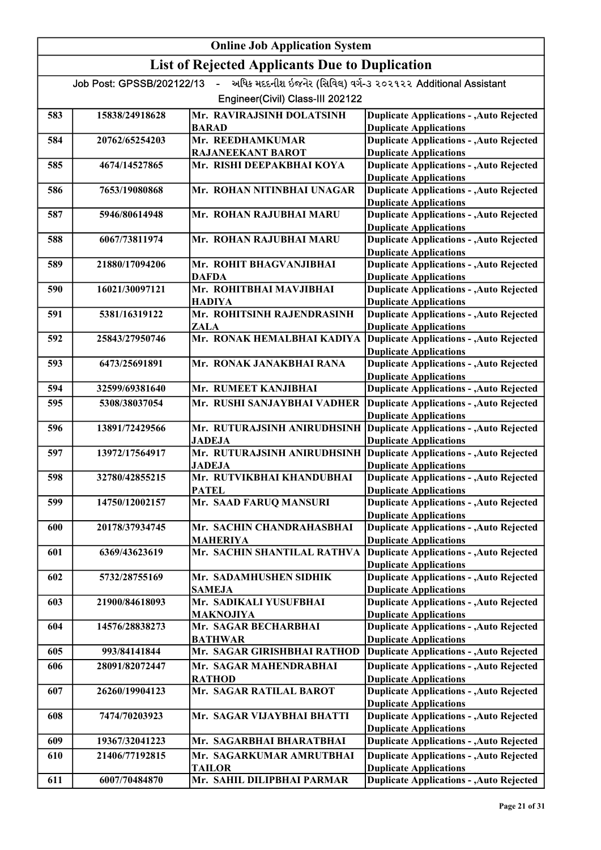# Online Job Application System List of Rejected Applicants Due to Duplication Job Post: GPSSB/202122/13 - અધિક મદદનીશ ઇજનેર (સિવિલ) વર્ગ-૩ ૨૦૨૧૨૨ Additional Assistant Engineer(Civil) Class-III 202122 583 15838/24918628 Mr. RAVIRAJSINH DOLATSINH BARAD Duplicate Applications - ,Auto Rejected Duplicate Applications 584 20762/65254203 Mr. REEDHAMKUMAR <mark>RAJANEEKANT BAROT</mark><br>Mr. RISHI DEEPAKBHAI KOYA Duplicate Applications - ,Auto Rejected Duplicate Applications 585 4674/14527865 Mr. RISHI DEEPAKBHAI KOYA Duplicate Applications - ,Auto Rejected Duplicate Applications 586 7653/19080868 Mr. ROHAN NITINBHAI UNAGAR Duplicate Applications - ,Auto Rejected Duplicate Applications 587 5946/80614948 Mr. ROHAN RAJUBHAI MARU Duplicate Applications - ,Auto Rejected Duplicate Applications 588 6067/73811974 Mr. ROHAN RAJUBHAI MARU Duplicate Applications - ,Auto Rejected Duplicate Applications 589 21880/17094206 Mr. ROHIT BHAGVANJIBHAI DAFDA Duplicate Applications - ,Auto Rejected Duplicate Applications 590 16021/30097121 Mr. ROHITBHAI MAVJIBHAI HADIYA Duplicate Applications - ,Auto Rejected Duplicate Applications 591 5381/16319122 Mr. ROHITSINH RAJENDRASINH **ZALA<br>Mr. RONAK HEMALBHAI KADIYA** Duplicate Applications - ,Auto Rejected Duplicate Applications 592 25843/27950746 Mr. RONAK HEMALBHAI KADIYA Duplicate Applications - ,Auto Rejected Duplicate Applications 593 6473/25691891 Mr. RONAK JANAKBHAI RANA Duplicate Applications - ,Auto Rejected Duplicate Applications 594 32599/69381640 Mr. RUMEET KANJIBHAI Mr. RUSHI SANJAYBHAI VADHER Duplicate Applications - ,Auto Rejected 595 5308/38037054 Mr. RUSHI SANJAYBHAI VADHER Duplicate Applications - ,Auto Rejected Duplicate Applications Duplicate Applications 596 13891/72429566 Mr. RUTURAJSINH ANIRUDHSINH JADEJA Duplicate Applications - ,Auto Rejected Duplicate Applications 597 13972/17564917 Mr. RUTURAJSINH ANIRUDHSINH JADEJA Duplicate Applications - ,Auto Rejected Duplicate Applications 598 32780/42855215 Mr. RUTVIKBHAI KHANDUBHAI **PATEL<br>Mr. SAAD FARUQ MANSURI** Duplicate Applications - ,Auto Rejected Duplicate Applications 599 14750/12002157 Mr. SAAD FARUQ MANSURI Duplicate Applications - ,Auto Rejected Duplicate Applications 600 20178/37934745 Mr. SACHIN CHANDRAHASBHAI MAHERIYA Duplicate Applications - ,Auto Rejected Duplicate Applications 601 6369/43623619 Mr. SACHIN SHANTILAL RATHVA Duplicate Applications - ,Auto Rejected Duplicate Applications 602 5732/28755169 Mr. SADAMHUSHEN SIDHIK SAMEJA Duplicate Applications - ,Auto Rejected Duplicate Applications 603 21900/84618093 Mr. SADIKALI YUSUFBHAI MAKNOJIYA Duplicate Applications - ,Auto Rejected Duplicate Applications 604 14576/28838273 Mr. SAGAR BECHARBHAI BATHWAR Duplicate Applications - ,Auto Rejected Duplicate Applications 605 993/84141844 Mr. SAGAR GIRISHBHAI RATHOD Duplicate Applications - ,Auto Rejected 606 28091/82072447 Mr. SAGAR MAHENDRABHAI <mark>RATHOD</mark><br>Mr. SAGAR RATILAL BAROT Duplicate Applications - ,Auto Rejected Duplicate Applications 607 26260/19904123 Mr. SAGAR RATILAL BAROT Duplicate Applications - ,Auto Rejected Duplicate Applications 608 7474/70203923 Mr. SAGAR VIJAYBHAI BHATTI Duplicate Applications - ,Auto Rejected Duplicate Applications 609 19367/32041223 Mr. SAGARBHAI BHARATBHAI 610 21406/77192815 Mr. SAGARKUMAR AMRUTBHAI Duplicate Applications Duplicate Applications - ,Auto Rejected TAILOR Duplicate Applications - ,Auto Rejected Duplicate Applications 611 6007/70484870 Mr. SAHIL DILIPBHAI PARMAR Duplicate Applications - ,Auto Rejected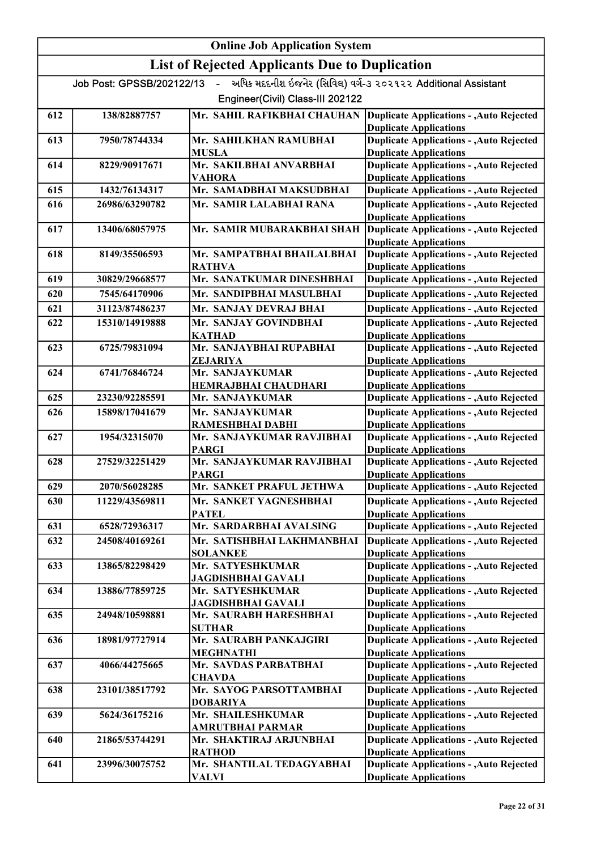| <b>List of Rejected Applicants Due to Duplication</b><br>અધિક મદદનીશ ઇજનેર (સિવિલ) વર્ગ-૩ ૨૦૨૧૨૨ Additional Assistant<br>Job Post: GPSSB/202122/13<br>$\sim$<br>Engineer(Civil) Class-III 202122<br>Mr. SAHIL RAFIKBHAI CHAUHAN<br>138/82887757<br><b>Duplicate Applications - , Auto Rejected</b><br>612<br><b>Duplicate Applications</b><br><b>Duplicate Applications - , Auto Rejected</b><br>613<br>7950/78744334<br>Mr. SAHILKHAN RAMUBHAI<br><b>Duplicate Applications</b><br><b>MUSLA</b><br><b>Duplicate Applications - , Auto Rejected</b><br>Mr. SAKILBHAI ANVARBHAI<br>8229/90917671<br>614<br><b>Duplicate Applications</b><br>VAHORA<br><b>Duplicate Applications - , Auto Rejected</b><br>Mr. SAMADBHAI MAKSUDBHAI<br>1432/76134317<br>615<br>26986/63290782<br>Mr. SAMIR LALABHAI RANA<br><b>Duplicate Applications - , Auto Rejected</b><br>616<br><b>Duplicate Applications</b><br><b>Duplicate Applications - , Auto Rejected</b><br>Mr. SAMIR MUBARAKBHAI SHAH<br>617<br>13406/68057975<br><b>Duplicate Applications</b><br><b>Duplicate Applications - , Auto Rejected</b><br>Mr. SAMPATBHAI BHAILALBHAI<br>618<br>8149/35506593<br><b>RATHVA</b><br><b>Duplicate Applications</b><br>Mr. SANATKUMAR DINESHBHAI<br><b>Duplicate Applications - , Auto Rejected</b><br>619<br>30829/29668577<br><b>Duplicate Applications - , Auto Rejected</b><br>Mr. SANDIPBHAI MASULBHAI<br>620<br>7545/64170906<br><b>Duplicate Applications - , Auto Rejected</b><br>621<br>31123/87486237<br>Mr. SANJAY DEVRAJ BHAI<br><b>Duplicate Applications - , Auto Rejected</b><br>622<br>15310/14919888<br>Mr. SANJAY GOVINDBHAI<br><b>Duplicate Applications</b><br><b>KATHAD</b><br><b>Duplicate Applications - , Auto Rejected</b><br>Mr. SANJAYBHAI RUPABHAI<br>623<br>6725/79831094<br><b>Duplicate Applications</b><br>ZEJARIYA<br><b>Duplicate Applications - , Auto Rejected</b><br>Mr. SANJAYKUMAR<br>624<br>6741/76846724<br><b>Duplicate Applications</b><br>HEMRAJBHAI CHAUDHARI<br><b>Duplicate Applications - , Auto Rejected</b><br>625<br>23230/92285591<br>Mr. SANJAYKUMAR<br><b>Duplicate Applications - , Auto Rejected</b><br>Mr. SANJAYKUMAR<br>626<br>15898/17041679<br><b>Duplicate Applications</b><br>RAMESHBHAI DABHI<br>Mr. SANJAYKUMAR RAVJIBHAI<br><b>Duplicate Applications - , Auto Rejected</b><br>627<br>1954/32315070<br><b>PARGI</b><br><b>Duplicate Applications</b><br><b>Duplicate Applications - , Auto Rejected</b><br>Mr. SANJAYKUMAR RAVJIBHAI<br>628<br>27529/32251429<br>PARGI<br><b>Duplicate Applications</b><br>629<br>Mr. SANKET PRAFUL JETHWA<br><b>Duplicate Applications - , Auto Rejected</b><br>2070/56028285<br>Mr. SANKET YAGNESHBHAI<br><b>Duplicate Applications - , Auto Rejected</b><br>630<br>11229/43569811<br><b>Duplicate Applications</b><br><b>PATEL</b><br>6528/72936317<br>Mr. SARDARBHAI AVALSING<br><b>Duplicate Applications - , Auto Rejected</b><br>631<br><b>Duplicate Applications - , Auto Rejected</b><br>632<br>24508/40169261<br>Mr. SATISHBHAI LAKHMANBHAI<br><b>Duplicate Applications</b><br><b>SOLANKEE</b><br><b>Duplicate Applications - , Auto Rejected</b><br>633<br>13865/82298429<br>Mr. SATYESHKUMAR<br><b>JAGDISHBHAI GAVALI</b><br><b>Duplicate Applications</b><br><b>Duplicate Applications - , Auto Rejected</b><br>634<br>13886/77859725<br>Mr. SATYESHKUMAR<br><b>Duplicate Applications</b><br><b>JAGDISHBHAI GAVALI</b><br><b>Duplicate Applications - , Auto Rejected</b><br>Mr. SAURABH HARESHBHAI<br>635<br>24948/10598881<br><b>Duplicate Applications</b><br><b>SUTHAR</b><br><b>Duplicate Applications - , Auto Rejected</b><br>18981/97727914<br>Mr. SAURABH PANKAJGIRI<br>636<br><b>Duplicate Applications</b><br><b>MEGHNATHI</b><br><b>Duplicate Applications - , Auto Rejected</b><br>637<br>4066/44275665<br>Mr. SAVDAS PARBATBHAI<br><b>Duplicate Applications</b><br><b>CHAVDA</b><br><b>Duplicate Applications - , Auto Rejected</b><br>Mr. SAYOG PARSOTTAMBHAI<br>638<br>23101/38517792<br><b>Duplicate Applications</b><br><b>DOBARIYA</b><br><b>Duplicate Applications - , Auto Rejected</b><br>Mr. SHAILESHKUMAR<br>639<br>5624/36175216<br>AMRUTBHAI PARMAR<br><b>Duplicate Applications</b><br><b>Duplicate Applications - , Auto Rejected</b><br>21865/53744291<br>Mr. SHAKTIRAJ ARJUNBHAI<br>640<br><b>Duplicate Applications</b><br><b>RATHOD</b><br><b>Duplicate Applications - , Auto Rejected</b><br>Mr. SHANTILAL TEDAGYABHAI<br>641<br>23996/30075752<br><b>Duplicate Applications</b><br>VALVI |  | <b>Online Job Application System</b> |  |
|---------------------------------------------------------------------------------------------------------------------------------------------------------------------------------------------------------------------------------------------------------------------------------------------------------------------------------------------------------------------------------------------------------------------------------------------------------------------------------------------------------------------------------------------------------------------------------------------------------------------------------------------------------------------------------------------------------------------------------------------------------------------------------------------------------------------------------------------------------------------------------------------------------------------------------------------------------------------------------------------------------------------------------------------------------------------------------------------------------------------------------------------------------------------------------------------------------------------------------------------------------------------------------------------------------------------------------------------------------------------------------------------------------------------------------------------------------------------------------------------------------------------------------------------------------------------------------------------------------------------------------------------------------------------------------------------------------------------------------------------------------------------------------------------------------------------------------------------------------------------------------------------------------------------------------------------------------------------------------------------------------------------------------------------------------------------------------------------------------------------------------------------------------------------------------------------------------------------------------------------------------------------------------------------------------------------------------------------------------------------------------------------------------------------------------------------------------------------------------------------------------------------------------------------------------------------------------------------------------------------------------------------------------------------------------------------------------------------------------------------------------------------------------------------------------------------------------------------------------------------------------------------------------------------------------------------------------------------------------------------------------------------------------------------------------------------------------------------------------------------------------------------------------------------------------------------------------------------------------------------------------------------------------------------------------------------------------------------------------------------------------------------------------------------------------------------------------------------------------------------------------------------------------------------------------------------------------------------------------------------------------------------------------------------------------------------------------------------------------------------------------------------------------------------------------------------------------------------------------------------------------------------------------------------------------------------------------------------------------------------------------------------------------------------------------------------------------------------------------------------------------------------------------------------------------------------------------------------------------------------------------------------------------------------------------------------------------------------------------------------------------------------------------------------------------------------------------------------------------------------------------------------------------|--|--------------------------------------|--|
|                                                                                                                                                                                                                                                                                                                                                                                                                                                                                                                                                                                                                                                                                                                                                                                                                                                                                                                                                                                                                                                                                                                                                                                                                                                                                                                                                                                                                                                                                                                                                                                                                                                                                                                                                                                                                                                                                                                                                                                                                                                                                                                                                                                                                                                                                                                                                                                                                                                                                                                                                                                                                                                                                                                                                                                                                                                                                                                                                                                                                                                                                                                                                                                                                                                                                                                                                                                                                                                                                                                                                                                                                                                                                                                                                                                                                                                                                                                                                                                                                                                                                                                                                                                                                                                                                                                                                                                                                                                                                                                                 |  |                                      |  |
|                                                                                                                                                                                                                                                                                                                                                                                                                                                                                                                                                                                                                                                                                                                                                                                                                                                                                                                                                                                                                                                                                                                                                                                                                                                                                                                                                                                                                                                                                                                                                                                                                                                                                                                                                                                                                                                                                                                                                                                                                                                                                                                                                                                                                                                                                                                                                                                                                                                                                                                                                                                                                                                                                                                                                                                                                                                                                                                                                                                                                                                                                                                                                                                                                                                                                                                                                                                                                                                                                                                                                                                                                                                                                                                                                                                                                                                                                                                                                                                                                                                                                                                                                                                                                                                                                                                                                                                                                                                                                                                                 |  |                                      |  |
|                                                                                                                                                                                                                                                                                                                                                                                                                                                                                                                                                                                                                                                                                                                                                                                                                                                                                                                                                                                                                                                                                                                                                                                                                                                                                                                                                                                                                                                                                                                                                                                                                                                                                                                                                                                                                                                                                                                                                                                                                                                                                                                                                                                                                                                                                                                                                                                                                                                                                                                                                                                                                                                                                                                                                                                                                                                                                                                                                                                                                                                                                                                                                                                                                                                                                                                                                                                                                                                                                                                                                                                                                                                                                                                                                                                                                                                                                                                                                                                                                                                                                                                                                                                                                                                                                                                                                                                                                                                                                                                                 |  |                                      |  |
|                                                                                                                                                                                                                                                                                                                                                                                                                                                                                                                                                                                                                                                                                                                                                                                                                                                                                                                                                                                                                                                                                                                                                                                                                                                                                                                                                                                                                                                                                                                                                                                                                                                                                                                                                                                                                                                                                                                                                                                                                                                                                                                                                                                                                                                                                                                                                                                                                                                                                                                                                                                                                                                                                                                                                                                                                                                                                                                                                                                                                                                                                                                                                                                                                                                                                                                                                                                                                                                                                                                                                                                                                                                                                                                                                                                                                                                                                                                                                                                                                                                                                                                                                                                                                                                                                                                                                                                                                                                                                                                                 |  |                                      |  |
|                                                                                                                                                                                                                                                                                                                                                                                                                                                                                                                                                                                                                                                                                                                                                                                                                                                                                                                                                                                                                                                                                                                                                                                                                                                                                                                                                                                                                                                                                                                                                                                                                                                                                                                                                                                                                                                                                                                                                                                                                                                                                                                                                                                                                                                                                                                                                                                                                                                                                                                                                                                                                                                                                                                                                                                                                                                                                                                                                                                                                                                                                                                                                                                                                                                                                                                                                                                                                                                                                                                                                                                                                                                                                                                                                                                                                                                                                                                                                                                                                                                                                                                                                                                                                                                                                                                                                                                                                                                                                                                                 |  |                                      |  |
|                                                                                                                                                                                                                                                                                                                                                                                                                                                                                                                                                                                                                                                                                                                                                                                                                                                                                                                                                                                                                                                                                                                                                                                                                                                                                                                                                                                                                                                                                                                                                                                                                                                                                                                                                                                                                                                                                                                                                                                                                                                                                                                                                                                                                                                                                                                                                                                                                                                                                                                                                                                                                                                                                                                                                                                                                                                                                                                                                                                                                                                                                                                                                                                                                                                                                                                                                                                                                                                                                                                                                                                                                                                                                                                                                                                                                                                                                                                                                                                                                                                                                                                                                                                                                                                                                                                                                                                                                                                                                                                                 |  |                                      |  |
|                                                                                                                                                                                                                                                                                                                                                                                                                                                                                                                                                                                                                                                                                                                                                                                                                                                                                                                                                                                                                                                                                                                                                                                                                                                                                                                                                                                                                                                                                                                                                                                                                                                                                                                                                                                                                                                                                                                                                                                                                                                                                                                                                                                                                                                                                                                                                                                                                                                                                                                                                                                                                                                                                                                                                                                                                                                                                                                                                                                                                                                                                                                                                                                                                                                                                                                                                                                                                                                                                                                                                                                                                                                                                                                                                                                                                                                                                                                                                                                                                                                                                                                                                                                                                                                                                                                                                                                                                                                                                                                                 |  |                                      |  |
|                                                                                                                                                                                                                                                                                                                                                                                                                                                                                                                                                                                                                                                                                                                                                                                                                                                                                                                                                                                                                                                                                                                                                                                                                                                                                                                                                                                                                                                                                                                                                                                                                                                                                                                                                                                                                                                                                                                                                                                                                                                                                                                                                                                                                                                                                                                                                                                                                                                                                                                                                                                                                                                                                                                                                                                                                                                                                                                                                                                                                                                                                                                                                                                                                                                                                                                                                                                                                                                                                                                                                                                                                                                                                                                                                                                                                                                                                                                                                                                                                                                                                                                                                                                                                                                                                                                                                                                                                                                                                                                                 |  |                                      |  |
|                                                                                                                                                                                                                                                                                                                                                                                                                                                                                                                                                                                                                                                                                                                                                                                                                                                                                                                                                                                                                                                                                                                                                                                                                                                                                                                                                                                                                                                                                                                                                                                                                                                                                                                                                                                                                                                                                                                                                                                                                                                                                                                                                                                                                                                                                                                                                                                                                                                                                                                                                                                                                                                                                                                                                                                                                                                                                                                                                                                                                                                                                                                                                                                                                                                                                                                                                                                                                                                                                                                                                                                                                                                                                                                                                                                                                                                                                                                                                                                                                                                                                                                                                                                                                                                                                                                                                                                                                                                                                                                                 |  |                                      |  |
|                                                                                                                                                                                                                                                                                                                                                                                                                                                                                                                                                                                                                                                                                                                                                                                                                                                                                                                                                                                                                                                                                                                                                                                                                                                                                                                                                                                                                                                                                                                                                                                                                                                                                                                                                                                                                                                                                                                                                                                                                                                                                                                                                                                                                                                                                                                                                                                                                                                                                                                                                                                                                                                                                                                                                                                                                                                                                                                                                                                                                                                                                                                                                                                                                                                                                                                                                                                                                                                                                                                                                                                                                                                                                                                                                                                                                                                                                                                                                                                                                                                                                                                                                                                                                                                                                                                                                                                                                                                                                                                                 |  |                                      |  |
|                                                                                                                                                                                                                                                                                                                                                                                                                                                                                                                                                                                                                                                                                                                                                                                                                                                                                                                                                                                                                                                                                                                                                                                                                                                                                                                                                                                                                                                                                                                                                                                                                                                                                                                                                                                                                                                                                                                                                                                                                                                                                                                                                                                                                                                                                                                                                                                                                                                                                                                                                                                                                                                                                                                                                                                                                                                                                                                                                                                                                                                                                                                                                                                                                                                                                                                                                                                                                                                                                                                                                                                                                                                                                                                                                                                                                                                                                                                                                                                                                                                                                                                                                                                                                                                                                                                                                                                                                                                                                                                                 |  |                                      |  |
|                                                                                                                                                                                                                                                                                                                                                                                                                                                                                                                                                                                                                                                                                                                                                                                                                                                                                                                                                                                                                                                                                                                                                                                                                                                                                                                                                                                                                                                                                                                                                                                                                                                                                                                                                                                                                                                                                                                                                                                                                                                                                                                                                                                                                                                                                                                                                                                                                                                                                                                                                                                                                                                                                                                                                                                                                                                                                                                                                                                                                                                                                                                                                                                                                                                                                                                                                                                                                                                                                                                                                                                                                                                                                                                                                                                                                                                                                                                                                                                                                                                                                                                                                                                                                                                                                                                                                                                                                                                                                                                                 |  |                                      |  |
|                                                                                                                                                                                                                                                                                                                                                                                                                                                                                                                                                                                                                                                                                                                                                                                                                                                                                                                                                                                                                                                                                                                                                                                                                                                                                                                                                                                                                                                                                                                                                                                                                                                                                                                                                                                                                                                                                                                                                                                                                                                                                                                                                                                                                                                                                                                                                                                                                                                                                                                                                                                                                                                                                                                                                                                                                                                                                                                                                                                                                                                                                                                                                                                                                                                                                                                                                                                                                                                                                                                                                                                                                                                                                                                                                                                                                                                                                                                                                                                                                                                                                                                                                                                                                                                                                                                                                                                                                                                                                                                                 |  |                                      |  |
|                                                                                                                                                                                                                                                                                                                                                                                                                                                                                                                                                                                                                                                                                                                                                                                                                                                                                                                                                                                                                                                                                                                                                                                                                                                                                                                                                                                                                                                                                                                                                                                                                                                                                                                                                                                                                                                                                                                                                                                                                                                                                                                                                                                                                                                                                                                                                                                                                                                                                                                                                                                                                                                                                                                                                                                                                                                                                                                                                                                                                                                                                                                                                                                                                                                                                                                                                                                                                                                                                                                                                                                                                                                                                                                                                                                                                                                                                                                                                                                                                                                                                                                                                                                                                                                                                                                                                                                                                                                                                                                                 |  |                                      |  |
|                                                                                                                                                                                                                                                                                                                                                                                                                                                                                                                                                                                                                                                                                                                                                                                                                                                                                                                                                                                                                                                                                                                                                                                                                                                                                                                                                                                                                                                                                                                                                                                                                                                                                                                                                                                                                                                                                                                                                                                                                                                                                                                                                                                                                                                                                                                                                                                                                                                                                                                                                                                                                                                                                                                                                                                                                                                                                                                                                                                                                                                                                                                                                                                                                                                                                                                                                                                                                                                                                                                                                                                                                                                                                                                                                                                                                                                                                                                                                                                                                                                                                                                                                                                                                                                                                                                                                                                                                                                                                                                                 |  |                                      |  |
|                                                                                                                                                                                                                                                                                                                                                                                                                                                                                                                                                                                                                                                                                                                                                                                                                                                                                                                                                                                                                                                                                                                                                                                                                                                                                                                                                                                                                                                                                                                                                                                                                                                                                                                                                                                                                                                                                                                                                                                                                                                                                                                                                                                                                                                                                                                                                                                                                                                                                                                                                                                                                                                                                                                                                                                                                                                                                                                                                                                                                                                                                                                                                                                                                                                                                                                                                                                                                                                                                                                                                                                                                                                                                                                                                                                                                                                                                                                                                                                                                                                                                                                                                                                                                                                                                                                                                                                                                                                                                                                                 |  |                                      |  |
|                                                                                                                                                                                                                                                                                                                                                                                                                                                                                                                                                                                                                                                                                                                                                                                                                                                                                                                                                                                                                                                                                                                                                                                                                                                                                                                                                                                                                                                                                                                                                                                                                                                                                                                                                                                                                                                                                                                                                                                                                                                                                                                                                                                                                                                                                                                                                                                                                                                                                                                                                                                                                                                                                                                                                                                                                                                                                                                                                                                                                                                                                                                                                                                                                                                                                                                                                                                                                                                                                                                                                                                                                                                                                                                                                                                                                                                                                                                                                                                                                                                                                                                                                                                                                                                                                                                                                                                                                                                                                                                                 |  |                                      |  |
|                                                                                                                                                                                                                                                                                                                                                                                                                                                                                                                                                                                                                                                                                                                                                                                                                                                                                                                                                                                                                                                                                                                                                                                                                                                                                                                                                                                                                                                                                                                                                                                                                                                                                                                                                                                                                                                                                                                                                                                                                                                                                                                                                                                                                                                                                                                                                                                                                                                                                                                                                                                                                                                                                                                                                                                                                                                                                                                                                                                                                                                                                                                                                                                                                                                                                                                                                                                                                                                                                                                                                                                                                                                                                                                                                                                                                                                                                                                                                                                                                                                                                                                                                                                                                                                                                                                                                                                                                                                                                                                                 |  |                                      |  |
|                                                                                                                                                                                                                                                                                                                                                                                                                                                                                                                                                                                                                                                                                                                                                                                                                                                                                                                                                                                                                                                                                                                                                                                                                                                                                                                                                                                                                                                                                                                                                                                                                                                                                                                                                                                                                                                                                                                                                                                                                                                                                                                                                                                                                                                                                                                                                                                                                                                                                                                                                                                                                                                                                                                                                                                                                                                                                                                                                                                                                                                                                                                                                                                                                                                                                                                                                                                                                                                                                                                                                                                                                                                                                                                                                                                                                                                                                                                                                                                                                                                                                                                                                                                                                                                                                                                                                                                                                                                                                                                                 |  |                                      |  |
|                                                                                                                                                                                                                                                                                                                                                                                                                                                                                                                                                                                                                                                                                                                                                                                                                                                                                                                                                                                                                                                                                                                                                                                                                                                                                                                                                                                                                                                                                                                                                                                                                                                                                                                                                                                                                                                                                                                                                                                                                                                                                                                                                                                                                                                                                                                                                                                                                                                                                                                                                                                                                                                                                                                                                                                                                                                                                                                                                                                                                                                                                                                                                                                                                                                                                                                                                                                                                                                                                                                                                                                                                                                                                                                                                                                                                                                                                                                                                                                                                                                                                                                                                                                                                                                                                                                                                                                                                                                                                                                                 |  |                                      |  |
|                                                                                                                                                                                                                                                                                                                                                                                                                                                                                                                                                                                                                                                                                                                                                                                                                                                                                                                                                                                                                                                                                                                                                                                                                                                                                                                                                                                                                                                                                                                                                                                                                                                                                                                                                                                                                                                                                                                                                                                                                                                                                                                                                                                                                                                                                                                                                                                                                                                                                                                                                                                                                                                                                                                                                                                                                                                                                                                                                                                                                                                                                                                                                                                                                                                                                                                                                                                                                                                                                                                                                                                                                                                                                                                                                                                                                                                                                                                                                                                                                                                                                                                                                                                                                                                                                                                                                                                                                                                                                                                                 |  |                                      |  |
|                                                                                                                                                                                                                                                                                                                                                                                                                                                                                                                                                                                                                                                                                                                                                                                                                                                                                                                                                                                                                                                                                                                                                                                                                                                                                                                                                                                                                                                                                                                                                                                                                                                                                                                                                                                                                                                                                                                                                                                                                                                                                                                                                                                                                                                                                                                                                                                                                                                                                                                                                                                                                                                                                                                                                                                                                                                                                                                                                                                                                                                                                                                                                                                                                                                                                                                                                                                                                                                                                                                                                                                                                                                                                                                                                                                                                                                                                                                                                                                                                                                                                                                                                                                                                                                                                                                                                                                                                                                                                                                                 |  |                                      |  |
|                                                                                                                                                                                                                                                                                                                                                                                                                                                                                                                                                                                                                                                                                                                                                                                                                                                                                                                                                                                                                                                                                                                                                                                                                                                                                                                                                                                                                                                                                                                                                                                                                                                                                                                                                                                                                                                                                                                                                                                                                                                                                                                                                                                                                                                                                                                                                                                                                                                                                                                                                                                                                                                                                                                                                                                                                                                                                                                                                                                                                                                                                                                                                                                                                                                                                                                                                                                                                                                                                                                                                                                                                                                                                                                                                                                                                                                                                                                                                                                                                                                                                                                                                                                                                                                                                                                                                                                                                                                                                                                                 |  |                                      |  |
|                                                                                                                                                                                                                                                                                                                                                                                                                                                                                                                                                                                                                                                                                                                                                                                                                                                                                                                                                                                                                                                                                                                                                                                                                                                                                                                                                                                                                                                                                                                                                                                                                                                                                                                                                                                                                                                                                                                                                                                                                                                                                                                                                                                                                                                                                                                                                                                                                                                                                                                                                                                                                                                                                                                                                                                                                                                                                                                                                                                                                                                                                                                                                                                                                                                                                                                                                                                                                                                                                                                                                                                                                                                                                                                                                                                                                                                                                                                                                                                                                                                                                                                                                                                                                                                                                                                                                                                                                                                                                                                                 |  |                                      |  |
|                                                                                                                                                                                                                                                                                                                                                                                                                                                                                                                                                                                                                                                                                                                                                                                                                                                                                                                                                                                                                                                                                                                                                                                                                                                                                                                                                                                                                                                                                                                                                                                                                                                                                                                                                                                                                                                                                                                                                                                                                                                                                                                                                                                                                                                                                                                                                                                                                                                                                                                                                                                                                                                                                                                                                                                                                                                                                                                                                                                                                                                                                                                                                                                                                                                                                                                                                                                                                                                                                                                                                                                                                                                                                                                                                                                                                                                                                                                                                                                                                                                                                                                                                                                                                                                                                                                                                                                                                                                                                                                                 |  |                                      |  |
|                                                                                                                                                                                                                                                                                                                                                                                                                                                                                                                                                                                                                                                                                                                                                                                                                                                                                                                                                                                                                                                                                                                                                                                                                                                                                                                                                                                                                                                                                                                                                                                                                                                                                                                                                                                                                                                                                                                                                                                                                                                                                                                                                                                                                                                                                                                                                                                                                                                                                                                                                                                                                                                                                                                                                                                                                                                                                                                                                                                                                                                                                                                                                                                                                                                                                                                                                                                                                                                                                                                                                                                                                                                                                                                                                                                                                                                                                                                                                                                                                                                                                                                                                                                                                                                                                                                                                                                                                                                                                                                                 |  |                                      |  |
|                                                                                                                                                                                                                                                                                                                                                                                                                                                                                                                                                                                                                                                                                                                                                                                                                                                                                                                                                                                                                                                                                                                                                                                                                                                                                                                                                                                                                                                                                                                                                                                                                                                                                                                                                                                                                                                                                                                                                                                                                                                                                                                                                                                                                                                                                                                                                                                                                                                                                                                                                                                                                                                                                                                                                                                                                                                                                                                                                                                                                                                                                                                                                                                                                                                                                                                                                                                                                                                                                                                                                                                                                                                                                                                                                                                                                                                                                                                                                                                                                                                                                                                                                                                                                                                                                                                                                                                                                                                                                                                                 |  |                                      |  |
|                                                                                                                                                                                                                                                                                                                                                                                                                                                                                                                                                                                                                                                                                                                                                                                                                                                                                                                                                                                                                                                                                                                                                                                                                                                                                                                                                                                                                                                                                                                                                                                                                                                                                                                                                                                                                                                                                                                                                                                                                                                                                                                                                                                                                                                                                                                                                                                                                                                                                                                                                                                                                                                                                                                                                                                                                                                                                                                                                                                                                                                                                                                                                                                                                                                                                                                                                                                                                                                                                                                                                                                                                                                                                                                                                                                                                                                                                                                                                                                                                                                                                                                                                                                                                                                                                                                                                                                                                                                                                                                                 |  |                                      |  |
|                                                                                                                                                                                                                                                                                                                                                                                                                                                                                                                                                                                                                                                                                                                                                                                                                                                                                                                                                                                                                                                                                                                                                                                                                                                                                                                                                                                                                                                                                                                                                                                                                                                                                                                                                                                                                                                                                                                                                                                                                                                                                                                                                                                                                                                                                                                                                                                                                                                                                                                                                                                                                                                                                                                                                                                                                                                                                                                                                                                                                                                                                                                                                                                                                                                                                                                                                                                                                                                                                                                                                                                                                                                                                                                                                                                                                                                                                                                                                                                                                                                                                                                                                                                                                                                                                                                                                                                                                                                                                                                                 |  |                                      |  |
|                                                                                                                                                                                                                                                                                                                                                                                                                                                                                                                                                                                                                                                                                                                                                                                                                                                                                                                                                                                                                                                                                                                                                                                                                                                                                                                                                                                                                                                                                                                                                                                                                                                                                                                                                                                                                                                                                                                                                                                                                                                                                                                                                                                                                                                                                                                                                                                                                                                                                                                                                                                                                                                                                                                                                                                                                                                                                                                                                                                                                                                                                                                                                                                                                                                                                                                                                                                                                                                                                                                                                                                                                                                                                                                                                                                                                                                                                                                                                                                                                                                                                                                                                                                                                                                                                                                                                                                                                                                                                                                                 |  |                                      |  |
|                                                                                                                                                                                                                                                                                                                                                                                                                                                                                                                                                                                                                                                                                                                                                                                                                                                                                                                                                                                                                                                                                                                                                                                                                                                                                                                                                                                                                                                                                                                                                                                                                                                                                                                                                                                                                                                                                                                                                                                                                                                                                                                                                                                                                                                                                                                                                                                                                                                                                                                                                                                                                                                                                                                                                                                                                                                                                                                                                                                                                                                                                                                                                                                                                                                                                                                                                                                                                                                                                                                                                                                                                                                                                                                                                                                                                                                                                                                                                                                                                                                                                                                                                                                                                                                                                                                                                                                                                                                                                                                                 |  |                                      |  |
|                                                                                                                                                                                                                                                                                                                                                                                                                                                                                                                                                                                                                                                                                                                                                                                                                                                                                                                                                                                                                                                                                                                                                                                                                                                                                                                                                                                                                                                                                                                                                                                                                                                                                                                                                                                                                                                                                                                                                                                                                                                                                                                                                                                                                                                                                                                                                                                                                                                                                                                                                                                                                                                                                                                                                                                                                                                                                                                                                                                                                                                                                                                                                                                                                                                                                                                                                                                                                                                                                                                                                                                                                                                                                                                                                                                                                                                                                                                                                                                                                                                                                                                                                                                                                                                                                                                                                                                                                                                                                                                                 |  |                                      |  |
|                                                                                                                                                                                                                                                                                                                                                                                                                                                                                                                                                                                                                                                                                                                                                                                                                                                                                                                                                                                                                                                                                                                                                                                                                                                                                                                                                                                                                                                                                                                                                                                                                                                                                                                                                                                                                                                                                                                                                                                                                                                                                                                                                                                                                                                                                                                                                                                                                                                                                                                                                                                                                                                                                                                                                                                                                                                                                                                                                                                                                                                                                                                                                                                                                                                                                                                                                                                                                                                                                                                                                                                                                                                                                                                                                                                                                                                                                                                                                                                                                                                                                                                                                                                                                                                                                                                                                                                                                                                                                                                                 |  |                                      |  |
|                                                                                                                                                                                                                                                                                                                                                                                                                                                                                                                                                                                                                                                                                                                                                                                                                                                                                                                                                                                                                                                                                                                                                                                                                                                                                                                                                                                                                                                                                                                                                                                                                                                                                                                                                                                                                                                                                                                                                                                                                                                                                                                                                                                                                                                                                                                                                                                                                                                                                                                                                                                                                                                                                                                                                                                                                                                                                                                                                                                                                                                                                                                                                                                                                                                                                                                                                                                                                                                                                                                                                                                                                                                                                                                                                                                                                                                                                                                                                                                                                                                                                                                                                                                                                                                                                                                                                                                                                                                                                                                                 |  |                                      |  |
|                                                                                                                                                                                                                                                                                                                                                                                                                                                                                                                                                                                                                                                                                                                                                                                                                                                                                                                                                                                                                                                                                                                                                                                                                                                                                                                                                                                                                                                                                                                                                                                                                                                                                                                                                                                                                                                                                                                                                                                                                                                                                                                                                                                                                                                                                                                                                                                                                                                                                                                                                                                                                                                                                                                                                                                                                                                                                                                                                                                                                                                                                                                                                                                                                                                                                                                                                                                                                                                                                                                                                                                                                                                                                                                                                                                                                                                                                                                                                                                                                                                                                                                                                                                                                                                                                                                                                                                                                                                                                                                                 |  |                                      |  |
|                                                                                                                                                                                                                                                                                                                                                                                                                                                                                                                                                                                                                                                                                                                                                                                                                                                                                                                                                                                                                                                                                                                                                                                                                                                                                                                                                                                                                                                                                                                                                                                                                                                                                                                                                                                                                                                                                                                                                                                                                                                                                                                                                                                                                                                                                                                                                                                                                                                                                                                                                                                                                                                                                                                                                                                                                                                                                                                                                                                                                                                                                                                                                                                                                                                                                                                                                                                                                                                                                                                                                                                                                                                                                                                                                                                                                                                                                                                                                                                                                                                                                                                                                                                                                                                                                                                                                                                                                                                                                                                                 |  |                                      |  |
|                                                                                                                                                                                                                                                                                                                                                                                                                                                                                                                                                                                                                                                                                                                                                                                                                                                                                                                                                                                                                                                                                                                                                                                                                                                                                                                                                                                                                                                                                                                                                                                                                                                                                                                                                                                                                                                                                                                                                                                                                                                                                                                                                                                                                                                                                                                                                                                                                                                                                                                                                                                                                                                                                                                                                                                                                                                                                                                                                                                                                                                                                                                                                                                                                                                                                                                                                                                                                                                                                                                                                                                                                                                                                                                                                                                                                                                                                                                                                                                                                                                                                                                                                                                                                                                                                                                                                                                                                                                                                                                                 |  |                                      |  |
|                                                                                                                                                                                                                                                                                                                                                                                                                                                                                                                                                                                                                                                                                                                                                                                                                                                                                                                                                                                                                                                                                                                                                                                                                                                                                                                                                                                                                                                                                                                                                                                                                                                                                                                                                                                                                                                                                                                                                                                                                                                                                                                                                                                                                                                                                                                                                                                                                                                                                                                                                                                                                                                                                                                                                                                                                                                                                                                                                                                                                                                                                                                                                                                                                                                                                                                                                                                                                                                                                                                                                                                                                                                                                                                                                                                                                                                                                                                                                                                                                                                                                                                                                                                                                                                                                                                                                                                                                                                                                                                                 |  |                                      |  |
|                                                                                                                                                                                                                                                                                                                                                                                                                                                                                                                                                                                                                                                                                                                                                                                                                                                                                                                                                                                                                                                                                                                                                                                                                                                                                                                                                                                                                                                                                                                                                                                                                                                                                                                                                                                                                                                                                                                                                                                                                                                                                                                                                                                                                                                                                                                                                                                                                                                                                                                                                                                                                                                                                                                                                                                                                                                                                                                                                                                                                                                                                                                                                                                                                                                                                                                                                                                                                                                                                                                                                                                                                                                                                                                                                                                                                                                                                                                                                                                                                                                                                                                                                                                                                                                                                                                                                                                                                                                                                                                                 |  |                                      |  |
|                                                                                                                                                                                                                                                                                                                                                                                                                                                                                                                                                                                                                                                                                                                                                                                                                                                                                                                                                                                                                                                                                                                                                                                                                                                                                                                                                                                                                                                                                                                                                                                                                                                                                                                                                                                                                                                                                                                                                                                                                                                                                                                                                                                                                                                                                                                                                                                                                                                                                                                                                                                                                                                                                                                                                                                                                                                                                                                                                                                                                                                                                                                                                                                                                                                                                                                                                                                                                                                                                                                                                                                                                                                                                                                                                                                                                                                                                                                                                                                                                                                                                                                                                                                                                                                                                                                                                                                                                                                                                                                                 |  |                                      |  |
|                                                                                                                                                                                                                                                                                                                                                                                                                                                                                                                                                                                                                                                                                                                                                                                                                                                                                                                                                                                                                                                                                                                                                                                                                                                                                                                                                                                                                                                                                                                                                                                                                                                                                                                                                                                                                                                                                                                                                                                                                                                                                                                                                                                                                                                                                                                                                                                                                                                                                                                                                                                                                                                                                                                                                                                                                                                                                                                                                                                                                                                                                                                                                                                                                                                                                                                                                                                                                                                                                                                                                                                                                                                                                                                                                                                                                                                                                                                                                                                                                                                                                                                                                                                                                                                                                                                                                                                                                                                                                                                                 |  |                                      |  |
|                                                                                                                                                                                                                                                                                                                                                                                                                                                                                                                                                                                                                                                                                                                                                                                                                                                                                                                                                                                                                                                                                                                                                                                                                                                                                                                                                                                                                                                                                                                                                                                                                                                                                                                                                                                                                                                                                                                                                                                                                                                                                                                                                                                                                                                                                                                                                                                                                                                                                                                                                                                                                                                                                                                                                                                                                                                                                                                                                                                                                                                                                                                                                                                                                                                                                                                                                                                                                                                                                                                                                                                                                                                                                                                                                                                                                                                                                                                                                                                                                                                                                                                                                                                                                                                                                                                                                                                                                                                                                                                                 |  |                                      |  |
|                                                                                                                                                                                                                                                                                                                                                                                                                                                                                                                                                                                                                                                                                                                                                                                                                                                                                                                                                                                                                                                                                                                                                                                                                                                                                                                                                                                                                                                                                                                                                                                                                                                                                                                                                                                                                                                                                                                                                                                                                                                                                                                                                                                                                                                                                                                                                                                                                                                                                                                                                                                                                                                                                                                                                                                                                                                                                                                                                                                                                                                                                                                                                                                                                                                                                                                                                                                                                                                                                                                                                                                                                                                                                                                                                                                                                                                                                                                                                                                                                                                                                                                                                                                                                                                                                                                                                                                                                                                                                                                                 |  |                                      |  |
|                                                                                                                                                                                                                                                                                                                                                                                                                                                                                                                                                                                                                                                                                                                                                                                                                                                                                                                                                                                                                                                                                                                                                                                                                                                                                                                                                                                                                                                                                                                                                                                                                                                                                                                                                                                                                                                                                                                                                                                                                                                                                                                                                                                                                                                                                                                                                                                                                                                                                                                                                                                                                                                                                                                                                                                                                                                                                                                                                                                                                                                                                                                                                                                                                                                                                                                                                                                                                                                                                                                                                                                                                                                                                                                                                                                                                                                                                                                                                                                                                                                                                                                                                                                                                                                                                                                                                                                                                                                                                                                                 |  |                                      |  |
|                                                                                                                                                                                                                                                                                                                                                                                                                                                                                                                                                                                                                                                                                                                                                                                                                                                                                                                                                                                                                                                                                                                                                                                                                                                                                                                                                                                                                                                                                                                                                                                                                                                                                                                                                                                                                                                                                                                                                                                                                                                                                                                                                                                                                                                                                                                                                                                                                                                                                                                                                                                                                                                                                                                                                                                                                                                                                                                                                                                                                                                                                                                                                                                                                                                                                                                                                                                                                                                                                                                                                                                                                                                                                                                                                                                                                                                                                                                                                                                                                                                                                                                                                                                                                                                                                                                                                                                                                                                                                                                                 |  |                                      |  |
|                                                                                                                                                                                                                                                                                                                                                                                                                                                                                                                                                                                                                                                                                                                                                                                                                                                                                                                                                                                                                                                                                                                                                                                                                                                                                                                                                                                                                                                                                                                                                                                                                                                                                                                                                                                                                                                                                                                                                                                                                                                                                                                                                                                                                                                                                                                                                                                                                                                                                                                                                                                                                                                                                                                                                                                                                                                                                                                                                                                                                                                                                                                                                                                                                                                                                                                                                                                                                                                                                                                                                                                                                                                                                                                                                                                                                                                                                                                                                                                                                                                                                                                                                                                                                                                                                                                                                                                                                                                                                                                                 |  |                                      |  |
|                                                                                                                                                                                                                                                                                                                                                                                                                                                                                                                                                                                                                                                                                                                                                                                                                                                                                                                                                                                                                                                                                                                                                                                                                                                                                                                                                                                                                                                                                                                                                                                                                                                                                                                                                                                                                                                                                                                                                                                                                                                                                                                                                                                                                                                                                                                                                                                                                                                                                                                                                                                                                                                                                                                                                                                                                                                                                                                                                                                                                                                                                                                                                                                                                                                                                                                                                                                                                                                                                                                                                                                                                                                                                                                                                                                                                                                                                                                                                                                                                                                                                                                                                                                                                                                                                                                                                                                                                                                                                                                                 |  |                                      |  |
|                                                                                                                                                                                                                                                                                                                                                                                                                                                                                                                                                                                                                                                                                                                                                                                                                                                                                                                                                                                                                                                                                                                                                                                                                                                                                                                                                                                                                                                                                                                                                                                                                                                                                                                                                                                                                                                                                                                                                                                                                                                                                                                                                                                                                                                                                                                                                                                                                                                                                                                                                                                                                                                                                                                                                                                                                                                                                                                                                                                                                                                                                                                                                                                                                                                                                                                                                                                                                                                                                                                                                                                                                                                                                                                                                                                                                                                                                                                                                                                                                                                                                                                                                                                                                                                                                                                                                                                                                                                                                                                                 |  |                                      |  |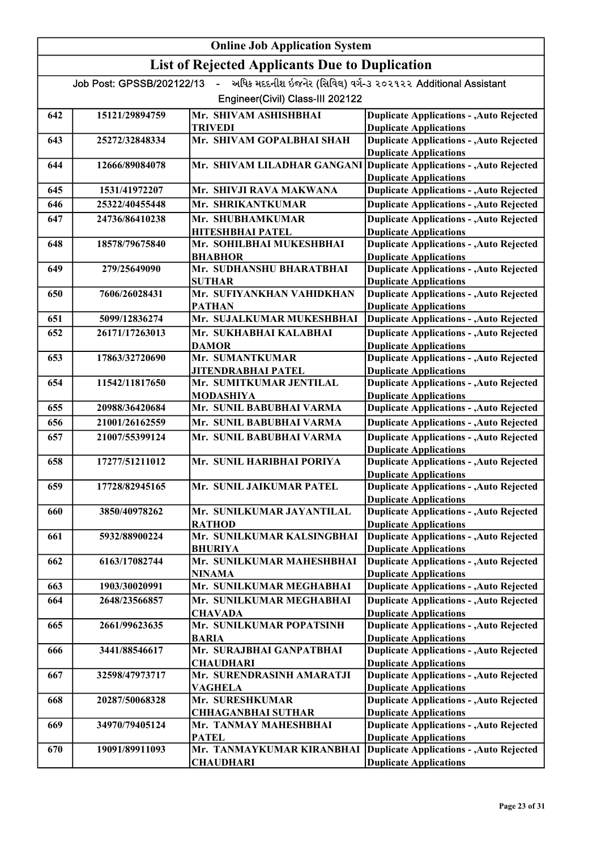# Online Job Application System

# List of Rejected Applicants Due to Duplication

|     | અધિક મદદનીશ ઇજનેર (સિવિલ) વર્ગ-૩ ૨૦૨૧૨૨ Additional Assistant<br>$\mathbf{L}^{\text{max}}$<br>Job Post: GPSSB/202122/13 |                                               |                                                                                  |  |
|-----|------------------------------------------------------------------------------------------------------------------------|-----------------------------------------------|----------------------------------------------------------------------------------|--|
|     | Engineer(Civil) Class-III 202122                                                                                       |                                               |                                                                                  |  |
| 642 | 15121/29894759                                                                                                         | Mr. SHIVAM ASHISHBHAI                         | <b>Duplicate Applications - , Auto Rejected</b>                                  |  |
|     |                                                                                                                        | TRIVEDI                                       | <b>Duplicate Applications</b>                                                    |  |
| 643 | 25272/32848334                                                                                                         | Mr. SHIVAM GOPALBHAI SHAH                     | <b>Duplicate Applications - , Auto Rejected</b>                                  |  |
|     |                                                                                                                        |                                               | <b>Duplicate Applications</b>                                                    |  |
| 644 | 12666/89084078                                                                                                         | Mr. SHIVAM LILADHAR GANGANI                   | <b>Duplicate Applications - , Auto Rejected</b>                                  |  |
|     |                                                                                                                        |                                               | <b>Duplicate Applications</b>                                                    |  |
| 645 | 1531/41972207                                                                                                          | Mr. SHIVJI RAVA MAKWANA                       | <b>Duplicate Applications - , Auto Rejected</b>                                  |  |
| 646 | 25322/40455448                                                                                                         | Mr. SHRIKANTKUMAR                             | <b>Duplicate Applications - , Auto Rejected</b>                                  |  |
| 647 | 24736/86410238                                                                                                         | Mr. SHUBHAMKUMAR                              | <b>Duplicate Applications - , Auto Rejected</b>                                  |  |
|     |                                                                                                                        | <b>HITESHBHAI PATEL</b>                       | <b>Duplicate Applications</b>                                                    |  |
| 648 | 18578/79675840                                                                                                         | Mr. SOHILBHAI MUKESHBHAI                      | <b>Duplicate Applications - , Auto Rejected</b>                                  |  |
|     |                                                                                                                        | <b>BHABHOR</b>                                | <b>Duplicate Applications</b>                                                    |  |
| 649 | 279/25649090                                                                                                           | Mr. SUDHANSHU BHARATBHAI                      | <b>Duplicate Applications - , Auto Rejected</b>                                  |  |
| 650 |                                                                                                                        | <b>SUTHAR</b><br>Mr. SUFIYANKHAN VAHIDKHAN    | <b>Duplicate Applications</b><br><b>Duplicate Applications - , Auto Rejected</b> |  |
|     | 7606/26028431                                                                                                          | <b>PATHAN</b>                                 | <b>Duplicate Applications</b>                                                    |  |
| 651 | 5099/12836274                                                                                                          | Mr. SUJALKUMAR MUKESHBHAI                     | <b>Duplicate Applications - , Auto Rejected</b>                                  |  |
| 652 | 26171/17263013                                                                                                         | Mr. SUKHABHAI KALABHAI                        | <b>Duplicate Applications - , Auto Rejected</b>                                  |  |
|     |                                                                                                                        | <b>DAMOR</b>                                  | <b>Duplicate Applications</b>                                                    |  |
| 653 | 17863/32720690                                                                                                         | Mr. SUMANTKUMAR                               | <b>Duplicate Applications - , Auto Rejected</b>                                  |  |
|     |                                                                                                                        | JITENDRABHAI PATEL                            | <b>Duplicate Applications</b>                                                    |  |
| 654 | 11542/11817650                                                                                                         | Mr. SUMITKUMAR JENTILAL                       | <b>Duplicate Applications - , Auto Rejected</b>                                  |  |
|     |                                                                                                                        | MODASHIYA                                     | <b>Duplicate Applications</b>                                                    |  |
| 655 | 20988/36420684                                                                                                         | Mr. SUNIL BABUBHAI VARMA                      | <b>Duplicate Applications - , Auto Rejected</b>                                  |  |
| 656 | 21001/26162559                                                                                                         | Mr. SUNIL BABUBHAI VARMA                      | <b>Duplicate Applications - , Auto Rejected</b>                                  |  |
| 657 | 21007/55399124                                                                                                         | Mr. SUNIL BABUBHAI VARMA                      | <b>Duplicate Applications - , Auto Rejected</b>                                  |  |
|     |                                                                                                                        |                                               | <b>Duplicate Applications</b>                                                    |  |
| 658 | 17277/51211012                                                                                                         | Mr. SUNIL HARIBHAI PORIYA                     | <b>Duplicate Applications - , Auto Rejected</b>                                  |  |
|     |                                                                                                                        |                                               | <b>Duplicate Applications</b>                                                    |  |
| 659 | 17728/82945165                                                                                                         | Mr. SUNIL JAIKUMAR PATEL                      | <b>Duplicate Applications - , Auto Rejected</b>                                  |  |
|     |                                                                                                                        |                                               | <b>Duplicate Applications</b>                                                    |  |
| 660 | 3850/40978262                                                                                                          | Mr. SUNILKUMAR JAYANTILAL                     | <b>Duplicate Applications - , Auto Rejected</b>                                  |  |
|     |                                                                                                                        | <b>RATHOD</b>                                 | <b>Duplicate Applications</b>                                                    |  |
| 661 | 5932/88900224                                                                                                          | Mr. SUNILKUMAR KALSINGBHAI                    | <b>Duplicate Applications - , Auto Rejected</b>                                  |  |
| 662 | 6163/17082744                                                                                                          | <b>BHURIYA</b><br>Mr. SUNILKUMAR MAHESHBHAI   | <b>Duplicate Applications</b><br><b>Duplicate Applications - , Auto Rejected</b> |  |
|     |                                                                                                                        | NINAMA                                        | <b>Duplicate Applications</b>                                                    |  |
| 663 | 1903/30020991                                                                                                          | Mr. SUNILKUMAR MEGHABHAI                      | <b>Duplicate Applications - , Auto Rejected</b>                                  |  |
| 664 | 2648/23566857                                                                                                          | Mr. SUNILKUMAR MEGHABHAI                      | <b>Duplicate Applications - , Auto Rejected</b>                                  |  |
|     |                                                                                                                        | CHAVADA                                       | <b>Duplicate Applications</b>                                                    |  |
| 665 | 2661/99623635                                                                                                          | Mr. SUNILKUMAR POPATSINH                      | <b>Duplicate Applications - , Auto Rejected</b>                                  |  |
|     |                                                                                                                        | BARIA                                         | <b>Duplicate Applications</b>                                                    |  |
| 666 | 3441/88546617                                                                                                          | Mr. SURAJBHAI GANPATBHAI                      | <b>Duplicate Applications - , Auto Rejected</b>                                  |  |
|     |                                                                                                                        | <b>CHAUDHARI</b>                              | <b>Duplicate Applications</b>                                                    |  |
| 667 | 32598/47973717                                                                                                         | Mr. SURENDRASINH AMARATJI                     | <b>Duplicate Applications - , Auto Rejected</b>                                  |  |
|     |                                                                                                                        | <b>VAGHELA</b>                                | <b>Duplicate Applications</b>                                                    |  |
| 668 | 20287/50068328                                                                                                         | Mr. SURESHKUMAR                               | <b>Duplicate Applications - , Auto Rejected</b>                                  |  |
|     |                                                                                                                        | <b>CHHAGANBHAI SUTHAR</b>                     | <b>Duplicate Applications</b>                                                    |  |
| 669 | 34970/79405124                                                                                                         | Mr. TANMAY MAHESHBHAI                         | <b>Duplicate Applications - , Auto Rejected</b>                                  |  |
|     |                                                                                                                        | <b>PATEL</b>                                  | <b>Duplicate Applications</b>                                                    |  |
| 670 | 19091/89911093                                                                                                         | Mr. TANMAYKUMAR KIRANBHAI<br><b>CHAUDHARI</b> | <b>Duplicate Applications - , Auto Rejected</b><br><b>Duplicate Applications</b> |  |
|     |                                                                                                                        |                                               |                                                                                  |  |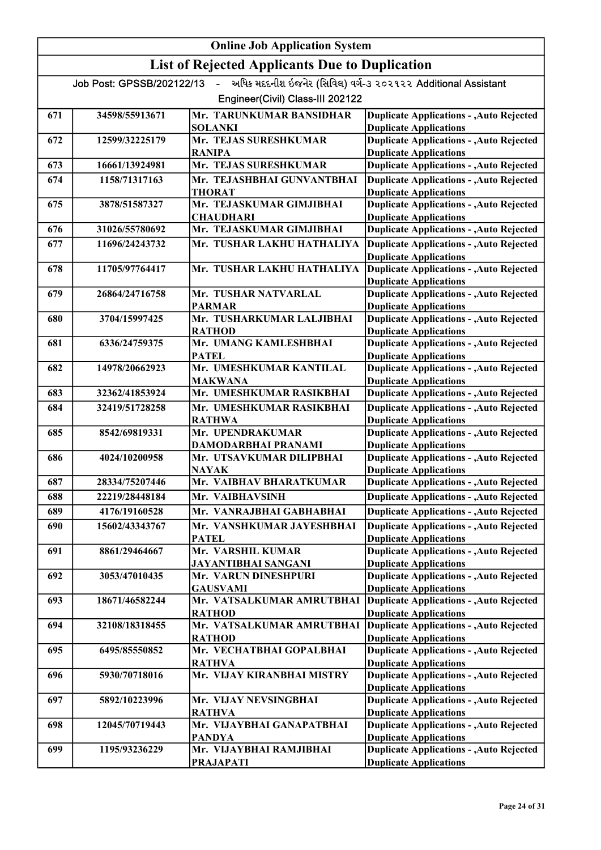#### Online Job Application System List of Rejected Applicants Due to Duplication Job Post: GPSSB/202122/13 - અધિક મદદનીશ ઇજનેર (સિવિલ) વર્ગ-૩ ૨૦૨૧૨૨ Additional Assistant Engineer(Civil) Class-III 202122 671 34598/55913671 Mr. TARUNKUMAR BANSIDHAR SOLANKI Duplicate Applications - ,Auto Rejected Duplicate Applications 672 12599/32225179 Mr. TEJAS SURESHKUMAR RANIPA Duplicate Applications - ,Auto Rejected Duplicate Applications 673 16661/13924981 Mr. TEJAS SURESHKUMAR 674 1158/71317163 Mr. TEJASHBHAI GUNVANTBHAI Duplicate Applications Duplicate Applications - ,Auto Rejected THORAT Duplicate Applications - ,Auto Rejected Duplicate Applications 675 3878/51587327 Mr. TEJASKUMAR GIMJIBHAI **CHAUDHARI** Duplicate Applications - ,Auto Rejected Duplicate Applications 676 31026/55780692 Mr. TEJASKUMAR GIMJIBHAI Mr. TUSHAR LAKHU HATHALIYA Duplicate Applications - ,Auto Rejected 677 11696/24243732 Mr. TUSHAR LAKHU HATHALIYA Duplicate Applications - ,Auto Rejected Duplicate Applications Duplicate Applications 678 11705/97764417 Mr. TUSHAR LAKHU HATHALIYA Duplicate Applications - ,Auto Rejected Duplicate Applications 679 26864/24716758 Mr. TUSHAR NATVARLAL PARMAR Duplicate Applications - ,Auto Rejected Duplicate Applications 680 3704/15997425 Mr. TUSHARKUMAR LALJIBHAI RATHOD Duplicate Applications - ,Auto Rejected Duplicate Applications 681 6336/24759375 Mr. UMANG KAMLESHBHAI **PATEL** Duplicate Applications - ,Auto Rejected Duplicate Applications 682 14978/20662923 Mr. UMESHKUMAR KANTILAL MAKWANA Duplicate Applications - ,Auto Rejected Duplicate Applications 683 32362/41853924 Mr. UMESHKUMAR RASIKBHAI 684 32419/51728258 Mr. UMESHKUMAR RASIKBHAI Duplicate Applications Duplicate Applications - ,Auto Rejected RATHWA Duplicate Applications - ,Auto Rejected Duplicate Applications 685 8542/69819331 Mr. UPENDRAKUMAR DAMODARBHAI PRANAMI Duplicate Applications - ,Auto Rejected Duplicate Applications 686 4024/10200958 Mr. UTSAVKUMAR DILIPBHAI NAYAK Duplicate Applications - ,Auto Rejected Duplicate Applications 687 28334/75207446 Mr. VAIBHAV BHARATKUMAR Mr. VAIBHAVSINH Duplicate Applications - ,Auto Rejected 688 22219/28448184 Mr. VAIBHAVSINH Duplicate Applications Duplicate Applications - ,Auto Rejected 689 4176/19160528 Mr. VANRAJBHAI GABHABHAI Duplicate Applications 690 15602/43343767 Mr. VANSHKUMAR JAYESHBHAI Duplicate Applications Duplicate Applications - ,Auto Rejected PATEL Duplicate Applications - ,Auto Rejected Duplicate Applications 691 8861/29464667 Mr. VARSHIL KUMAR JAYANTIBHAI SANGANI Duplicate Applications - ,Auto Rejected Duplicate Applications 692 3053/47010435 Mr. VARUN DINESHPURI GAUSVAMI Duplicate Applications - ,Auto Rejected Duplicate Applications 693 18671/46582244 Mr. VATSALKUMAR AMRUTBHAI **RATHOD** Duplicate Applications - ,Auto Rejected Duplicate Applications 694 32108/18318455 Mr. VATSALKUMAR AMRUTBHAI RATHOD Duplicate Applications - ,Auto Rejected Duplicate Applications 695 6495/85550852 Mr. VECHATBHAI GOPALBHAI RATHVA Duplicate Applications - ,Auto Rejected Duplicate Applications 696 5930/70718016 Mr. VIJAY KIRANBHAI MISTRY Duplicate Applications - ,Auto Rejected Duplicate Applications 697 5892/10223996 Mr. VIJAY NEVSINGBHAI RATHVA Duplicate Applications - ,Auto Rejected Duplicate Applications 698 12045/70719443 Mr. VIJAYBHAI GANAPATBHAI PANDYA Duplicate Applications - ,Auto Rejected Duplicate Applications 699 1195/93236229 Mr. VIJAYBHAI RAMJIBHAI PRAJAPATI Duplicate Applications - ,Auto Rejected Duplicate Applications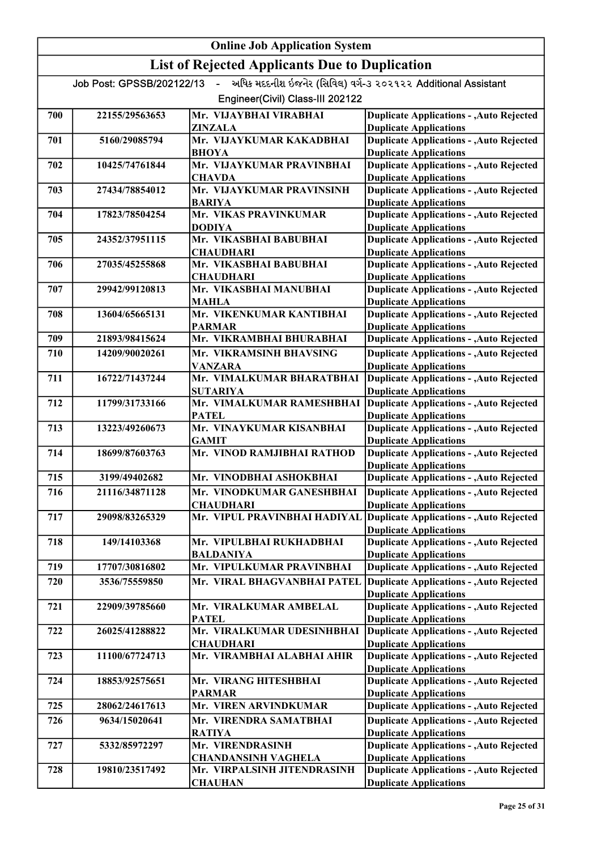|     | <b>Online Job Application System</b> |                                                       |                                                                                  |  |
|-----|--------------------------------------|-------------------------------------------------------|----------------------------------------------------------------------------------|--|
|     |                                      | <b>List of Rejected Applicants Due to Duplication</b> |                                                                                  |  |
|     | Job Post: GPSSB/202122/13            | $\sim$ $^{-1}$                                        | અધિક મદદનીશ ઇજનેર (સિવિલ) વર્ગ-૩ ૨૦૨૧૨૨ Additional Assistant                     |  |
|     |                                      | Engineer(Civil) Class-III 202122                      |                                                                                  |  |
| 700 | 22155/29563653                       | Mr. VIJAYBHAI VIRABHAI                                | <b>Duplicate Applications - , Auto Rejected</b>                                  |  |
|     |                                      | <b>ZINZALA</b>                                        | <b>Duplicate Applications</b>                                                    |  |
| 701 | 5160/29085794                        | Mr. VIJAYKUMAR KAKADBHAI                              | <b>Duplicate Applications - , Auto Rejected</b>                                  |  |
|     |                                      | <b>BHOYA</b>                                          | <b>Duplicate Applications</b>                                                    |  |
| 702 | 10425/74761844                       | Mr. VIJAYKUMAR PRAVINBHAI                             | <b>Duplicate Applications - , Auto Rejected</b>                                  |  |
| 703 | 27434/78854012                       | <b>CHAVDA</b><br>Mr. VIJAYKUMAR PRAVINSINH            | <b>Duplicate Applications</b><br><b>Duplicate Applications - , Auto Rejected</b> |  |
|     |                                      | <b>BARIYA</b>                                         | <b>Duplicate Applications</b>                                                    |  |
| 704 | 17823/78504254                       | Mr. VIKAS PRAVINKUMAR                                 | <b>Duplicate Applications - , Auto Rejected</b>                                  |  |
|     |                                      | <b>DODIYA</b>                                         | <b>Duplicate Applications</b>                                                    |  |
| 705 | 24352/37951115                       | Mr. VIKASBHAI BABUBHAI                                | <b>Duplicate Applications - , Auto Rejected</b>                                  |  |
|     |                                      | <b>CHAUDHARI</b><br>Mr. VIKASBHAI BABUBHAI            | <b>Duplicate Applications</b><br><b>Duplicate Applications - , Auto Rejected</b> |  |
| 706 | 27035/45255868                       | <b>CHAUDHARI</b>                                      | <b>Duplicate Applications</b>                                                    |  |
| 707 | 29942/99120813                       | Mr. VIKASBHAI MANUBHAI                                | <b>Duplicate Applications - , Auto Rejected</b>                                  |  |
|     |                                      | <b>MAHLA</b>                                          | <b>Duplicate Applications</b>                                                    |  |
| 708 | 13604/65665131                       | Mr. VIKENKUMAR KANTIBHAI                              | <b>Duplicate Applications - , Auto Rejected</b>                                  |  |
|     |                                      | <b>PARMAR</b>                                         | <b>Duplicate Applications</b>                                                    |  |
| 709 | 21893/98415624                       | Mr. VIKRAMBHAI BHURABHAI                              | <b>Duplicate Applications - , Auto Rejected</b>                                  |  |
| 710 | 14209/90020261                       | Mr. VIKRAMSINH BHAVSING                               | <b>Duplicate Applications - , Auto Rejected</b>                                  |  |
|     |                                      | <b>VANZARA</b>                                        | <b>Duplicate Applications</b>                                                    |  |
| 711 | 16722/71437244                       | Mr. VIMALKUMAR BHARATBHAI                             | Duplicate Applications - , Auto Rejected                                         |  |
| 712 | 11799/31733166                       | <b>SUTARIYA</b><br>Mr. VIMALKUMAR RAMESHBHAI          | <b>Duplicate Applications</b><br>Duplicate Applications - , Auto Rejected        |  |
|     |                                      | <b>PATEL</b>                                          | <b>Duplicate Applications</b>                                                    |  |
| 713 | 13223/49260673                       | Mr. VINAYKUMAR KISANBHAI                              | <b>Duplicate Applications - , Auto Rejected</b>                                  |  |
|     |                                      | <b>GAMIT</b>                                          | <b>Duplicate Applications</b>                                                    |  |
| 714 | 18699/87603763                       | Mr. VINOD RAMJIBHAI RATHOD                            | <b>Duplicate Applications - , Auto Rejected</b>                                  |  |
| 715 | 3199/49402682                        | Mr. VINODBHAI ASHOKBHAI                               | <b>Duplicate Applications</b><br><b>Duplicate Applications - , Auto Rejected</b> |  |
| 716 | 21116/34871128                       | Mr. VINODKUMAR GANESHBHAI                             | Duplicate Applications - , Auto Rejected                                         |  |
|     |                                      | <b>CHAUDHARI</b>                                      | <b>Duplicate Applications</b>                                                    |  |
| 717 | 29098/83265329                       |                                                       | Mr. VIPUL PRAVINBHAI HADIYAL Duplicate Applications - , Auto Rejected            |  |
|     |                                      |                                                       | <b>Duplicate Applications</b>                                                    |  |
| 718 | 149/14103368                         | Mr. VIPULBHAI RUKHADBHAI                              | <b>Duplicate Applications - , Auto Rejected</b>                                  |  |
|     |                                      | <b>BALDANIYA</b>                                      | <b>Duplicate Applications</b>                                                    |  |
| 719 | 17707/30816802                       | Mr. VIPULKUMAR PRAVINBHAI                             | <b>Duplicate Applications - Auto Rejected</b>                                    |  |
| 720 | 3536/75559850                        | Mr. VIRAL BHAGVANBHAI PATEL                           | <b>Duplicate Applications - , Auto Rejected</b><br><b>Duplicate Applications</b> |  |
| 721 | 22909/39785660                       | Mr. VIRALKUMAR AMBELAL                                | <b>Duplicate Applications - , Auto Rejected</b>                                  |  |
|     |                                      | <b>PATEL</b>                                          | <b>Duplicate Applications</b>                                                    |  |
| 722 | 26025/41288822                       | Mr. VIRALKUMAR UDESINHBHAI                            | <b>Duplicate Applications - , Auto Rejected</b>                                  |  |
|     |                                      | <b>CHAUDHARI</b>                                      | <b>Duplicate Applications</b>                                                    |  |
| 723 | 11100/67724713                       | Mr. VIRAMBHAI ALABHAI AHIR                            | <b>Duplicate Applications - , Auto Rejected</b>                                  |  |
|     |                                      |                                                       | <b>Duplicate Applications</b>                                                    |  |
| 724 | 18853/92575651                       | Mr. VIRANG HITESHBHAI<br><b>PARMAR</b>                | <b>Duplicate Applications - , Auto Rejected</b><br><b>Duplicate Applications</b> |  |
| 725 | 28062/24617613                       | Mr. VIREN ARVINDKUMAR                                 | <b>Duplicate Applications - , Auto Rejected</b>                                  |  |
| 726 | 9634/15020641                        | Mr. VIRENDRA SAMATBHAI                                | <b>Duplicate Applications - , Auto Rejected</b>                                  |  |
|     |                                      | <b>RATIYA</b>                                         | <b>Duplicate Applications</b>                                                    |  |
| 727 | 5332/85972297                        | Mr. VIRENDRASINH                                      | <b>Duplicate Applications - , Auto Rejected</b>                                  |  |
|     |                                      | <b>CHANDANSINH VAGHELA</b>                            | <b>Duplicate Applications</b>                                                    |  |
| 728 | 19810/23517492                       | Mr. VIRPALSINH JITENDRASINH                           | <b>Duplicate Applications - , Auto Rejected</b>                                  |  |
|     |                                      | <b>CHAUHAN</b>                                        | <b>Duplicate Applications</b>                                                    |  |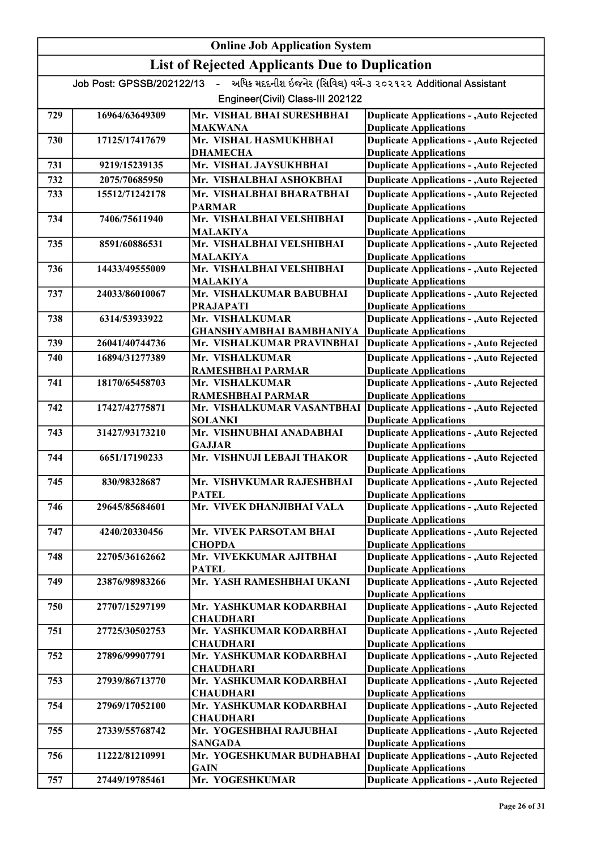|     | <b>Online Job Application System</b> |                                                       |                                                                                  |  |
|-----|--------------------------------------|-------------------------------------------------------|----------------------------------------------------------------------------------|--|
|     |                                      | <b>List of Rejected Applicants Due to Duplication</b> |                                                                                  |  |
|     | Job Post: GPSSB/202122/13            | $\sim$                                                | અધિક મદદનીશ ઇજનેર (સિવિલ) વર્ગ-૩ ૨૦૨૧૨૨ Additional Assistant                     |  |
|     |                                      | Engineer(Civil) Class-III 202122                      |                                                                                  |  |
| 729 | 16964/63649309                       | Mr. VISHAL BHAI SURESHBHAI<br>MAKWANA                 | <b>Duplicate Applications - , Auto Rejected</b><br><b>Duplicate Applications</b> |  |
| 730 | 17125/17417679                       | Mr. VISHAL HASMUKHBHAI<br><b>DHAMECHA</b>             | <b>Duplicate Applications - , Auto Rejected</b><br><b>Duplicate Applications</b> |  |
| 731 | 9219/15239135                        | Mr. VISHAL JAYSUKHBHAI                                | <b>Duplicate Applications - , Auto Rejected</b>                                  |  |
| 732 | 2075/70685950                        | Mr. VISHALBHAI ASHOKBHAI                              | <b>Duplicate Applications - , Auto Rejected</b>                                  |  |
| 733 | 15512/71242178                       | Mr. VISHALBHAI BHARATBHAI                             | <b>Duplicate Applications - , Auto Rejected</b>                                  |  |
|     |                                      | <b>PARMAR</b>                                         | <b>Duplicate Applications</b>                                                    |  |
| 734 | 7406/75611940                        | Mr. VISHALBHAI VELSHIBHAI<br><b>MALAKIYA</b>          | <b>Duplicate Applications - , Auto Rejected</b><br><b>Duplicate Applications</b> |  |
| 735 | 8591/60886531                        | Mr. VISHALBHAI VELSHIBHAI                             | <b>Duplicate Applications - , Auto Rejected</b>                                  |  |
|     |                                      | <b>MALAKIYA</b>                                       | <b>Duplicate Applications</b>                                                    |  |
| 736 | 14433/49555009                       | Mr. VISHALBHAI VELSHIBHAI                             | <b>Duplicate Applications - , Auto Rejected</b>                                  |  |
| 737 | 24033/86010067                       | MALAKIYA<br>Mr. VISHALKUMAR BABUBHAI                  | <b>Duplicate Applications</b><br><b>Duplicate Applications - , Auto Rejected</b> |  |
|     |                                      | <b>PRAJAPATI</b>                                      | <b>Duplicate Applications</b>                                                    |  |
| 738 | 6314/53933922                        | Mr. VISHALKUMAR                                       | <b>Duplicate Applications - , Auto Rejected</b>                                  |  |
|     |                                      | <b>GHANSHYAMBHAI BAMBHANIYA</b>                       | <b>Duplicate Applications</b>                                                    |  |
| 739 | 26041/40744736                       | Mr. VISHALKUMAR PRAVINBHAI                            | <b>Duplicate Applications - , Auto Rejected</b>                                  |  |
| 740 | 16894/31277389                       | Mr. VISHALKUMAR                                       | <b>Duplicate Applications - , Auto Rejected</b>                                  |  |
| 741 | 18170/65458703                       | RAMESHBHAI PARMAR<br>Mr. VISHALKUMAR                  | <b>Duplicate Applications</b><br><b>Duplicate Applications - , Auto Rejected</b> |  |
|     |                                      | RAMESHBHAI PARMAR                                     | <b>Duplicate Applications</b>                                                    |  |
| 742 | 17427/42775871                       | Mr. VISHALKUMAR VASANTBHAI                            | <b>Duplicate Applications - , Auto Rejected</b>                                  |  |
|     |                                      | <b>SOLANKI</b>                                        | <b>Duplicate Applications</b>                                                    |  |
| 743 | 31427/93173210                       | Mr. VISHNUBHAI ANADABHAI<br><b>GAJJAR</b>             | <b>Duplicate Applications - , Auto Rejected</b><br><b>Duplicate Applications</b> |  |
| 744 | 6651/17190233                        | Mr. VISHNUJI LEBAJI THAKOR                            | <b>Duplicate Applications - , Auto Rejected</b>                                  |  |
| 745 | 830/98328687                         | Mr. VISHVKUMAR RAJESHBHAI                             | <b>Duplicate Applications</b><br><b>Duplicate Applications - , Auto Rejected</b> |  |
|     |                                      | <b>PATEL</b>                                          | <b>Duplicate Applications</b>                                                    |  |
| 746 | 29645/85684601                       | Mr. VIVEK DHANJIBHAI VALA                             | <b>Duplicate Applications - , Auto Rejected</b>                                  |  |
|     |                                      |                                                       | <b>Duplicate Applications</b>                                                    |  |
| 747 | 4240/20330456                        | Mr. VIVEK PARSOTAM BHAI<br><b>CHOPDA</b>              | <b>Duplicate Applications - , Auto Rejected</b><br><b>Duplicate Applications</b> |  |
| 748 | 22705/36162662                       | Mr. VIVEKKUMAR AJITBHAI                               | <b>Duplicate Applications - , Auto Rejected</b>                                  |  |
|     |                                      | <b>PATEL</b>                                          | <b>Duplicate Applications</b>                                                    |  |
| 749 | 23876/98983266                       | Mr. YASH RAMESHBHAI UKANI                             | <b>Duplicate Applications - , Auto Rejected</b>                                  |  |
| 750 | 27707/15297199                       | Mr. YASHKUMAR KODARBHAI                               | <b>Duplicate Applications</b><br><b>Duplicate Applications - , Auto Rejected</b> |  |
|     |                                      | <b>CHAUDHARI</b>                                      | <b>Duplicate Applications</b>                                                    |  |
| 751 | 27725/30502753                       | Mr. YASHKUMAR KODARBHAI                               | <b>Duplicate Applications - , Auto Rejected</b>                                  |  |
|     |                                      | <b>CHAUDHARI</b>                                      | <b>Duplicate Applications</b>                                                    |  |
| 752 | 27896/99907791                       | Mr. YASHKUMAR KODARBHAI<br><b>CHAUDHARI</b>           | <b>Duplicate Applications - , Auto Rejected</b><br><b>Duplicate Applications</b> |  |
| 753 | 27939/86713770                       | Mr. YASHKUMAR KODARBHAI<br><b>CHAUDHARI</b>           | <b>Duplicate Applications - , Auto Rejected</b><br><b>Duplicate Applications</b> |  |
| 754 | 27969/17052100                       | Mr. YASHKUMAR KODARBHAI                               | <b>Duplicate Applications - , Auto Rejected</b>                                  |  |
| 755 | 27339/55768742                       | <b>CHAUDHARI</b><br>Mr. YOGESHBHAI RAJUBHAI           | <b>Duplicate Applications</b><br><b>Duplicate Applications - , Auto Rejected</b> |  |
|     |                                      | <b>SANGADA</b>                                        | <b>Duplicate Applications</b>                                                    |  |
| 756 | 11222/81210991                       | Mr. YOGESHKUMAR BUDHABHAI<br><b>GAIN</b>              | <b>Duplicate Applications - , Auto Rejected</b><br><b>Duplicate Applications</b> |  |
| 757 | 27449/19785461                       | Mr. YOGESHKUMAR                                       | <b>Duplicate Applications - , Auto Rejected</b>                                  |  |
|     |                                      |                                                       |                                                                                  |  |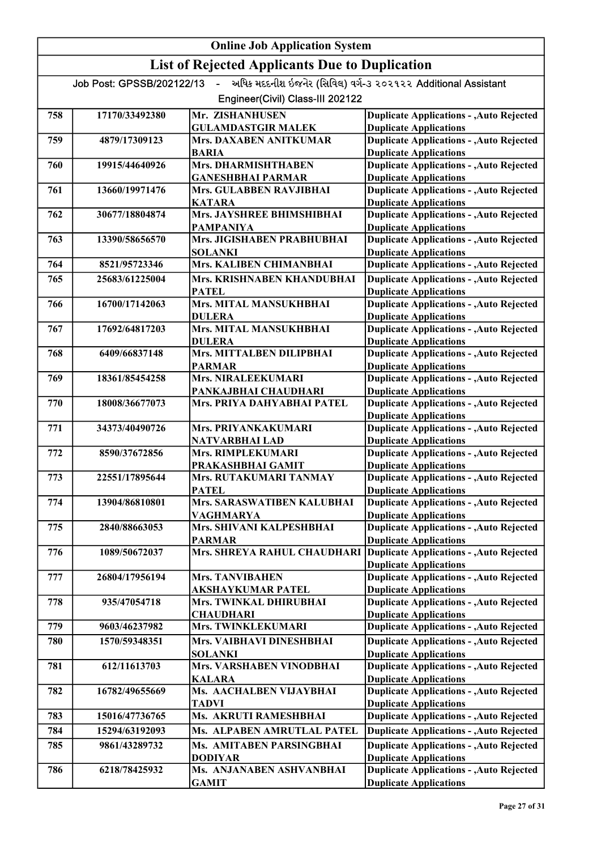|     | <b>Online Job Application System</b> |                                                       |                                                                                  |  |
|-----|--------------------------------------|-------------------------------------------------------|----------------------------------------------------------------------------------|--|
|     |                                      | <b>List of Rejected Applicants Due to Duplication</b> |                                                                                  |  |
|     | Job Post: GPSSB/202122/13            | $\mathbf{L}^{\text{max}}$                             | અધિક મદદનીશ ઇજનેર (સિવિલ) વર્ગ-૩ ૨૦૨૧૨૨ Additional Assistant                     |  |
|     |                                      | Engineer(Civil) Class-III 202122                      |                                                                                  |  |
| 758 | 17170/33492380                       | Mr. ZISHANHUSEN<br><b>GULAMDASTGIR MALEK</b>          | <b>Duplicate Applications - , Auto Rejected</b><br><b>Duplicate Applications</b> |  |
| 759 | 4879/17309123                        | <b>Mrs. DAXABEN ANITKUMAR</b><br><b>BARIA</b>         | <b>Duplicate Applications - , Auto Rejected</b><br><b>Duplicate Applications</b> |  |
| 760 | 19915/44640926                       | Mrs. DHARMISHTHABEN                                   | <b>Duplicate Applications - , Auto Rejected</b>                                  |  |
| 761 | 13660/19971476                       | <b>GANESHBHAI PARMAR</b><br>Mrs. GULABBEN RAVJIBHAI   | <b>Duplicate Applications</b><br><b>Duplicate Applications - , Auto Rejected</b> |  |
| 762 | 30677/18804874                       | <b>KATARA</b><br>Mrs. JAYSHREE BHIMSHIBHAI            | <b>Duplicate Applications</b><br><b>Duplicate Applications - , Auto Rejected</b> |  |
|     |                                      | <b>PAMPANIYA</b>                                      | <b>Duplicate Applications</b>                                                    |  |
| 763 | 13390/58656570                       | Mrs. JIGISHABEN PRABHUBHAI<br><b>SOLANKI</b>          | <b>Duplicate Applications - , Auto Rejected</b><br><b>Duplicate Applications</b> |  |
| 764 | 8521/95723346                        | Mrs. KALIBEN CHIMANBHAI                               | <b>Duplicate Applications - , Auto Rejected</b>                                  |  |
| 765 | 25683/61225004                       | Mrs. KRISHNABEN KHANDUBHAI<br><b>PATEL</b>            | <b>Duplicate Applications - , Auto Rejected</b><br><b>Duplicate Applications</b> |  |
| 766 | 16700/17142063                       | Mrs. MITAL MANSUKHBHAI                                | <b>Duplicate Applications - , Auto Rejected</b>                                  |  |
| 767 | 17692/64817203                       | <b>DULERA</b><br>Mrs. MITAL MANSUKHBHAI               | <b>Duplicate Applications</b><br><b>Duplicate Applications - , Auto Rejected</b> |  |
|     |                                      | <b>DULERA</b>                                         | <b>Duplicate Applications</b>                                                    |  |
| 768 | 6409/66837148                        | Mrs. MITTALBEN DILIPBHAI<br><b>PARMAR</b>             | <b>Duplicate Applications - , Auto Rejected</b><br><b>Duplicate Applications</b> |  |
| 769 | 18361/85454258                       | <b>Mrs. NIRALEEKUMARI</b>                             | <b>Duplicate Applications - , Auto Rejected</b>                                  |  |
| 770 | 18008/36677073                       | PANKAJBHAI CHAUDHARI<br>Mrs. PRIYA DAHYABHAI PATEL    | <b>Duplicate Applications</b><br><b>Duplicate Applications - , Auto Rejected</b> |  |
|     |                                      |                                                       | <b>Duplicate Applications</b>                                                    |  |
| 771 | 34373/40490726                       | Mrs. PRIYANKAKUMARI<br><b>NATVARBHAI LAD</b>          | <b>Duplicate Applications - , Auto Rejected</b><br><b>Duplicate Applications</b> |  |
| 772 | 8590/37672856                        | <b>Mrs. RIMPLEKUMARI</b>                              | <b>Duplicate Applications - , Auto Rejected</b>                                  |  |
| 773 | 22551/17895644                       | PRAKASHBHAI GAMIT<br>Mrs. RUTAKUMARI TANMAY           | <b>Duplicate Applications</b><br><b>Duplicate Applications - , Auto Rejected</b> |  |
|     |                                      | <b>PATEL</b>                                          | <b>Duplicate Applications</b>                                                    |  |
| 774 | 13904/86810801                       | Mrs. SARASWATIBEN KALUBHAI<br><b>VAGHMARYA</b>        | <b>Duplicate Applications - , Auto Rejected</b><br><b>Duplicate Applications</b> |  |
| 775 | 2840/88663053                        | Mrs. SHIVANI KALPESHBHAI                              | <b>Duplicate Applications - , Auto Rejected</b>                                  |  |
| 776 | 1089/50672037                        | <b>PARMAR</b><br>Mrs. SHREYA RAHUL CHAUDHARI          | <b>Duplicate Applications</b><br><b>Duplicate Applications - , Auto Rejected</b> |  |
|     |                                      |                                                       | <b>Duplicate Applications</b>                                                    |  |
| 777 | 26804/17956194                       | <b>Mrs. TANVIBAHEN</b><br><b>AKSHAYKUMAR PATEL</b>    | <b>Duplicate Applications - , Auto Rejected</b><br><b>Duplicate Applications</b> |  |
| 778 | 935/47054718                         | Mrs. TWINKAL DHIRUBHAI                                | <b>Duplicate Applications - , Auto Rejected</b>                                  |  |
|     |                                      | <b>CHAUDHARI</b>                                      | <b>Duplicate Applications</b>                                                    |  |
| 779 | 9603/46237982                        | Mrs. TWINKLEKUMARI                                    | <b>Duplicate Applications - , Auto Rejected</b>                                  |  |
| 780 | 1570/59348351                        | Mrs. VAIBHAVI DINESHBHAI<br><b>SOLANKI</b>            | <b>Duplicate Applications - , Auto Rejected</b><br><b>Duplicate Applications</b> |  |
| 781 | 612/11613703                         | Mrs. VARSHABEN VINODBHAI<br><b>KALARA</b>             | <b>Duplicate Applications - , Auto Rejected</b><br><b>Duplicate Applications</b> |  |
| 782 | 16782/49655669                       | Ms. AACHALBEN VIJAYBHAI                               | <b>Duplicate Applications - , Auto Rejected</b>                                  |  |
| 783 | 15016/47736765                       | TADVI<br>Ms. AKRUTI RAMESHBHAI                        | <b>Duplicate Applications</b><br><b>Duplicate Applications - , Auto Rejected</b> |  |
| 784 | 15294/63192093                       | Ms. ALPABEN AMRUTLAL PATEL                            | <b>Duplicate Applications - , Auto Rejected</b>                                  |  |
| 785 | 9861/43289732                        | Ms. AMITABEN PARSINGBHAI                              | <b>Duplicate Applications - , Auto Rejected</b>                                  |  |
|     |                                      | <b>DODIYAR</b>                                        | <b>Duplicate Applications</b>                                                    |  |
| 786 | 6218/78425932                        | Ms. ANJANABEN ASHVANBHAI<br><b>GAMIT</b>              | <b>Duplicate Applications - , Auto Rejected</b><br><b>Duplicate Applications</b> |  |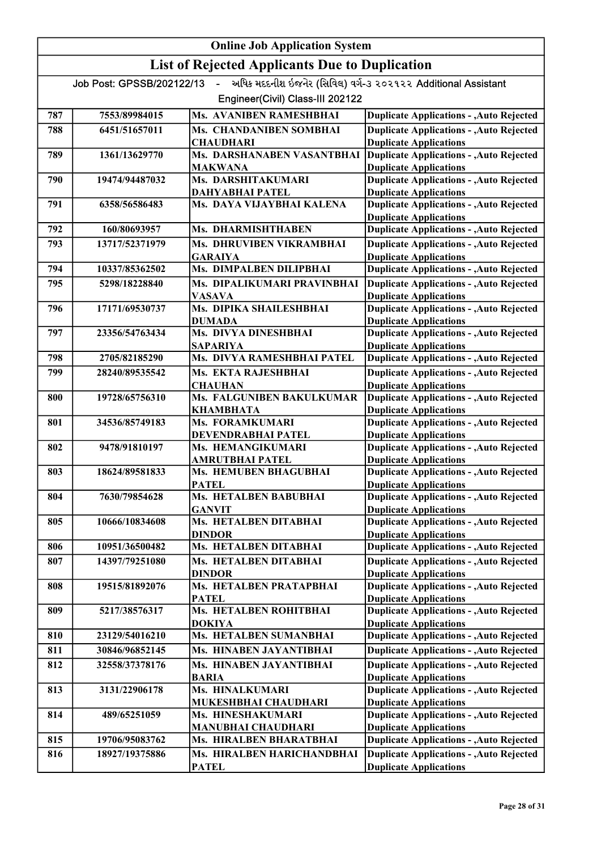|     | <b>Online Job Application System</b> |                                                       |                                                                                  |  |
|-----|--------------------------------------|-------------------------------------------------------|----------------------------------------------------------------------------------|--|
|     |                                      | <b>List of Rejected Applicants Due to Duplication</b> |                                                                                  |  |
|     | Job Post: GPSSB/202122/13            | $\mathbf{u}$ .                                        | અધિક મદદનીશ ઇજનેર (સિવિલ) વર્ગ-૩ ૨૦૨૧૨૨ Additional Assistant                     |  |
|     |                                      | Engineer(Civil) Class-III 202122                      |                                                                                  |  |
| 787 | 7553/89984015                        | Ms. AVANIBEN RAMESHBHAI                               | <b>Duplicate Applications - , Auto Rejected</b>                                  |  |
| 788 | 6451/51657011                        | Ms. CHANDANIBEN SOMBHAI                               | <b>Duplicate Applications - , Auto Rejected</b>                                  |  |
|     |                                      | <b>CHAUDHARI</b>                                      | <b>Duplicate Applications</b>                                                    |  |
| 789 | 1361/13629770                        | Ms. DARSHANABEN VASANTBHAI<br><b>MAKWANA</b>          | <b>Duplicate Applications - , Auto Rejected</b><br><b>Duplicate Applications</b> |  |
| 790 | 19474/94487032                       | Ms. DARSHITAKUMARI                                    | <b>Duplicate Applications - , Auto Rejected</b>                                  |  |
|     |                                      | <b>DAHYABHAI PATEL</b>                                | <b>Duplicate Applications</b>                                                    |  |
| 791 | 6358/56586483                        | Ms. DAYA VIJAYBHAI KALENA                             | <b>Duplicate Applications - , Auto Rejected</b><br><b>Duplicate Applications</b> |  |
| 792 | 160/80693957                         | Ms. DHARMISHTHABEN                                    | <b>Duplicate Applications - , Auto Rejected</b>                                  |  |
| 793 | 13717/52371979                       | Ms. DHRUVIBEN VIKRAMBHAI                              | <b>Duplicate Applications - , Auto Rejected</b>                                  |  |
|     |                                      | <b>GARAIYA</b>                                        | <b>Duplicate Applications</b>                                                    |  |
| 794 | 10337/85362502                       | Ms. DIMPALBEN DILIPBHAI                               | <b>Duplicate Applications - , Auto Rejected</b>                                  |  |
| 795 | 5298/18228840                        | Ms. DIPALIKUMARI PRAVINBHAI                           | <b>Duplicate Applications - , Auto Rejected</b>                                  |  |
|     |                                      | <b>VASAVA</b>                                         | <b>Duplicate Applications</b>                                                    |  |
| 796 | 17171/69530737                       | Ms. DIPIKA SHAILESHBHAI                               | <b>Duplicate Applications - , Auto Rejected</b>                                  |  |
| 797 | 23356/54763434                       | <b>DUMADA</b><br>Ms. DIVYA DINESHBHAI                 | <b>Duplicate Applications</b><br><b>Duplicate Applications - , Auto Rejected</b> |  |
|     |                                      | <b>SAPARIYA</b>                                       | <b>Duplicate Applications</b>                                                    |  |
| 798 | 2705/82185290                        | Ms. DIVYA RAMESHBHAI PATEL                            | <b>Duplicate Applications - , Auto Rejected</b>                                  |  |
| 799 | 28240/89535542                       | Ms. EKTA RAJESHBHAI                                   | <b>Duplicate Applications - , Auto Rejected</b>                                  |  |
|     |                                      | <b>CHAUHAN</b>                                        | <b>Duplicate Applications</b>                                                    |  |
| 800 | 19728/65756310                       | Ms. FALGUNIBEN BAKULKUMAR                             | <b>Duplicate Applications - , Auto Rejected</b>                                  |  |
| 801 | 34536/85749183                       | <b>KHAMBHATA</b><br>Ms. FORAMKUMARI                   | <b>Duplicate Applications</b><br><b>Duplicate Applications - , Auto Rejected</b> |  |
|     |                                      | DEVENDRABHAI PATEL                                    | <b>Duplicate Applications</b>                                                    |  |
| 802 | 9478/91810197                        | Ms. HEMANGIKUMARI                                     | <b>Duplicate Applications - , Auto Rejected</b>                                  |  |
|     |                                      | <b>AMRUTBHAI PATEL</b>                                | <b>Duplicate Applications</b>                                                    |  |
| 803 | 18624/89581833                       | Ms. HEMUBEN BHAGUBHAI                                 | <b>Duplicate Applications - , Auto Rejected</b>                                  |  |
| 804 | 7630/79854628                        | <b>PATEL</b><br>Ms. HETALBEN BABUBHAI                 | <b>Duplicate Applications</b><br><b>Duplicate Applications - , Auto Rejected</b> |  |
|     |                                      | <b>GANVIT</b>                                         | <b>Duplicate Applications</b>                                                    |  |
| 805 | 10666/10834608                       | Ms. HETALBEN DITABHAI                                 | <b>Duplicate Applications - , Auto Rejected</b>                                  |  |
|     |                                      | <b>DINDOR</b>                                         | <b>Duplicate Applications</b>                                                    |  |
| 806 | 10951/36500482                       | Ms. HETALBEN DITABHAI                                 | <b>Duplicate Applications - , Auto Rejected</b>                                  |  |
| 807 | 14397/79251080                       | Ms. HETALBEN DITABHAI                                 | <b>Duplicate Applications - , Auto Rejected</b>                                  |  |
| 808 | 19515/81892076                       | <b>DINDOR</b><br>Ms. HETALBEN PRATAPBHAI              | <b>Duplicate Applications</b><br><b>Duplicate Applications - ,Auto Rejected</b>  |  |
|     |                                      | <b>PATEL</b>                                          | <b>Duplicate Applications</b>                                                    |  |
| 809 | 5217/38576317                        | Ms. HETALBEN ROHITBHAI                                | <b>Duplicate Applications - , Auto Rejected</b>                                  |  |
|     |                                      | <b>DOKIYA</b>                                         | <b>Duplicate Applications</b>                                                    |  |
| 810 | 23129/54016210                       | Ms. HETALBEN SUMANBHAI                                | <b>Duplicate Applications - , Auto Rejected</b>                                  |  |
| 811 | 30846/96852145                       | Ms. HINABEN JAYANTIBHAI                               | <b>Duplicate Applications - , Auto Rejected</b>                                  |  |
| 812 | 32558/37378176                       | Ms. HINABEN JAYANTIBHAI                               | <b>Duplicate Applications - , Auto Rejected</b>                                  |  |
| 813 | 3131/22906178                        | <b>BARIA</b><br>Ms. HINALKUMARI                       | <b>Duplicate Applications</b><br><b>Duplicate Applications - , Auto Rejected</b> |  |
|     |                                      | MUKESHBHAI CHAUDHARI                                  | <b>Duplicate Applications</b>                                                    |  |
| 814 | 489/65251059                         | Ms. HINESHAKUMARI                                     | <b>Duplicate Applications - , Auto Rejected</b>                                  |  |
|     |                                      | <b>MANUBHAI CHAUDHARI</b>                             | <b>Duplicate Applications</b>                                                    |  |
| 815 | 19706/95083762                       | Ms. HIRALBEN BHARATBHAI                               | <b>Duplicate Applications - , Auto Rejected</b>                                  |  |
| 816 | 18927/19375886                       | Ms. HIRALBEN HARICHANDBHAI                            | <b>Duplicate Applications - , Auto Rejected</b>                                  |  |
|     |                                      | <b>PATEL</b>                                          | <b>Duplicate Applications</b>                                                    |  |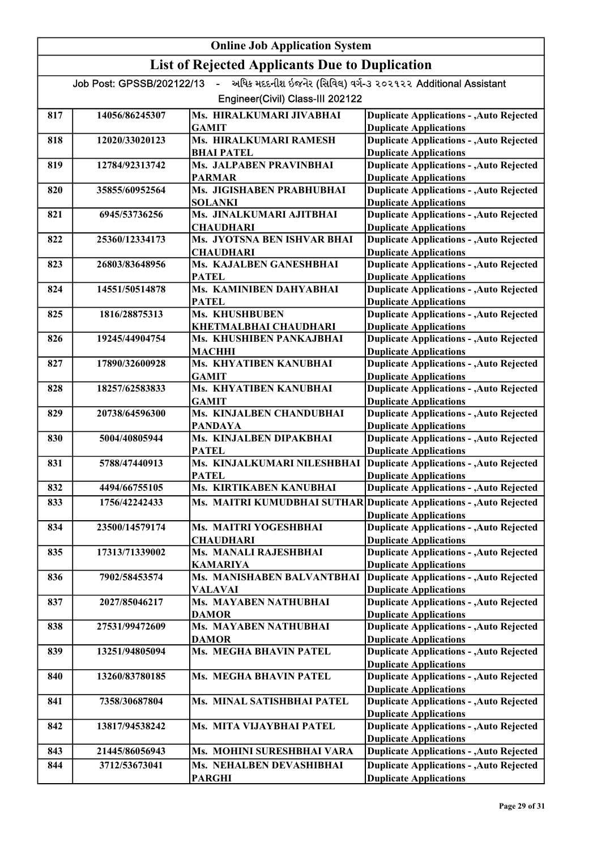|     |                           | <b>Online Job Application System</b>                  |                                                                                                       |
|-----|---------------------------|-------------------------------------------------------|-------------------------------------------------------------------------------------------------------|
|     |                           | <b>List of Rejected Applicants Due to Duplication</b> |                                                                                                       |
|     | Job Post: GPSSB/202122/13 | $\mathbf{L}^{\text{max}}$                             | અધિક મદદનીશ ઇજનેર (સિવિલ) વર્ગ-૩ ૨૦૨૧૨૨ Additional Assistant                                          |
|     |                           | Engineer(Civil) Class-III 202122                      |                                                                                                       |
| 817 | 14056/86245307            | Ms. HIRALKUMARI JIVABHAI<br><b>GAMIT</b>              | <b>Duplicate Applications - , Auto Rejected</b><br><b>Duplicate Applications</b>                      |
| 818 | 12020/33020123            | Ms. HIRALKUMARI RAMESH<br><b>BHAI PATEL</b>           | <b>Duplicate Applications - , Auto Rejected</b><br><b>Duplicate Applications</b>                      |
| 819 | 12784/92313742            | Ms. JALPABEN PRAVINBHAI                               | <b>Duplicate Applications - , Auto Rejected</b>                                                       |
| 820 | 35855/60952564            | <b>PARMAR</b><br>Ms. JIGISHABEN PRABHUBHAI            | <b>Duplicate Applications</b><br><b>Duplicate Applications - , Auto Rejected</b>                      |
|     |                           | <b>SOLANKI</b>                                        | <b>Duplicate Applications</b>                                                                         |
| 821 | 6945/53736256             | Ms. JINALKUMARI AJITBHAI<br><b>CHAUDHARI</b>          | <b>Duplicate Applications - , Auto Rejected</b><br><b>Duplicate Applications</b>                      |
| 822 | 25360/12334173            | Ms. JYOTSNA BEN ISHVAR BHAI<br><b>CHAUDHARI</b>       | <b>Duplicate Applications - , Auto Rejected</b><br><b>Duplicate Applications</b>                      |
| 823 | 26803/83648956            | Ms. KAJALBEN GANESHBHAI<br><b>PATEL</b>               | <b>Duplicate Applications - , Auto Rejected</b><br><b>Duplicate Applications</b>                      |
| 824 | 14551/50514878            | Ms. KAMINIBEN DAHYABHAI                               | <b>Duplicate Applications - , Auto Rejected</b>                                                       |
|     |                           | <b>PATEL</b>                                          | <b>Duplicate Applications</b>                                                                         |
| 825 | 1816/28875313             | Ms. KHUSHBUBEN                                        | <b>Duplicate Applications - , Auto Rejected</b>                                                       |
| 826 | 19245/44904754            | KHETMALBHAI CHAUDHARI<br>Ms. KHUSHIBEN PANKAJBHAI     | <b>Duplicate Applications</b><br><b>Duplicate Applications - , Auto Rejected</b>                      |
|     |                           | MACHHI                                                | <b>Duplicate Applications</b>                                                                         |
| 827 | 17890/32600928            | Ms. KHYATIBEN KANUBHAI                                | <b>Duplicate Applications - , Auto Rejected</b>                                                       |
|     |                           | <b>GAMIT</b>                                          | <b>Duplicate Applications</b>                                                                         |
| 828 | 18257/62583833            | Ms. KHYATIBEN KANUBHAI<br><b>GAMIT</b>                | <b>Duplicate Applications - , Auto Rejected</b><br><b>Duplicate Applications</b>                      |
| 829 | 20738/64596300            | Ms. KINJALBEN CHANDUBHAI<br><b>PANDAYA</b>            | <b>Duplicate Applications - , Auto Rejected</b><br><b>Duplicate Applications</b>                      |
| 830 | 5004/40805944             | Ms. KINJALBEN DIPAKBHAI                               | <b>Duplicate Applications - , Auto Rejected</b>                                                       |
| 831 | 5788/47440913             | <b>PATEL</b><br>Ms. KINJALKUMARI NILESHBHAI           | <b>Duplicate Applications</b><br><b>Duplicate Applications - , Auto Rejected</b>                      |
|     |                           | <b>PATEL</b>                                          | <b>Duplicate Applications</b>                                                                         |
| 832 | 4494/66755105             | Ms. KIRTIKABEN KANUBHAI                               | <b>Duplicate Applications - , Auto Rejected</b>                                                       |
| 833 | 1756/42242433             |                                                       | Ms. MAITRI KUMUDBHAI SUTHAR Duplicate Applications - , Auto Rejected<br><b>Duplicate Applications</b> |
| 834 | 23500/14579174            | Ms. MAITRI YOGESHBHAI                                 | <b>Duplicate Applications - , Auto Rejected</b>                                                       |
|     |                           | <b>CHAUDHARI</b>                                      | <b>Duplicate Applications</b>                                                                         |
| 835 | 17313/71339002            | Ms. MANALI RAJESHBHAI                                 | <b>Duplicate Applications - , Auto Rejected</b>                                                       |
| 836 | 7902/58453574             | <b>KAMARIYA</b><br>Ms. MANISHABEN BALVANTBHAI         | <b>Duplicate Applications</b><br><b>Duplicate Applications - , Auto Rejected</b>                      |
|     |                           | VALAVAI                                               | <b>Duplicate Applications</b>                                                                         |
| 837 | 2027/85046217             | Ms. MAYABEN NATHUBHAI                                 | <b>Duplicate Applications - , Auto Rejected</b>                                                       |
|     |                           | <b>DAMOR</b>                                          | <b>Duplicate Applications</b>                                                                         |
| 838 | 27531/99472609            | Ms. MAYABEN NATHUBHAI<br><b>DAMOR</b>                 | <b>Duplicate Applications - , Auto Rejected</b><br><b>Duplicate Applications</b>                      |
| 839 | 13251/94805094            | Ms. MEGHA BHAVIN PATEL                                | <b>Duplicate Applications - , Auto Rejected</b>                                                       |
|     |                           |                                                       | <b>Duplicate Applications</b>                                                                         |
| 840 | 13260/83780185            | Ms. MEGHA BHAVIN PATEL                                | <b>Duplicate Applications - , Auto Rejected</b><br><b>Duplicate Applications</b>                      |
| 841 | 7358/30687804             | Ms. MINAL SATISHBHAI PATEL                            | <b>Duplicate Applications - , Auto Rejected</b><br><b>Duplicate Applications</b>                      |
| 842 | 13817/94538242            | Ms. MITA VIJAYBHAI PATEL                              | <b>Duplicate Applications - , Auto Rejected</b>                                                       |
| 843 | 21445/86056943            | Ms. MOHINI SURESHBHAI VARA                            | <b>Duplicate Applications</b><br><b>Duplicate Applications - , Auto Rejected</b>                      |
| 844 | 3712/53673041             | Ms. NEHALBEN DEVASHIBHAI                              | <b>Duplicate Applications - , Auto Rejected</b>                                                       |
|     |                           | <b>PARGHI</b>                                         | <b>Duplicate Applications</b>                                                                         |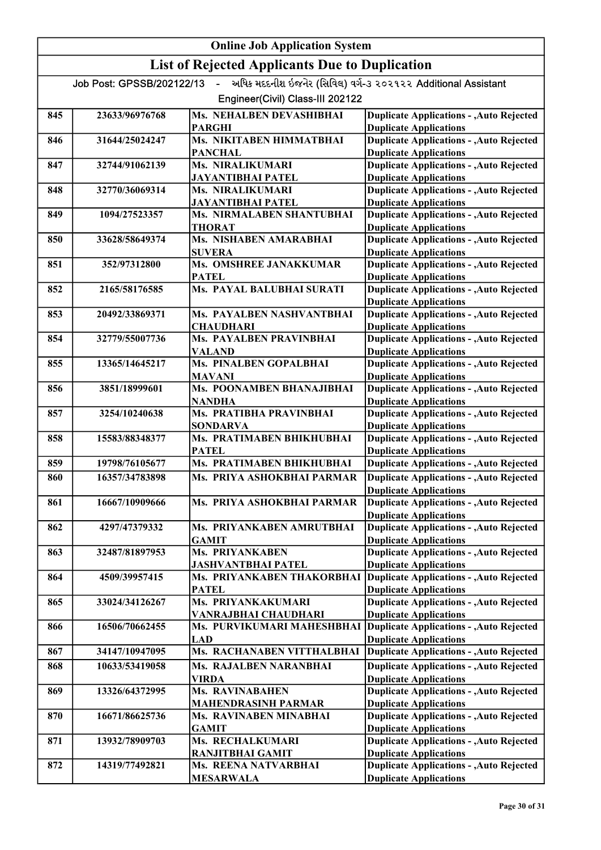|     |                           | <b>Online Job Application System</b>                  |                                                                                  |
|-----|---------------------------|-------------------------------------------------------|----------------------------------------------------------------------------------|
|     |                           | <b>List of Rejected Applicants Due to Duplication</b> |                                                                                  |
|     | Job Post: GPSSB/202122/13 | $\mathbf{L}^{\text{max}}$                             | અધિક મદદનીશ ઇજનેર (સિવિલ) વર્ગ-૩ ૨૦૨૧૨૨ Additional Assistant                     |
|     |                           | Engineer(Civil) Class-III 202122                      |                                                                                  |
| 845 | 23633/96976768            | Ms. NEHALBEN DEVASHIBHAI<br><b>PARGHI</b>             | <b>Duplicate Applications - , Auto Rejected</b><br><b>Duplicate Applications</b> |
| 846 | 31644/25024247            | Ms. NIKITABEN HIMMATBHAI                              | <b>Duplicate Applications - , Auto Rejected</b>                                  |
| 847 | 32744/91062139            | <b>PANCHAL</b><br>Ms. NIRALIKUMARI                    | <b>Duplicate Applications</b><br><b>Duplicate Applications - , Auto Rejected</b> |
|     |                           | <b>JAYANTIBHAI PATEL</b>                              | <b>Duplicate Applications</b>                                                    |
| 848 | 32770/36069314            | Ms. NIRALIKUMARI<br><b>JAYANTIBHAI PATEL</b>          | <b>Duplicate Applications - , Auto Rejected</b><br><b>Duplicate Applications</b> |
| 849 | 1094/27523357             | Ms. NIRMALABEN SHANTUBHAI                             | <b>Duplicate Applications - , Auto Rejected</b>                                  |
|     |                           | <b>THORAT</b>                                         | <b>Duplicate Applications</b>                                                    |
| 850 | 33628/58649374            | Ms. NISHABEN AMARABHAI<br><b>SUVERA</b>               | <b>Duplicate Applications - , Auto Rejected</b><br><b>Duplicate Applications</b> |
| 851 | 352/97312800              | Ms. OMSHREE JANAKKUMAR                                | <b>Duplicate Applications - , Auto Rejected</b>                                  |
| 852 | 2165/58176585             | <b>PATEL</b><br>Ms. PAYAL BALUBHAI SURATI             | <b>Duplicate Applications</b><br><b>Duplicate Applications - , Auto Rejected</b> |
|     |                           |                                                       | <b>Duplicate Applications</b>                                                    |
| 853 | 20492/33869371            | Ms. PAYALBEN NASHVANTBHAI                             | <b>Duplicate Applications - , Auto Rejected</b>                                  |
|     |                           | <b>CHAUDHARI</b>                                      | <b>Duplicate Applications</b>                                                    |
| 854 | 32779/55007736            | Ms. PAYALBEN PRAVINBHAI<br><b>VALAND</b>              | <b>Duplicate Applications - , Auto Rejected</b><br><b>Duplicate Applications</b> |
| 855 | 13365/14645217            | Ms. PINALBEN GOPALBHAI                                | <b>Duplicate Applications - , Auto Rejected</b>                                  |
|     |                           | <b>MAVANI</b>                                         | <b>Duplicate Applications</b>                                                    |
| 856 | 3851/18999601             | Ms. POONAMBEN BHANAJIBHAI<br><b>NANDHA</b>            | <b>Duplicate Applications - , Auto Rejected</b><br><b>Duplicate Applications</b> |
| 857 | 3254/10240638             | Ms. PRATIBHA PRAVINBHAI                               | <b>Duplicate Applications - , Auto Rejected</b>                                  |
| 858 | 15583/88348377            | <b>SONDARVA</b><br>Ms. PRATIMABEN BHIKHUBHAI          | <b>Duplicate Applications</b><br><b>Duplicate Applications - , Auto Rejected</b> |
|     |                           | <b>PATEL</b>                                          | <b>Duplicate Applications</b>                                                    |
| 859 | 19798/76105677            | Ms. PRATIMABEN BHIKHUBHAI                             | <b>Duplicate Applications - , Auto Rejected</b>                                  |
| 860 | 16357/34783898            | Ms. PRIYA ASHOKBHAI PARMAR                            | <b>Duplicate Applications - , Auto Rejected</b><br><b>Duplicate Applications</b> |
| 861 | 16667/10909666            | Ms. PRIYA ASHOKBHAI PARMAR                            | <b>Duplicate Applications - , Auto Rejected</b>                                  |
|     |                           |                                                       | <b>Duplicate Applications</b>                                                    |
| 862 | 4297/47379332             | Ms. PRIYANKABEN AMRUTBHAI<br><b>GAMIT</b>             | <b>Duplicate Applications - , Auto Rejected</b><br><b>Duplicate Applications</b> |
| 863 | 32487/81897953            | <b>Ms. PRIYANKABEN</b>                                | <b>Duplicate Applications - , Auto Rejected</b>                                  |
|     |                           | <b>JASHVANTBHAI PATEL</b>                             | <b>Duplicate Applications</b>                                                    |
| 864 | 4509/39957415             | Ms. PRIYANKABEN THAKORBHAI<br><b>PATEL</b>            | <b>Duplicate Applications - , Auto Rejected</b><br><b>Duplicate Applications</b> |
| 865 | 33024/34126267            | Ms. PRIYANKAKUMARI                                    | <b>Duplicate Applications - , Auto Rejected</b>                                  |
|     |                           | VANRAJBHAI CHAUDHARI                                  | <b>Duplicate Applications</b>                                                    |
| 866 | 16506/70662455            | Ms. PURVIKUMARI MAHESHBHAI<br><b>LAD</b>              | Duplicate Applications - , Auto Rejected<br><b>Duplicate Applications</b>        |
| 867 | 34147/10947095            | Ms. RACHANABEN VITTHALBHAI                            | <b>Duplicate Applications - , Auto Rejected</b>                                  |
| 868 | 10633/53419058            | Ms. RAJALBEN NARANBHAI                                | <b>Duplicate Applications - , Auto Rejected</b>                                  |
|     |                           | <b>VIRDA</b>                                          | <b>Duplicate Applications</b>                                                    |
| 869 | 13326/64372995            | Ms. RAVINABAHEN<br><b>MAHENDRASINH PARMAR</b>         | <b>Duplicate Applications - , Auto Rejected</b><br><b>Duplicate Applications</b> |
| 870 | 16671/86625736            | Ms. RAVINABEN MINABHAI                                | <b>Duplicate Applications - , Auto Rejected</b>                                  |
|     |                           | <b>GAMIT</b>                                          | <b>Duplicate Applications</b>                                                    |
| 871 | 13932/78909703            | Ms. RECHALKUMARI<br>RANJITBHAI GAMIT                  | <b>Duplicate Applications - , Auto Rejected</b><br><b>Duplicate Applications</b> |
| 872 | 14319/77492821            | Ms. REENA NATVARBHAI                                  | <b>Duplicate Applications - , Auto Rejected</b>                                  |
|     |                           | <b>MESARWALA</b>                                      | <b>Duplicate Applications</b>                                                    |